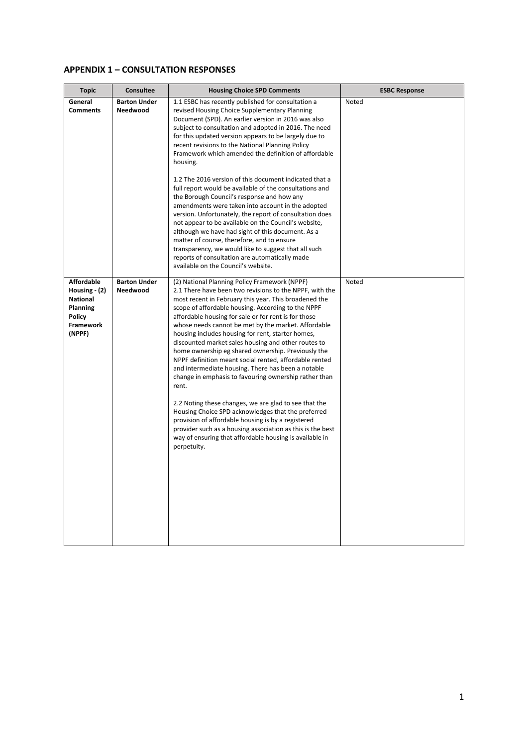## **APPENDIX 1 – CONSULTATION RESPONSES**

| <b>Topic</b>                                                                                         | Consultee                              | <b>Housing Choice SPD Comments</b>                                                                                                                                                                                                                                                                                                                                                                                                                                                                                                                                                                                                                                                                                                                                                                                                                                                                                                                                                                      | <b>ESBC Response</b> |
|------------------------------------------------------------------------------------------------------|----------------------------------------|---------------------------------------------------------------------------------------------------------------------------------------------------------------------------------------------------------------------------------------------------------------------------------------------------------------------------------------------------------------------------------------------------------------------------------------------------------------------------------------------------------------------------------------------------------------------------------------------------------------------------------------------------------------------------------------------------------------------------------------------------------------------------------------------------------------------------------------------------------------------------------------------------------------------------------------------------------------------------------------------------------|----------------------|
| General<br><b>Comments</b>                                                                           | <b>Barton Under</b><br><b>Needwood</b> | 1.1 ESBC has recently published for consultation a<br>revised Housing Choice Supplementary Planning<br>Document (SPD). An earlier version in 2016 was also<br>subject to consultation and adopted in 2016. The need<br>for this updated version appears to be largely due to<br>recent revisions to the National Planning Policy<br>Framework which amended the definition of affordable<br>housing.<br>1.2 The 2016 version of this document indicated that a<br>full report would be available of the consultations and<br>the Borough Council's response and how any<br>amendments were taken into account in the adopted<br>version. Unfortunately, the report of consultation does                                                                                                                                                                                                                                                                                                                 | Noted                |
|                                                                                                      |                                        | not appear to be available on the Council's website,<br>although we have had sight of this document. As a<br>matter of course, therefore, and to ensure<br>transparency, we would like to suggest that all such<br>reports of consultation are automatically made<br>available on the Council's website.                                                                                                                                                                                                                                                                                                                                                                                                                                                                                                                                                                                                                                                                                                |                      |
| <b>Affordable</b><br>Housing $-$ (2)<br><b>National</b><br>Planning<br>Policy<br>Framework<br>(NPPF) | <b>Barton Under</b><br>Needwood        | (2) National Planning Policy Framework (NPPF)<br>2.1 There have been two revisions to the NPPF, with the<br>most recent in February this year. This broadened the<br>scope of affordable housing. According to the NPPF<br>affordable housing for sale or for rent is for those<br>whose needs cannot be met by the market. Affordable<br>housing includes housing for rent, starter homes,<br>discounted market sales housing and other routes to<br>home ownership eg shared ownership. Previously the<br>NPPF definition meant social rented, affordable rented<br>and intermediate housing. There has been a notable<br>change in emphasis to favouring ownership rather than<br>rent.<br>2.2 Noting these changes, we are glad to see that the<br>Housing Choice SPD acknowledges that the preferred<br>provision of affordable housing is by a registered<br>provider such as a housing association as this is the best<br>way of ensuring that affordable housing is available in<br>perpetuity. | Noted                |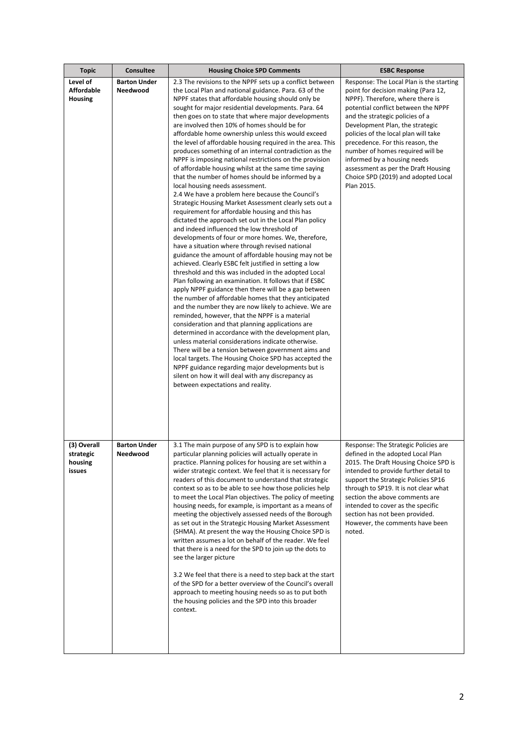| <b>Topic</b>                                  | <b>Consultee</b>                | <b>Housing Choice SPD Comments</b>                                                                                                                                                                                                                                                                                                                                                                                                                                                                                                                                                                                                                                                                                                                                                                                                                                                                                                                                                                                                                                                                                                                                                                                                                                                                                                                                                                                                                                                                                                                                                                                                                                                                                                                                                                                                                                                                                                                                                                               | <b>ESBC Response</b>                                                                                                                                                                                                                                                                                                                                                                                                                                                        |
|-----------------------------------------------|---------------------------------|------------------------------------------------------------------------------------------------------------------------------------------------------------------------------------------------------------------------------------------------------------------------------------------------------------------------------------------------------------------------------------------------------------------------------------------------------------------------------------------------------------------------------------------------------------------------------------------------------------------------------------------------------------------------------------------------------------------------------------------------------------------------------------------------------------------------------------------------------------------------------------------------------------------------------------------------------------------------------------------------------------------------------------------------------------------------------------------------------------------------------------------------------------------------------------------------------------------------------------------------------------------------------------------------------------------------------------------------------------------------------------------------------------------------------------------------------------------------------------------------------------------------------------------------------------------------------------------------------------------------------------------------------------------------------------------------------------------------------------------------------------------------------------------------------------------------------------------------------------------------------------------------------------------------------------------------------------------------------------------------------------------|-----------------------------------------------------------------------------------------------------------------------------------------------------------------------------------------------------------------------------------------------------------------------------------------------------------------------------------------------------------------------------------------------------------------------------------------------------------------------------|
| Level of<br><b>Affordable</b><br>Housing      | <b>Barton Under</b><br>Needwood | 2.3 The revisions to the NPPF sets up a conflict between<br>the Local Plan and national guidance. Para. 63 of the<br>NPPF states that affordable housing should only be<br>sought for major residential developments. Para. 64<br>then goes on to state that where major developments<br>are involved then 10% of homes should be for<br>affordable home ownership unless this would exceed<br>the level of affordable housing required in the area. This<br>produces something of an internal contradiction as the<br>NPPF is imposing national restrictions on the provision<br>of affordable housing whilst at the same time saying<br>that the number of homes should be informed by a<br>local housing needs assessment.<br>2.4 We have a problem here because the Council's<br>Strategic Housing Market Assessment clearly sets out a<br>requirement for affordable housing and this has<br>dictated the approach set out in the Local Plan policy<br>and indeed influenced the low threshold of<br>developments of four or more homes. We, therefore,<br>have a situation where through revised national<br>guidance the amount of affordable housing may not be<br>achieved. Clearly ESBC felt justified in setting a low<br>threshold and this was included in the adopted Local<br>Plan following an examination. It follows that if ESBC<br>apply NPPF guidance then there will be a gap between<br>the number of affordable homes that they anticipated<br>and the number they are now likely to achieve. We are<br>reminded, however, that the NPPF is a material<br>consideration and that planning applications are<br>determined in accordance with the development plan,<br>unless material considerations indicate otherwise.<br>There will be a tension between government aims and<br>local targets. The Housing Choice SPD has accepted the<br>NPPF guidance regarding major developments but is<br>silent on how it will deal with any discrepancy as<br>between expectations and reality. | Response: The Local Plan is the starting<br>point for decision making (Para 12,<br>NPPF). Therefore, where there is<br>potential conflict between the NPPF<br>and the strategic policies of a<br>Development Plan, the strategic<br>policies of the local plan will take<br>precedence. For this reason, the<br>number of homes required will be<br>informed by a housing needs<br>assessment as per the Draft Housing<br>Choice SPD (2019) and adopted Local<br>Plan 2015. |
| (3) Overall<br>strategic<br>housing<br>issues | <b>Barton Under</b><br>Needwood | 3.1 The main purpose of any SPD is to explain how<br>particular planning policies will actually operate in<br>practice. Planning polices for housing are set within a<br>wider strategic context. We feel that it is necessary for<br>readers of this document to understand that strategic<br>context so as to be able to see how those policies help<br>to meet the Local Plan objectives. The policy of meeting<br>housing needs, for example, is important as a means of<br>meeting the objectively assessed needs of the Borough<br>as set out in the Strategic Housing Market Assessment<br>(SHMA). At present the way the Housing Choice SPD is<br>written assumes a lot on behalf of the reader. We feel<br>that there is a need for the SPD to join up the dots to<br>see the larger picture<br>3.2 We feel that there is a need to step back at the start<br>of the SPD for a better overview of the Council's overall<br>approach to meeting housing needs so as to put both<br>the housing policies and the SPD into this broader<br>context.                                                                                                                                                                                                                                                                                                                                                                                                                                                                                                                                                                                                                                                                                                                                                                                                                                                                                                                                                        | Response: The Strategic Policies are<br>defined in the adopted Local Plan<br>2015. The Draft Housing Choice SPD is<br>intended to provide further detail to<br>support the Strategic Policies SP16<br>through to SP19. It is not clear what<br>section the above comments are<br>intended to cover as the specific<br>section has not been provided.<br>However, the comments have been<br>noted.                                                                           |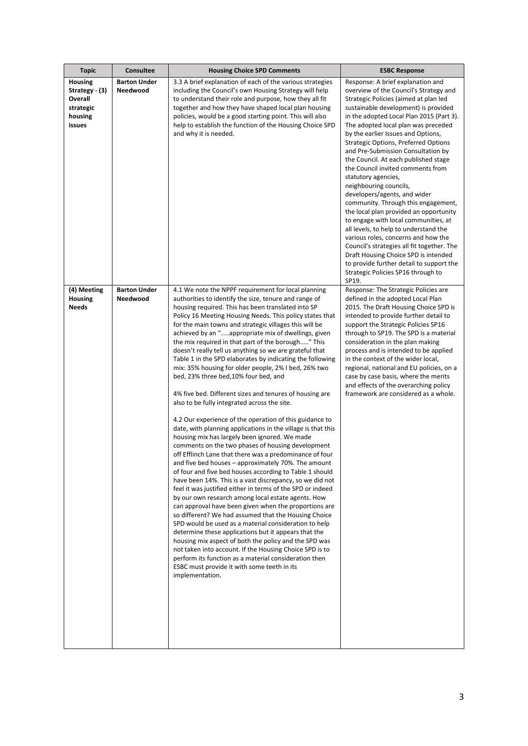| <b>Topic</b>                                                           | Consultee                       | <b>Housing Choice SPD Comments</b>                                                                                                                                                                                                                                                                                                                                                                                                                                                                                                                                                                                                                                                                                                                                                                                                                                                                                                                                                                                                                                                                                                                                                                                                                                                                                                                                                                                                                                                                                                                                                                                                                                                                                                                                                                                       | <b>ESBC Response</b>                                                                                                                                                                                                                                                                                                                                                                                                                                                                                                                                                                                                                                                                                                                                                                                                                                                                                                               |
|------------------------------------------------------------------------|---------------------------------|--------------------------------------------------------------------------------------------------------------------------------------------------------------------------------------------------------------------------------------------------------------------------------------------------------------------------------------------------------------------------------------------------------------------------------------------------------------------------------------------------------------------------------------------------------------------------------------------------------------------------------------------------------------------------------------------------------------------------------------------------------------------------------------------------------------------------------------------------------------------------------------------------------------------------------------------------------------------------------------------------------------------------------------------------------------------------------------------------------------------------------------------------------------------------------------------------------------------------------------------------------------------------------------------------------------------------------------------------------------------------------------------------------------------------------------------------------------------------------------------------------------------------------------------------------------------------------------------------------------------------------------------------------------------------------------------------------------------------------------------------------------------------------------------------------------------------|------------------------------------------------------------------------------------------------------------------------------------------------------------------------------------------------------------------------------------------------------------------------------------------------------------------------------------------------------------------------------------------------------------------------------------------------------------------------------------------------------------------------------------------------------------------------------------------------------------------------------------------------------------------------------------------------------------------------------------------------------------------------------------------------------------------------------------------------------------------------------------------------------------------------------------|
| Housing<br>Strategy - (3)<br>Overall<br>strategic<br>housing<br>issues | <b>Barton Under</b><br>Needwood | 3.3 A brief explanation of each of the various strategies<br>including the Council's own Housing Strategy will help<br>to understand their role and purpose, how they all fit<br>together and how they have shaped local plan housing<br>policies, would be a good starting point. This will also<br>help to establish the function of the Housing Choice SPD<br>and why it is needed.                                                                                                                                                                                                                                                                                                                                                                                                                                                                                                                                                                                                                                                                                                                                                                                                                                                                                                                                                                                                                                                                                                                                                                                                                                                                                                                                                                                                                                   | Response: A brief explanation and<br>overview of the Council's Strategy and<br>Strategic Policies (aimed at plan led<br>sustainable development) is provided<br>in the adopted Local Plan 2015 (Part 3).<br>The adopted local plan was preceded<br>by the earlier Issues and Options,<br><b>Strategic Options, Preferred Options</b><br>and Pre-Submission Consultation by<br>the Council. At each published stage<br>the Council invited comments from<br>statutory agencies,<br>neighbouring councils,<br>developers/agents, and wider<br>community. Through this engagement,<br>the local plan provided an opportunity<br>to engage with local communities, at<br>all levels, to help to understand the<br>various roles, concerns and how the<br>Council's strategies all fit together. The<br>Draft Housing Choice SPD is intended<br>to provide further detail to support the<br>Strategic Policies SP16 through to<br>SP19. |
| (4) Meeting<br>Housing<br><b>Needs</b>                                 | <b>Barton Under</b><br>Needwood | 4.1 We note the NPPF requirement for local planning<br>authorities to identify the size, tenure and range of<br>housing required. This has been translated into SP<br>Policy 16 Meeting Housing Needs. This policy states that<br>for the main towns and strategic villages this will be<br>achieved by an "appropriate mix of dwellings, given<br>the mix required in that part of the borough" This<br>doesn't really tell us anything so we are grateful that<br>Table 1 in the SPD elaborates by indicating the following<br>mix: 35% housing for older people, 2% I bed, 26% two<br>bed, 23% three bed, 10% four bed, and<br>4% five bed. Different sizes and tenures of housing are<br>also to be fully integrated across the site.<br>4.2 Our experience of the operation of this guidance to<br>date, with planning applications in the village is that this<br>housing mix has largely been ignored. We made<br>comments on the two phases of housing development<br>off Efflinch Lane that there was a predominance of four<br>and five bed houses – approximately 70%. The amount<br>of four and five bed houses according to Table 1 should<br>have been 14%. This is a vast discrepancy, so we did not<br>feel it was justified either in terms of the SPD or indeed<br>by our own research among local estate agents. How<br>can approval have been given when the proportions are<br>so different? We had assumed that the Housing Choice<br>SPD would be used as a material consideration to help<br>determine these applications but it appears that the<br>housing mix aspect of both the policy and the SPD was<br>not taken into account. If the Housing Choice SPD is to<br>perform its function as a material consideration then<br>ESBC must provide it with some teeth in its<br>implementation. | Response: The Strategic Policies are<br>defined in the adopted Local Plan<br>2015. The Draft Housing Choice SPD is<br>intended to provide further detail to<br>support the Strategic Policies SP16<br>through to SP19. The SPD is a material<br>consideration in the plan making<br>process and is intended to be applied<br>in the context of the wider local,<br>regional, national and EU policies, on a<br>case by case basis, where the merits<br>and effects of the overarching policy<br>framework are considered as a whole.                                                                                                                                                                                                                                                                                                                                                                                               |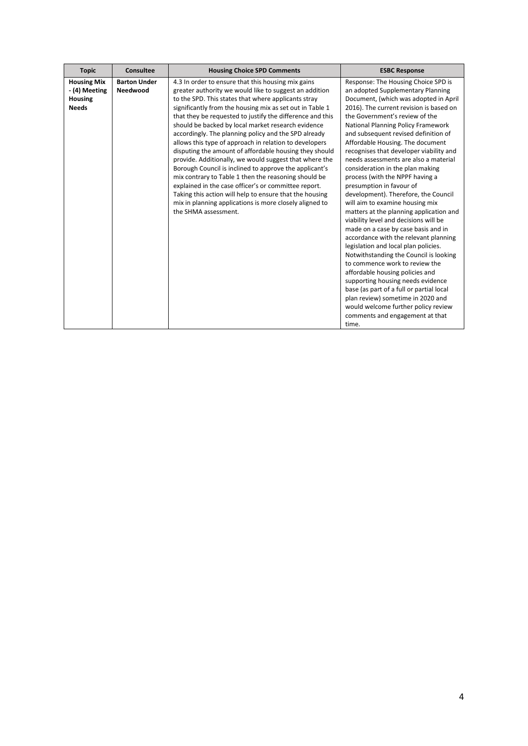| <b>Topic</b>                                                          | Consultee                       | <b>Housing Choice SPD Comments</b>                                                                                                                                                                                                                                                                                                                                                                                                                                                                                                                                                                                                                                                                                                                                                                                                                                                                               | <b>ESBC Response</b>                                                                                                                                                                                                                                                                                                                                                                                                                                                                                                                                                                                                                                                                                                                                                                                                                                                                                                                                                                                                                                                                                                   |
|-----------------------------------------------------------------------|---------------------------------|------------------------------------------------------------------------------------------------------------------------------------------------------------------------------------------------------------------------------------------------------------------------------------------------------------------------------------------------------------------------------------------------------------------------------------------------------------------------------------------------------------------------------------------------------------------------------------------------------------------------------------------------------------------------------------------------------------------------------------------------------------------------------------------------------------------------------------------------------------------------------------------------------------------|------------------------------------------------------------------------------------------------------------------------------------------------------------------------------------------------------------------------------------------------------------------------------------------------------------------------------------------------------------------------------------------------------------------------------------------------------------------------------------------------------------------------------------------------------------------------------------------------------------------------------------------------------------------------------------------------------------------------------------------------------------------------------------------------------------------------------------------------------------------------------------------------------------------------------------------------------------------------------------------------------------------------------------------------------------------------------------------------------------------------|
| <b>Housing Mix</b><br>- (4) Meeting<br><b>Housing</b><br><b>Needs</b> | <b>Barton Under</b><br>Needwood | 4.3 In order to ensure that this housing mix gains<br>greater authority we would like to suggest an addition<br>to the SPD. This states that where applicants stray<br>significantly from the housing mix as set out in Table 1<br>that they be requested to justify the difference and this<br>should be backed by local market research evidence<br>accordingly. The planning policy and the SPD already<br>allows this type of approach in relation to developers<br>disputing the amount of affordable housing they should<br>provide. Additionally, we would suggest that where the<br>Borough Council is inclined to approve the applicant's<br>mix contrary to Table 1 then the reasoning should be<br>explained in the case officer's or committee report.<br>Taking this action will help to ensure that the housing<br>mix in planning applications is more closely aligned to<br>the SHMA assessment. | Response: The Housing Choice SPD is<br>an adopted Supplementary Planning<br>Document, (which was adopted in April<br>2016). The current revision is based on<br>the Government's review of the<br>National Planning Policy Framework<br>and subsequent revised definition of<br>Affordable Housing. The document<br>recognises that developer viability and<br>needs assessments are also a material<br>consideration in the plan making<br>process (with the NPPF having a<br>presumption in favour of<br>development). Therefore, the Council<br>will aim to examine housing mix<br>matters at the planning application and<br>viability level and decisions will be<br>made on a case by case basis and in<br>accordance with the relevant planning<br>legislation and local plan policies.<br>Notwithstanding the Council is looking<br>to commence work to review the<br>affordable housing policies and<br>supporting housing needs evidence<br>base (as part of a full or partial local<br>plan review) sometime in 2020 and<br>would welcome further policy review<br>comments and engagement at that<br>time. |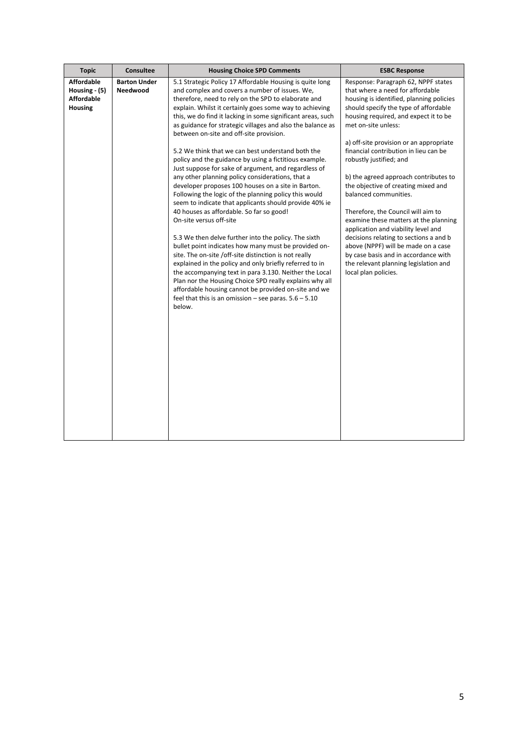| <b>Topic</b>                                                              | Consultee                       | <b>Housing Choice SPD Comments</b>                                                                                                                                                                                                                                                                                                                                                                                                                                                                                                                                                                                                                                                                                                                                                                                                                                                                                                                                                                                                                                                                                                                                                                                                                                                                                                                                    | <b>ESBC Response</b>                                                                                                                                                                                                                                                                                                                                                                                                                                                                                                                                                                                                                                                                                                                                                 |
|---------------------------------------------------------------------------|---------------------------------|-----------------------------------------------------------------------------------------------------------------------------------------------------------------------------------------------------------------------------------------------------------------------------------------------------------------------------------------------------------------------------------------------------------------------------------------------------------------------------------------------------------------------------------------------------------------------------------------------------------------------------------------------------------------------------------------------------------------------------------------------------------------------------------------------------------------------------------------------------------------------------------------------------------------------------------------------------------------------------------------------------------------------------------------------------------------------------------------------------------------------------------------------------------------------------------------------------------------------------------------------------------------------------------------------------------------------------------------------------------------------|----------------------------------------------------------------------------------------------------------------------------------------------------------------------------------------------------------------------------------------------------------------------------------------------------------------------------------------------------------------------------------------------------------------------------------------------------------------------------------------------------------------------------------------------------------------------------------------------------------------------------------------------------------------------------------------------------------------------------------------------------------------------|
| <b>Affordable</b><br>Housing - (5)<br><b>Affordable</b><br><b>Housing</b> | <b>Barton Under</b><br>Needwood | 5.1 Strategic Policy 17 Affordable Housing is quite long<br>and complex and covers a number of issues. We,<br>therefore, need to rely on the SPD to elaborate and<br>explain. Whilst it certainly goes some way to achieving<br>this, we do find it lacking in some significant areas, such<br>as guidance for strategic villages and also the balance as<br>between on-site and off-site provision.<br>5.2 We think that we can best understand both the<br>policy and the guidance by using a fictitious example.<br>Just suppose for sake of argument, and regardless of<br>any other planning policy considerations, that a<br>developer proposes 100 houses on a site in Barton.<br>Following the logic of the planning policy this would<br>seem to indicate that applicants should provide 40% ie<br>40 houses as affordable. So far so good!<br>On-site versus off-site<br>5.3 We then delve further into the policy. The sixth<br>bullet point indicates how many must be provided on-<br>site. The on-site /off-site distinction is not really<br>explained in the policy and only briefly referred to in<br>the accompanying text in para 3.130. Neither the Local<br>Plan nor the Housing Choice SPD really explains why all<br>affordable housing cannot be provided on-site and we<br>feel that this is an omission - see paras. $5.6 - 5.10$<br>below. | Response: Paragraph 62, NPPF states<br>that where a need for affordable<br>housing is identified, planning policies<br>should specify the type of affordable<br>housing required, and expect it to be<br>met on-site unless:<br>a) off-site provision or an appropriate<br>financial contribution in lieu can be<br>robustly justified; and<br>b) the agreed approach contributes to<br>the objective of creating mixed and<br>balanced communities.<br>Therefore, the Council will aim to<br>examine these matters at the planning<br>application and viability level and<br>decisions relating to sections a and b<br>above (NPPF) will be made on a case<br>by case basis and in accordance with<br>the relevant planning legislation and<br>local plan policies. |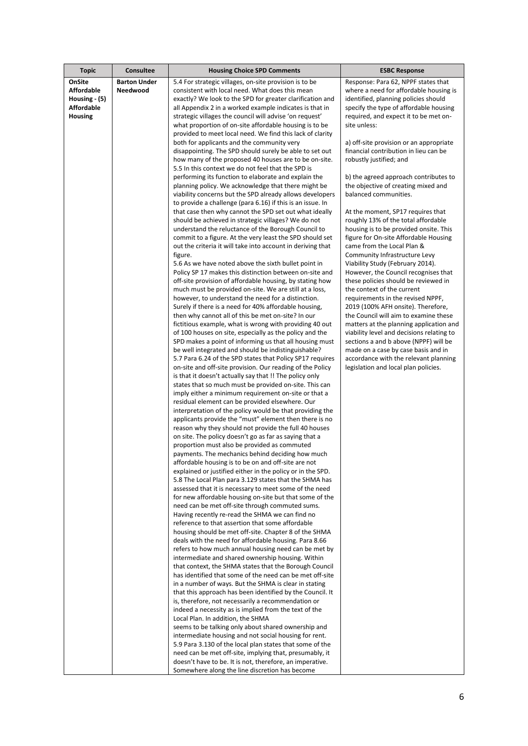| <b>Topic</b>      | <b>Consultee</b>    | <b>Housing Choice SPD Comments</b>                                                                                     | <b>ESBC Response</b>                                                          |
|-------------------|---------------------|------------------------------------------------------------------------------------------------------------------------|-------------------------------------------------------------------------------|
| OnSite            | <b>Barton Under</b> | 5.4 For strategic villages, on-site provision is to be                                                                 | Response: Para 62, NPPF states that                                           |
| <b>Affordable</b> | <b>Needwood</b>     | consistent with local need. What does this mean                                                                        | where a need for affordable housing is                                        |
| Housing - (5)     |                     | exactly? We look to the SPD for greater clarification and                                                              | identified, planning policies should                                          |
| <b>Affordable</b> |                     | all Appendix 2 in a worked example indicates is that in                                                                | specify the type of affordable housing                                        |
| <b>Housing</b>    |                     | strategic villages the council will advise 'on request'                                                                | required, and expect it to be met on-                                         |
|                   |                     | what proportion of on-site affordable housing is to be<br>provided to meet local need. We find this lack of clarity    | site unless:                                                                  |
|                   |                     | both for applicants and the community very                                                                             | a) off-site provision or an appropriate                                       |
|                   |                     | disappointing. The SPD should surely be able to set out                                                                | financial contribution in lieu can be                                         |
|                   |                     | how many of the proposed 40 houses are to be on-site.                                                                  | robustly justified; and                                                       |
|                   |                     | 5.5 In this context we do not feel that the SPD is                                                                     |                                                                               |
|                   |                     | performing its function to elaborate and explain the                                                                   | b) the agreed approach contributes to                                         |
|                   |                     | planning policy. We acknowledge that there might be                                                                    | the objective of creating mixed and                                           |
|                   |                     | viability concerns but the SPD already allows developers                                                               | balanced communities.                                                         |
|                   |                     | to provide a challenge (para 6.16) if this is an issue. In<br>that case then why cannot the SPD set out what ideally   | At the moment, SP17 requires that                                             |
|                   |                     | should be achieved in strategic villages? We do not                                                                    | roughly 13% of the total affordable                                           |
|                   |                     | understand the reluctance of the Borough Council to                                                                    | housing is to be provided onsite. This                                        |
|                   |                     | commit to a figure. At the very least the SPD should set                                                               | figure for On-site Affordable Housing                                         |
|                   |                     | out the criteria it will take into account in deriving that                                                            | came from the Local Plan &                                                    |
|                   |                     | figure.                                                                                                                | Community Infrastructure Levy                                                 |
|                   |                     | 5.6 As we have noted above the sixth bullet point in                                                                   | Viability Study (February 2014).                                              |
|                   |                     | Policy SP 17 makes this distinction between on-site and                                                                | However, the Council recognises that<br>these policies should be reviewed in  |
|                   |                     | off-site provision of affordable housing, by stating how<br>much must be provided on-site. We are still at a loss,     | the context of the current                                                    |
|                   |                     | however, to understand the need for a distinction.                                                                     | requirements in the revised NPPF,                                             |
|                   |                     | Surely if there is a need for 40% affordable housing,                                                                  | 2019 (100% AFH onsite). Therefore,                                            |
|                   |                     | then why cannot all of this be met on-site? In our                                                                     | the Council will aim to examine these                                         |
|                   |                     | fictitious example, what is wrong with providing 40 out                                                                | matters at the planning application and                                       |
|                   |                     | of 100 houses on site, especially as the policy and the                                                                | viability level and decisions relating to                                     |
|                   |                     | SPD makes a point of informing us that all housing must                                                                | sections a and b above (NPPF) will be                                         |
|                   |                     | be well integrated and should be indistinguishable?                                                                    | made on a case by case basis and in                                           |
|                   |                     | 5.7 Para 6.24 of the SPD states that Policy SP17 requires<br>on-site and off-site provision. Our reading of the Policy | accordance with the relevant planning<br>legislation and local plan policies. |
|                   |                     | is that it doesn't actually say that !! The policy only                                                                |                                                                               |
|                   |                     | states that so much must be provided on-site. This can                                                                 |                                                                               |
|                   |                     | imply either a minimum requirement on-site or that a                                                                   |                                                                               |
|                   |                     | residual element can be provided elsewhere. Our                                                                        |                                                                               |
|                   |                     | interpretation of the policy would be that providing the                                                               |                                                                               |
|                   |                     | applicants provide the "must" element then there is no                                                                 |                                                                               |
|                   |                     | reason why they should not provide the full 40 houses<br>on site. The policy doesn't go as far as saying that a        |                                                                               |
|                   |                     | proportion must also be provided as commuted                                                                           |                                                                               |
|                   |                     | payments. The mechanics behind deciding how much                                                                       |                                                                               |
|                   |                     | affordable housing is to be on and off-site are not                                                                    |                                                                               |
|                   |                     | explained or justified either in the policy or in the SPD.                                                             |                                                                               |
|                   |                     | 5.8 The Local Plan para 3.129 states that the SHMA has                                                                 |                                                                               |
|                   |                     | assessed that it is necessary to meet some of the need                                                                 |                                                                               |
|                   |                     | for new affordable housing on-site but that some of the<br>need can be met off-site through commuted sums.             |                                                                               |
|                   |                     | Having recently re-read the SHMA we can find no                                                                        |                                                                               |
|                   |                     | reference to that assertion that some affordable                                                                       |                                                                               |
|                   |                     | housing should be met off-site. Chapter 8 of the SHMA                                                                  |                                                                               |
|                   |                     | deals with the need for affordable housing. Para 8.66                                                                  |                                                                               |
|                   |                     | refers to how much annual housing need can be met by                                                                   |                                                                               |
|                   |                     | intermediate and shared ownership housing. Within                                                                      |                                                                               |
|                   |                     | that context, the SHMA states that the Borough Council<br>has identified that some of the need can be met off-site     |                                                                               |
|                   |                     | in a number of ways. But the SHMA is clear in stating                                                                  |                                                                               |
|                   |                     | that this approach has been identified by the Council. It                                                              |                                                                               |
|                   |                     | is, therefore, not necessarily a recommendation or                                                                     |                                                                               |
|                   |                     | indeed a necessity as is implied from the text of the                                                                  |                                                                               |
|                   |                     | Local Plan. In addition, the SHMA                                                                                      |                                                                               |
|                   |                     | seems to be talking only about shared ownership and                                                                    |                                                                               |
|                   |                     | intermediate housing and not social housing for rent.                                                                  |                                                                               |
|                   |                     | 5.9 Para 3.130 of the local plan states that some of the<br>need can be met off-site, implying that, presumably, it    |                                                                               |
|                   |                     | doesn't have to be. It is not, therefore, an imperative.                                                               |                                                                               |
|                   |                     | Somewhere along the line discretion has become                                                                         |                                                                               |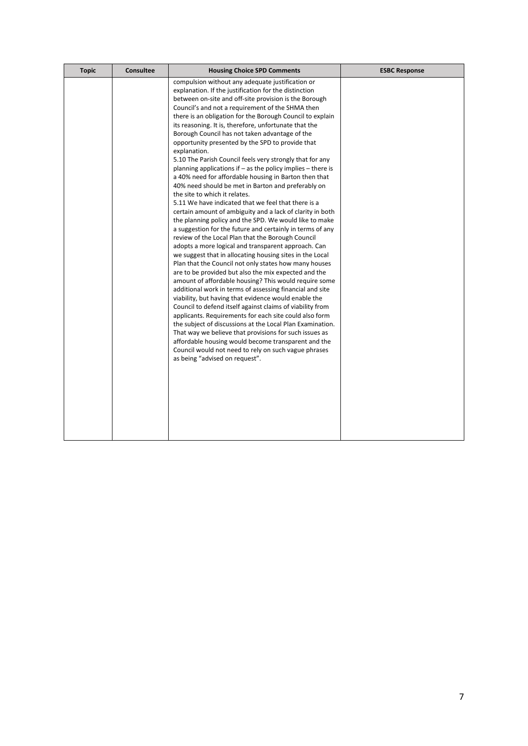| <b>Topic</b> | <b>Consultee</b> | <b>Housing Choice SPD Comments</b>                                                                                                                                                                                                                                                                                                                                                                                                                                                                                                                                                                                                                                                                                                                                                                                                                                                                                                                                                                                                                                                                                                                                                                                                                                                                                                                                                                                                                                                                                                                                                                                                                                                                                                                                                                                                                                | <b>ESBC Response</b> |
|--------------|------------------|-------------------------------------------------------------------------------------------------------------------------------------------------------------------------------------------------------------------------------------------------------------------------------------------------------------------------------------------------------------------------------------------------------------------------------------------------------------------------------------------------------------------------------------------------------------------------------------------------------------------------------------------------------------------------------------------------------------------------------------------------------------------------------------------------------------------------------------------------------------------------------------------------------------------------------------------------------------------------------------------------------------------------------------------------------------------------------------------------------------------------------------------------------------------------------------------------------------------------------------------------------------------------------------------------------------------------------------------------------------------------------------------------------------------------------------------------------------------------------------------------------------------------------------------------------------------------------------------------------------------------------------------------------------------------------------------------------------------------------------------------------------------------------------------------------------------------------------------------------------------|----------------------|
|              |                  | compulsion without any adequate justification or<br>explanation. If the justification for the distinction<br>between on-site and off-site provision is the Borough<br>Council's and not a requirement of the SHMA then<br>there is an obligation for the Borough Council to explain<br>its reasoning. It is, therefore, unfortunate that the<br>Borough Council has not taken advantage of the<br>opportunity presented by the SPD to provide that<br>explanation.<br>5.10 The Parish Council feels very strongly that for any<br>planning applications if $-$ as the policy implies $-$ there is<br>a 40% need for affordable housing in Barton then that<br>40% need should be met in Barton and preferably on<br>the site to which it relates.<br>5.11 We have indicated that we feel that there is a<br>certain amount of ambiguity and a lack of clarity in both<br>the planning policy and the SPD. We would like to make<br>a suggestion for the future and certainly in terms of any<br>review of the Local Plan that the Borough Council<br>adopts a more logical and transparent approach. Can<br>we suggest that in allocating housing sites in the Local<br>Plan that the Council not only states how many houses<br>are to be provided but also the mix expected and the<br>amount of affordable housing? This would require some<br>additional work in terms of assessing financial and site<br>viability, but having that evidence would enable the<br>Council to defend itself against claims of viability from<br>applicants. Requirements for each site could also form<br>the subject of discussions at the Local Plan Examination.<br>That way we believe that provisions for such issues as<br>affordable housing would become transparent and the<br>Council would not need to rely on such vague phrases<br>as being "advised on request". |                      |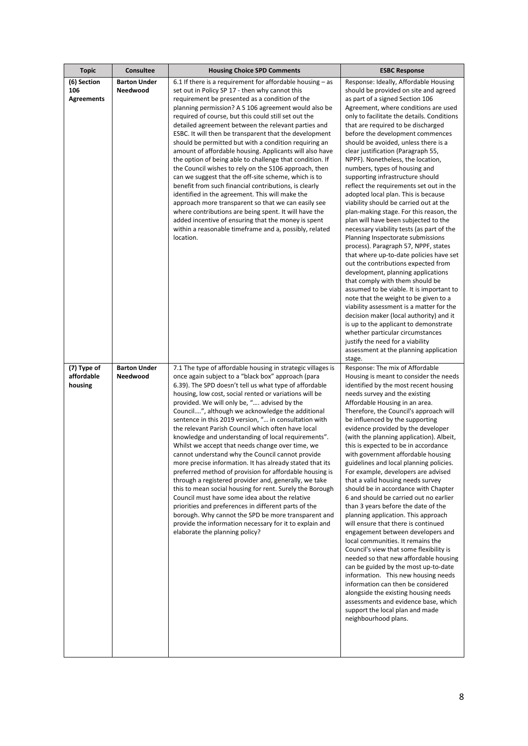| <b>Topic</b>                            | <b>Consultee</b>                | <b>Housing Choice SPD Comments</b>                                                                                                                                                                                                                                                                                                                                                                                                                                                                                                                                                                                                                                                                                                                                                                                                                                                                                                                                                                                                                                                                                               | <b>ESBC Response</b>                                                                                                                                                                                                                                                                                                                                                                                                                                                                                                                                                                                                                                                                                                                                                                                                                                                                                                                                                                                                                                                                                                                                                                                                                                                                                                           |
|-----------------------------------------|---------------------------------|----------------------------------------------------------------------------------------------------------------------------------------------------------------------------------------------------------------------------------------------------------------------------------------------------------------------------------------------------------------------------------------------------------------------------------------------------------------------------------------------------------------------------------------------------------------------------------------------------------------------------------------------------------------------------------------------------------------------------------------------------------------------------------------------------------------------------------------------------------------------------------------------------------------------------------------------------------------------------------------------------------------------------------------------------------------------------------------------------------------------------------|--------------------------------------------------------------------------------------------------------------------------------------------------------------------------------------------------------------------------------------------------------------------------------------------------------------------------------------------------------------------------------------------------------------------------------------------------------------------------------------------------------------------------------------------------------------------------------------------------------------------------------------------------------------------------------------------------------------------------------------------------------------------------------------------------------------------------------------------------------------------------------------------------------------------------------------------------------------------------------------------------------------------------------------------------------------------------------------------------------------------------------------------------------------------------------------------------------------------------------------------------------------------------------------------------------------------------------|
| (6) Section<br>106<br><b>Agreements</b> | <b>Barton Under</b><br>Needwood | 6.1 If there is a requirement for affordable housing $-$ as<br>set out in Policy SP 17 - then why cannot this<br>requirement be presented as a condition of the<br>planning permission? A S 106 agreement would also be<br>required of course, but this could still set out the<br>detailed agreement between the relevant parties and<br>ESBC. It will then be transparent that the development<br>should be permitted but with a condition requiring an<br>amount of affordable housing. Applicants will also have<br>the option of being able to challenge that condition. If<br>the Council wishes to rely on the S106 approach, then<br>can we suggest that the off-site scheme, which is to<br>benefit from such financial contributions, is clearly<br>identified in the agreement. This will make the<br>approach more transparent so that we can easily see<br>where contributions are being spent. It will have the<br>added incentive of ensuring that the money is spent<br>within a reasonable timeframe and a, possibly, related<br>location.                                                                      | Response: Ideally, Affordable Housing<br>should be provided on site and agreed<br>as part of a signed Section 106<br>Agreement, where conditions are used<br>only to facilitate the details. Conditions<br>that are required to be discharged<br>before the development commences<br>should be avoided, unless there is a<br>clear justification (Paragraph 55,<br>NPPF). Nonetheless, the location,<br>numbers, types of housing and<br>supporting infrastructure should<br>reflect the requirements set out in the<br>adopted local plan. This is because<br>viability should be carried out at the<br>plan-making stage. For this reason, the<br>plan will have been subjected to the<br>necessary viability tests (as part of the<br>Planning Inspectorate submissions<br>process). Paragraph 57, NPPF, states<br>that where up-to-date policies have set<br>out the contributions expected from<br>development, planning applications<br>that comply with them should be<br>assumed to be viable. It is important to<br>note that the weight to be given to a<br>viability assessment is a matter for the<br>decision maker (local authority) and it<br>is up to the applicant to demonstrate<br>whether particular circumstances<br>justify the need for a viability<br>assessment at the planning application<br>stage. |
| (7) Type of<br>affordable<br>housing    | <b>Barton Under</b><br>Needwood | 7.1 The type of affordable housing in strategic villages is<br>once again subject to a "black box" approach (para<br>6.39). The SPD doesn't tell us what type of affordable<br>housing, low cost, social rented or variations will be<br>provided. We will only be, " advised by the<br>Council", although we acknowledge the additional<br>sentence in this 2019 version, " in consultation with<br>the relevant Parish Council which often have local<br>knowledge and understanding of local requirements".<br>Whilst we accept that needs change over time, we<br>cannot understand why the Council cannot provide<br>more precise information. It has already stated that its<br>preferred method of provision for affordable housing is<br>through a registered provider and, generally, we take<br>this to mean social housing for rent. Surely the Borough<br>Council must have some idea about the relative<br>priorities and preferences in different parts of the<br>borough. Why cannot the SPD be more transparent and<br>provide the information necessary for it to explain and<br>elaborate the planning policy? | Response: The mix of Affordable<br>Housing is meant to consider the needs<br>identified by the most recent housing<br>needs survey and the existing<br>Affordable Housing in an area.<br>Therefore, the Council's approach will<br>be influenced by the supporting<br>evidence provided by the developer<br>(with the planning application). Albeit,<br>this is expected to be in accordance<br>with government affordable housing<br>guidelines and local planning policies.<br>For example, developers are advised<br>that a valid housing needs survey<br>should be in accordance with Chapter<br>6 and should be carried out no earlier<br>than 3 years before the date of the<br>planning application. This approach<br>will ensure that there is continued<br>engagement between developers and<br>local communities. It remains the<br>Council's view that some flexibility is<br>needed so that new affordable housing<br>can be guided by the most up-to-date<br>information. This new housing needs<br>information can then be considered<br>alongside the existing housing needs<br>assessments and evidence base, which<br>support the local plan and made<br>neighbourhood plans.                                                                                                                                 |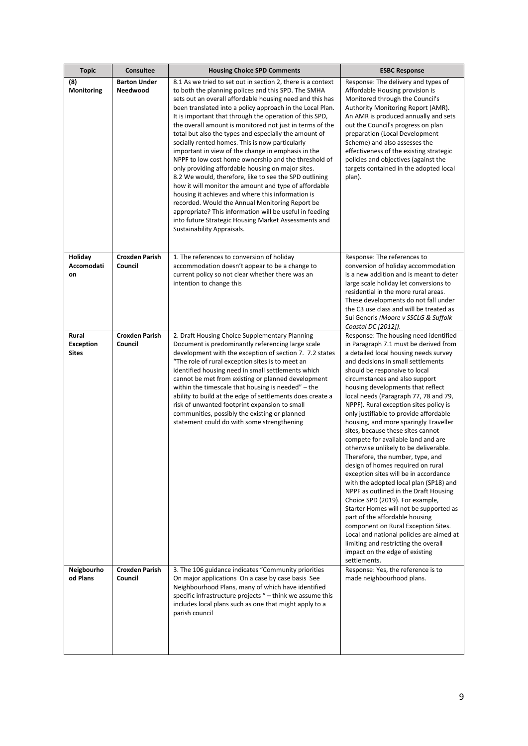| <b>Topic</b>                              | <b>Consultee</b>                 | <b>Housing Choice SPD Comments</b>                                                                                                                                                                                                                                                                                                                                                                                                                                                                                                                                                                                                                                                                                                                                                                                                                                                                                                                                                                                            | <b>ESBC Response</b>                                                                                                                                                                                                                                                                                                                                                                                                                                                                                                                                                                                                                                                                                                                                                                                                                                                                                                                                                                                                                                             |
|-------------------------------------------|----------------------------------|-------------------------------------------------------------------------------------------------------------------------------------------------------------------------------------------------------------------------------------------------------------------------------------------------------------------------------------------------------------------------------------------------------------------------------------------------------------------------------------------------------------------------------------------------------------------------------------------------------------------------------------------------------------------------------------------------------------------------------------------------------------------------------------------------------------------------------------------------------------------------------------------------------------------------------------------------------------------------------------------------------------------------------|------------------------------------------------------------------------------------------------------------------------------------------------------------------------------------------------------------------------------------------------------------------------------------------------------------------------------------------------------------------------------------------------------------------------------------------------------------------------------------------------------------------------------------------------------------------------------------------------------------------------------------------------------------------------------------------------------------------------------------------------------------------------------------------------------------------------------------------------------------------------------------------------------------------------------------------------------------------------------------------------------------------------------------------------------------------|
| (8)<br>Monitoring                         | <b>Barton Under</b><br>Needwood  | 8.1 As we tried to set out in section 2, there is a context<br>to both the planning polices and this SPD. The SMHA<br>sets out an overall affordable housing need and this has<br>been translated into a policy approach in the Local Plan.<br>It is important that through the operation of this SPD,<br>the overall amount is monitored not just in terms of the<br>total but also the types and especially the amount of<br>socially rented homes. This is now particularly<br>important in view of the change in emphasis in the<br>NPPF to low cost home ownership and the threshold of<br>only providing affordable housing on major sites.<br>8.2 We would, therefore, like to see the SPD outlining<br>how it will monitor the amount and type of affordable<br>housing it achieves and where this information is<br>recorded. Would the Annual Monitoring Report be<br>appropriate? This information will be useful in feeding<br>into future Strategic Housing Market Assessments and<br>Sustainability Appraisals. | Response: The delivery and types of<br>Affordable Housing provision is<br>Monitored through the Council's<br>Authority Monitoring Report (AMR).<br>An AMR is produced annually and sets<br>out the Council's progress on plan<br>preparation (Local Development<br>Scheme) and also assesses the<br>effectiveness of the existing strategic<br>policies and objectives (against the<br>targets contained in the adopted local<br>plan).                                                                                                                                                                                                                                                                                                                                                                                                                                                                                                                                                                                                                          |
| Holiday<br>Accomodati<br>on               | <b>Croxden Parish</b><br>Council | 1. The references to conversion of holiday<br>accommodation doesn't appear to be a change to<br>current policy so not clear whether there was an<br>intention to change this                                                                                                                                                                                                                                                                                                                                                                                                                                                                                                                                                                                                                                                                                                                                                                                                                                                  | Response: The references to<br>conversion of holiday accommodation<br>is a new addition and is meant to deter<br>large scale holiday let conversions to<br>residential in the more rural areas.<br>These developments do not fall under<br>the C3 use class and will be treated as<br>Sui Generis (Moore v SSCLG & Suffolk<br>Coastal DC [2012]).                                                                                                                                                                                                                                                                                                                                                                                                                                                                                                                                                                                                                                                                                                                |
| Rural<br><b>Exception</b><br><b>Sites</b> | <b>Croxden Parish</b><br>Council | 2. Draft Housing Choice Supplementary Planning<br>Document is predominantly referencing large scale<br>development with the exception of section 7. 7.2 states<br>"The role of rural exception sites is to meet an<br>identified housing need in small settlements which<br>cannot be met from existing or planned development<br>within the timescale that housing is needed" $-$ the<br>ability to build at the edge of settlements does create a<br>risk of unwanted footprint expansion to small<br>communities, possibly the existing or planned<br>statement could do with some strengthening                                                                                                                                                                                                                                                                                                                                                                                                                           | Response: The housing need identified<br>in Paragraph 7.1 must be derived from<br>a detailed local housing needs survey<br>and decisions in small settlements<br>should be responsive to local<br>circumstances and also support<br>housing developments that reflect<br>local needs (Paragraph 77, 78 and 79,<br>NPPF). Rural exception sites policy is<br>only justifiable to provide affordable<br>housing, and more sparingly Traveller<br>sites, because these sites cannot<br>compete for available land and are<br>otherwise unlikely to be deliverable.<br>Therefore, the number, type, and<br>design of homes required on rural<br>exception sites will be in accordance<br>with the adopted local plan (SP18) and<br>NPPF as outlined in the Draft Housing<br>Choice SPD (2019). For example,<br>Starter Homes will not be supported as<br>part of the affordable housing<br>component on Rural Exception Sites.<br>Local and national policies are aimed at<br>limiting and restricting the overall<br>impact on the edge of existing<br>settlements. |
| Neigbourho<br>od Plans                    | <b>Croxden Parish</b><br>Council | 3. The 106 guidance indicates "Community priorities<br>On major applications On a case by case basis See<br>Neighbourhood Plans, many of which have identified<br>specific infrastructure projects " - think we assume this<br>includes local plans such as one that might apply to a<br>parish council                                                                                                                                                                                                                                                                                                                                                                                                                                                                                                                                                                                                                                                                                                                       | Response: Yes, the reference is to<br>made neighbourhood plans.                                                                                                                                                                                                                                                                                                                                                                                                                                                                                                                                                                                                                                                                                                                                                                                                                                                                                                                                                                                                  |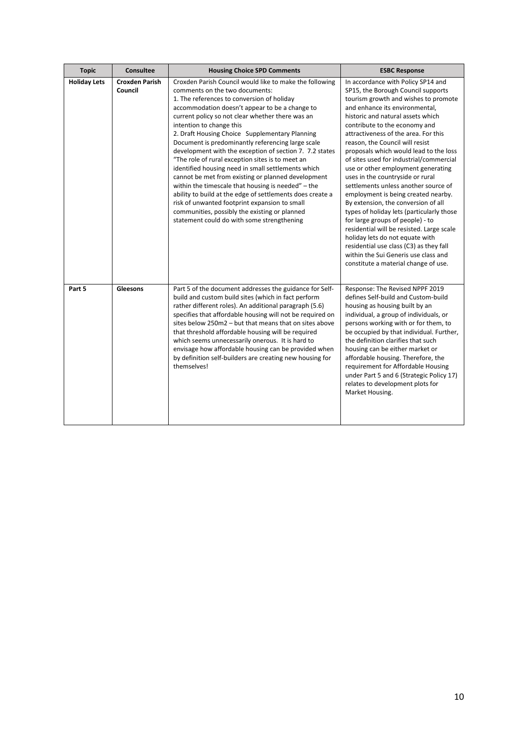| <b>Topic</b>        | <b>Consultee</b>                 | <b>Housing Choice SPD Comments</b>                                                                                                                                                                                                                                                                                                                                                                                                                                                                                                                                                                                                                                                                                                                                                                                                                                             | <b>ESBC Response</b>                                                                                                                                                                                                                                                                                                                                                                                                                                                                                                                                                                                                                                                                                                                                                                                                                                                                 |
|---------------------|----------------------------------|--------------------------------------------------------------------------------------------------------------------------------------------------------------------------------------------------------------------------------------------------------------------------------------------------------------------------------------------------------------------------------------------------------------------------------------------------------------------------------------------------------------------------------------------------------------------------------------------------------------------------------------------------------------------------------------------------------------------------------------------------------------------------------------------------------------------------------------------------------------------------------|--------------------------------------------------------------------------------------------------------------------------------------------------------------------------------------------------------------------------------------------------------------------------------------------------------------------------------------------------------------------------------------------------------------------------------------------------------------------------------------------------------------------------------------------------------------------------------------------------------------------------------------------------------------------------------------------------------------------------------------------------------------------------------------------------------------------------------------------------------------------------------------|
| <b>Holiday Lets</b> | <b>Croxden Parish</b><br>Council | Croxden Parish Council would like to make the following<br>comments on the two documents:<br>1. The references to conversion of holiday<br>accommodation doesn't appear to be a change to<br>current policy so not clear whether there was an<br>intention to change this<br>2. Draft Housing Choice Supplementary Planning<br>Document is predominantly referencing large scale<br>development with the exception of section 7. 7.2 states<br>"The role of rural exception sites is to meet an<br>identified housing need in small settlements which<br>cannot be met from existing or planned development<br>within the timescale that housing is needed" - the<br>ability to build at the edge of settlements does create a<br>risk of unwanted footprint expansion to small<br>communities, possibly the existing or planned<br>statement could do with some strengthening | In accordance with Policy SP14 and<br>SP15, the Borough Council supports<br>tourism growth and wishes to promote<br>and enhance its environmental,<br>historic and natural assets which<br>contribute to the economy and<br>attractiveness of the area. For this<br>reason, the Council will resist<br>proposals which would lead to the loss<br>of sites used for industrial/commercial<br>use or other employment generating<br>uses in the countryside or rural<br>settlements unless another source of<br>employment is being created nearby.<br>By extension, the conversion of all<br>types of holiday lets (particularly those<br>for large groups of people) - to<br>residential will be resisted. Large scale<br>holiday lets do not equate with<br>residential use class (C3) as they fall<br>within the Sui Generis use class and<br>constitute a material change of use. |
| Part 5              | Gleesons                         | Part 5 of the document addresses the guidance for Self-<br>build and custom build sites (which in fact perform<br>rather different roles). An additional paragraph (5.6)<br>specifies that affordable housing will not be required on<br>sites below 250m2 - but that means that on sites above<br>that threshold affordable housing will be required<br>which seems unnecessarily onerous. It is hard to<br>envisage how affordable housing can be provided when<br>by definition self-builders are creating new housing for<br>themselves!                                                                                                                                                                                                                                                                                                                                   | Response: The Revised NPPF 2019<br>defines Self-build and Custom-build<br>housing as housing built by an<br>individual, a group of individuals, or<br>persons working with or for them, to<br>be occupied by that individual. Further,<br>the definition clarifies that such<br>housing can be either market or<br>affordable housing. Therefore, the<br>requirement for Affordable Housing<br>under Part 5 and 6 (Strategic Policy 17)<br>relates to development plots for<br>Market Housing.                                                                                                                                                                                                                                                                                                                                                                                       |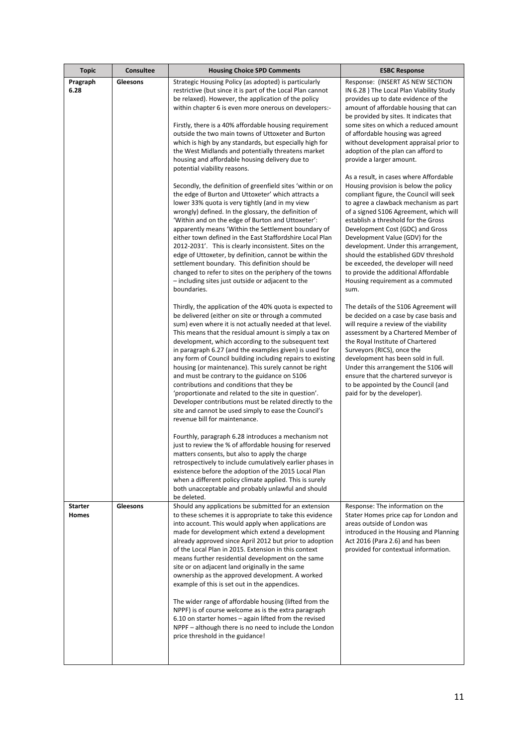| <b>Topic</b>                   | Consultee | <b>Housing Choice SPD Comments</b>                                                                                                                                                                                                                                                                                                                                                                                                                                                                                                                                                                                                                                                                                                                                                                                                                                                                                                                                                                                                                                                                                                                                                                                                                                                                                                                                                                                                                                                                                                                                                                                                                                                                                                                                                                                                                                                                                                                                                                                                                                                                                                                                                                                              | <b>ESBC Response</b>                                                                                                                                                                                                                                                                                                                                                                                                                                                                                                                                                                                                                                                                                                                                                                                                                                                                                                                                                                                                                                                                                                                                                                                                                                                                                                                                                            |
|--------------------------------|-----------|---------------------------------------------------------------------------------------------------------------------------------------------------------------------------------------------------------------------------------------------------------------------------------------------------------------------------------------------------------------------------------------------------------------------------------------------------------------------------------------------------------------------------------------------------------------------------------------------------------------------------------------------------------------------------------------------------------------------------------------------------------------------------------------------------------------------------------------------------------------------------------------------------------------------------------------------------------------------------------------------------------------------------------------------------------------------------------------------------------------------------------------------------------------------------------------------------------------------------------------------------------------------------------------------------------------------------------------------------------------------------------------------------------------------------------------------------------------------------------------------------------------------------------------------------------------------------------------------------------------------------------------------------------------------------------------------------------------------------------------------------------------------------------------------------------------------------------------------------------------------------------------------------------------------------------------------------------------------------------------------------------------------------------------------------------------------------------------------------------------------------------------------------------------------------------------------------------------------------------|---------------------------------------------------------------------------------------------------------------------------------------------------------------------------------------------------------------------------------------------------------------------------------------------------------------------------------------------------------------------------------------------------------------------------------------------------------------------------------------------------------------------------------------------------------------------------------------------------------------------------------------------------------------------------------------------------------------------------------------------------------------------------------------------------------------------------------------------------------------------------------------------------------------------------------------------------------------------------------------------------------------------------------------------------------------------------------------------------------------------------------------------------------------------------------------------------------------------------------------------------------------------------------------------------------------------------------------------------------------------------------|
| Pragraph<br>6.28               | Gleesons  | Strategic Housing Policy (as adopted) is particularly<br>restrictive (but since it is part of the Local Plan cannot<br>be relaxed). However, the application of the policy<br>within chapter 6 is even more onerous on developers:-<br>Firstly, there is a 40% affordable housing requirement<br>outside the two main towns of Uttoxeter and Burton<br>which is high by any standards, but especially high for<br>the West Midlands and potentially threatens market<br>housing and affordable housing delivery due to<br>potential viability reasons.<br>Secondly, the definition of greenfield sites 'within or on<br>the edge of Burton and Uttoxeter' which attracts a<br>lower 33% quota is very tightly (and in my view<br>wrongly) defined. In the glossary, the definition of<br>'Within and on the edge of Burton and Uttoxeter':<br>apparently means 'Within the Settlement boundary of<br>either town defined in the East Staffordshire Local Plan<br>2012-2031'. This is clearly inconsistent. Sites on the<br>edge of Uttoxeter, by definition, cannot be within the<br>settlement boundary. This definition should be<br>changed to refer to sites on the periphery of the towns<br>- including sites just outside or adjacent to the<br>boundaries.<br>Thirdly, the application of the 40% quota is expected to<br>be delivered (either on site or through a commuted<br>sum) even where it is not actually needed at that level.<br>This means that the residual amount is simply a tax on<br>development, which according to the subsequent text<br>in paragraph 6.27 (and the examples given) is used for<br>any form of Council building including repairs to existing<br>housing (or maintenance). This surely cannot be right<br>and must be contrary to the guidance on S106<br>contributions and conditions that they be<br>'proportionate and related to the site in question'.<br>Developer contributions must be related directly to the<br>site and cannot be used simply to ease the Council's<br>revenue bill for maintenance.<br>Fourthly, paragraph 6.28 introduces a mechanism not<br>just to review the % of affordable housing for reserved<br>matters consents, but also to apply the charge | Response: (INSERT AS NEW SECTION<br>IN 6.28 ) The Local Plan Viability Study<br>provides up to date evidence of the<br>amount of affordable housing that can<br>be provided by sites. It indicates that<br>some sites on which a reduced amount<br>of affordable housing was agreed<br>without development appraisal prior to<br>adoption of the plan can afford to<br>provide a larger amount.<br>As a result, in cases where Affordable<br>Housing provision is below the policy<br>compliant figure, the Council will seek<br>to agree a clawback mechanism as part<br>of a signed S106 Agreement, which will<br>establish a threshold for the Gross<br>Development Cost (GDC) and Gross<br>Development Value (GDV) for the<br>development. Under this arrangement,<br>should the established GDV threshold<br>be exceeded, the developer will need<br>to provide the additional Affordable<br>Housing requirement as a commuted<br>sum.<br>The details of the S106 Agreement will<br>be decided on a case by case basis and<br>will require a review of the viability<br>assessment by a Chartered Member of<br>the Royal Institute of Chartered<br>Surveyors (RICS), once the<br>development has been sold in full.<br>Under this arrangement the S106 will<br>ensure that the chartered surveyor is<br>to be appointed by the Council (and<br>paid for by the developer). |
|                                |           | retrospectively to include cumulatively earlier phases in<br>existence before the adoption of the 2015 Local Plan<br>when a different policy climate applied. This is surely<br>both unacceptable and probably unlawful and should<br>be deleted.                                                                                                                                                                                                                                                                                                                                                                                                                                                                                                                                                                                                                                                                                                                                                                                                                                                                                                                                                                                                                                                                                                                                                                                                                                                                                                                                                                                                                                                                                                                                                                                                                                                                                                                                                                                                                                                                                                                                                                               |                                                                                                                                                                                                                                                                                                                                                                                                                                                                                                                                                                                                                                                                                                                                                                                                                                                                                                                                                                                                                                                                                                                                                                                                                                                                                                                                                                                 |
| <b>Starter</b><br><b>Homes</b> | Gleesons  | Should any applications be submitted for an extension<br>to these schemes it is appropriate to take this evidence<br>into account. This would apply when applications are<br>made for development which extend a development<br>already approved since April 2012 but prior to adoption<br>of the Local Plan in 2015. Extension in this context<br>means further residential development on the same<br>site or on adjacent land originally in the same<br>ownership as the approved development. A worked<br>example of this is set out in the appendices.<br>The wider range of affordable housing (lifted from the<br>NPPF) is of course welcome as is the extra paragraph<br>6.10 on starter homes - again lifted from the revised<br>NPPF – although there is no need to include the London<br>price threshold in the guidance!                                                                                                                                                                                                                                                                                                                                                                                                                                                                                                                                                                                                                                                                                                                                                                                                                                                                                                                                                                                                                                                                                                                                                                                                                                                                                                                                                                                            | Response: The information on the<br>Stater Homes price cap for London and<br>areas outside of London was<br>introduced in the Housing and Planning<br>Act 2016 (Para 2.6) and has been<br>provided for contextual information.                                                                                                                                                                                                                                                                                                                                                                                                                                                                                                                                                                                                                                                                                                                                                                                                                                                                                                                                                                                                                                                                                                                                                  |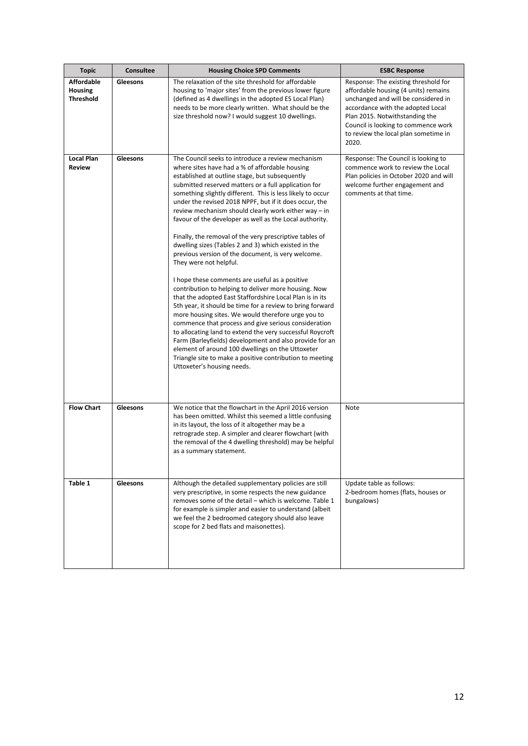| <b>Topic</b>                                            | <b>Consultee</b> | <b>Housing Choice SPD Comments</b>                                                                                                                                                                                                                                                                                                                                                                                                                                                                                                                                                                                                                                                                                                                                                                                                                                                                                                                                                                                                                                                                                                                                                                                                                                                 | <b>ESBC Response</b>                                                                                                                                                                                                                                                               |
|---------------------------------------------------------|------------------|------------------------------------------------------------------------------------------------------------------------------------------------------------------------------------------------------------------------------------------------------------------------------------------------------------------------------------------------------------------------------------------------------------------------------------------------------------------------------------------------------------------------------------------------------------------------------------------------------------------------------------------------------------------------------------------------------------------------------------------------------------------------------------------------------------------------------------------------------------------------------------------------------------------------------------------------------------------------------------------------------------------------------------------------------------------------------------------------------------------------------------------------------------------------------------------------------------------------------------------------------------------------------------|------------------------------------------------------------------------------------------------------------------------------------------------------------------------------------------------------------------------------------------------------------------------------------|
| <b>Affordable</b><br><b>Housing</b><br><b>Threshold</b> | Gleesons         | The relaxation of the site threshold for affordable<br>housing to 'major sites' from the previous lower figure<br>(defined as 4 dwellings in the adopted ES Local Plan)<br>needs to be more clearly written. What should be the<br>size threshold now? I would suggest 10 dwellings.                                                                                                                                                                                                                                                                                                                                                                                                                                                                                                                                                                                                                                                                                                                                                                                                                                                                                                                                                                                               | Response: The existing threshold for<br>affordable housing (4 units) remains<br>unchanged and will be considered in<br>accordance with the adopted Local<br>Plan 2015. Notwithstanding the<br>Council is looking to commence work<br>to review the local plan sometime in<br>2020. |
| <b>Local Plan</b><br><b>Review</b>                      | Gleesons         | The Council seeks to introduce a review mechanism<br>where sites have had a % of affordable housing<br>established at outline stage, but subsequently<br>submitted reserved matters or a full application for<br>something slightly different. This is less likely to occur<br>under the revised 2018 NPPF, but if it does occur, the<br>review mechanism should clearly work either way – in<br>favour of the developer as well as the Local authority.<br>Finally, the removal of the very prescriptive tables of<br>dwelling sizes (Tables 2 and 3) which existed in the<br>previous version of the document, is very welcome.<br>They were not helpful.<br>I hope these comments are useful as a positive<br>contribution to helping to deliver more housing. Now<br>that the adopted East Staffordshire Local Plan is in its<br>5th year, it should be time for a review to bring forward<br>more housing sites. We would therefore urge you to<br>commence that process and give serious consideration<br>to allocating land to extend the very successful Roycroft<br>Farm (Barleyfields) development and also provide for an<br>element of around 100 dwellings on the Uttoxeter<br>Triangle site to make a positive contribution to meeting<br>Uttoxeter's housing needs. | Response: The Council is looking to<br>commence work to review the Local<br>Plan policies in October 2020 and will<br>welcome further engagement and<br>comments at that time.                                                                                                     |
| <b>Flow Chart</b>                                       | Gleesons         | We notice that the flowchart in the April 2016 version<br>has been omitted. Whilst this seemed a little confusing<br>in its layout, the loss of it altogether may be a<br>retrograde step. A simpler and clearer flowchart (with<br>the removal of the 4 dwelling threshold) may be helpful<br>as a summary statement.                                                                                                                                                                                                                                                                                                                                                                                                                                                                                                                                                                                                                                                                                                                                                                                                                                                                                                                                                             | Note                                                                                                                                                                                                                                                                               |
| Table 1                                                 | Gleesons         | Although the detailed supplementary policies are still<br>very prescriptive, in some respects the new guidance<br>removes some of the detail - which is welcome. Table 1<br>for example is simpler and easier to understand (albeit)<br>we feel the 2 bedroomed category should also leave<br>scope for 2 bed flats and maisonettes).                                                                                                                                                                                                                                                                                                                                                                                                                                                                                                                                                                                                                                                                                                                                                                                                                                                                                                                                              | Update table as follows:<br>2-bedroom homes (flats, houses or<br>bungalows)                                                                                                                                                                                                        |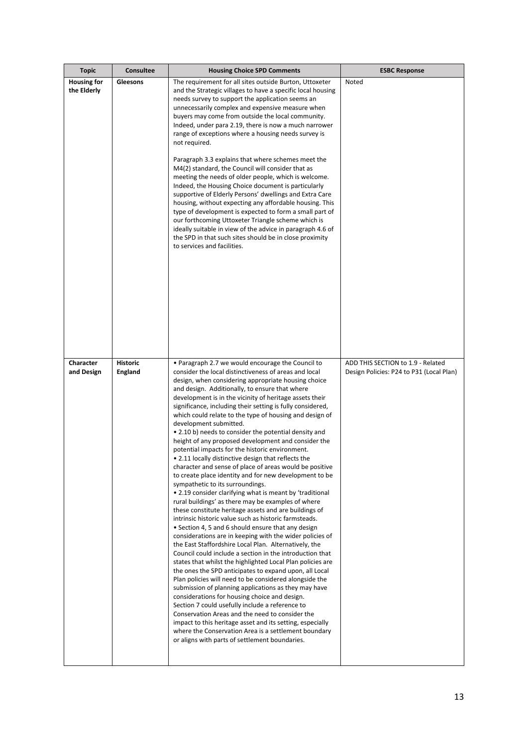| <b>Topic</b>                      | <b>Consultee</b>                  | <b>Housing Choice SPD Comments</b>                                                                                                                                                                                                                                                                                                                                                                                                                                                                                                                                                                                                                                                                                                                                                                                                                                                                                                                                                                                                                                                                                                                                                                                                                                                                                                                                                                                                                                                                                                                                                                                                                                                                                                                                                                                                                                      | <b>ESBC Response</b>                                                          |
|-----------------------------------|-----------------------------------|-------------------------------------------------------------------------------------------------------------------------------------------------------------------------------------------------------------------------------------------------------------------------------------------------------------------------------------------------------------------------------------------------------------------------------------------------------------------------------------------------------------------------------------------------------------------------------------------------------------------------------------------------------------------------------------------------------------------------------------------------------------------------------------------------------------------------------------------------------------------------------------------------------------------------------------------------------------------------------------------------------------------------------------------------------------------------------------------------------------------------------------------------------------------------------------------------------------------------------------------------------------------------------------------------------------------------------------------------------------------------------------------------------------------------------------------------------------------------------------------------------------------------------------------------------------------------------------------------------------------------------------------------------------------------------------------------------------------------------------------------------------------------------------------------------------------------------------------------------------------------|-------------------------------------------------------------------------------|
| <b>Housing for</b><br>the Elderly | Gleesons                          | The requirement for all sites outside Burton, Uttoxeter<br>and the Strategic villages to have a specific local housing<br>needs survey to support the application seems an<br>unnecessarily complex and expensive measure when<br>buyers may come from outside the local community.<br>Indeed, under para 2.19, there is now a much narrower<br>range of exceptions where a housing needs survey is<br>not required.<br>Paragraph 3.3 explains that where schemes meet the<br>M4(2) standard, the Council will consider that as<br>meeting the needs of older people, which is welcome.<br>Indeed, the Housing Choice document is particularly<br>supportive of Elderly Persons' dwellings and Extra Care<br>housing, without expecting any affordable housing. This<br>type of development is expected to form a small part of<br>our forthcoming Uttoxeter Triangle scheme which is<br>ideally suitable in view of the advice in paragraph 4.6 of<br>the SPD in that such sites should be in close proximity<br>to services and facilities.                                                                                                                                                                                                                                                                                                                                                                                                                                                                                                                                                                                                                                                                                                                                                                                                                           | Noted                                                                         |
| Character<br>and Design           | <b>Historic</b><br><b>England</b> | • Paragraph 2.7 we would encourage the Council to<br>consider the local distinctiveness of areas and local<br>design, when considering appropriate housing choice<br>and design. Additionally, to ensure that where<br>development is in the vicinity of heritage assets their<br>significance, including their setting is fully considered,<br>which could relate to the type of housing and design of<br>development submitted.<br>• 2.10 b) needs to consider the potential density and<br>height of any proposed development and consider the<br>potential impacts for the historic environment.<br>. 2.11 locally distinctive design that reflects the<br>character and sense of place of areas would be positive<br>to create place identity and for new development to be<br>sympathetic to its surroundings.<br>• 2.19 consider clarifying what is meant by 'traditional<br>rural buildings' as there may be examples of where<br>these constitute heritage assets and are buildings of<br>intrinsic historic value such as historic farmsteads.<br>• Section 4, 5 and 6 should ensure that any design<br>considerations are in keeping with the wider policies of<br>the East Staffordshire Local Plan. Alternatively, the<br>Council could include a section in the introduction that<br>states that whilst the highlighted Local Plan policies are<br>the ones the SPD anticipates to expand upon, all Local<br>Plan policies will need to be considered alongside the<br>submission of planning applications as they may have<br>considerations for housing choice and design.<br>Section 7 could usefully include a reference to<br>Conservation Areas and the need to consider the<br>impact to this heritage asset and its setting, especially<br>where the Conservation Area is a settlement boundary<br>or aligns with parts of settlement boundaries. | ADD THIS SECTION to 1.9 - Related<br>Design Policies: P24 to P31 (Local Plan) |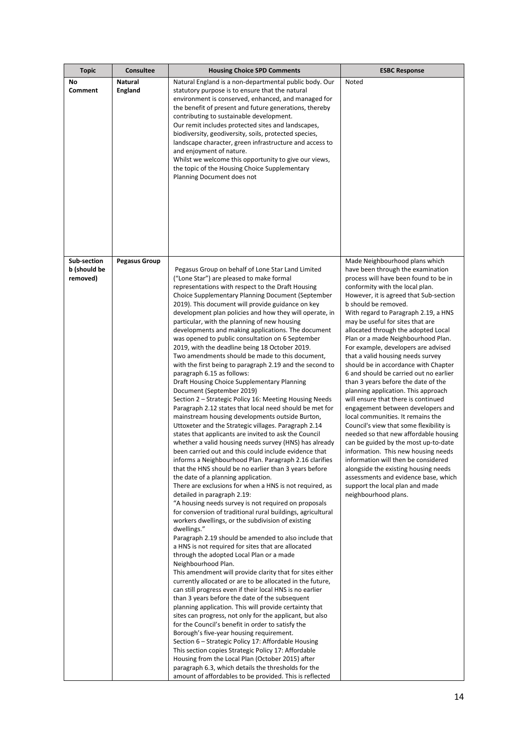| <b>Topic</b>                            | <b>Consultee</b>          | <b>Housing Choice SPD Comments</b>                                                                                                                                                                                                                                                                                                                                                                                                                                                                                                                                                                                                                                                                                                                                                                                                                                                                                                                                                                                                                                                                                                                                                                                                                                                                                                                                                                                                                                                                                                                                                                                                                                                                                                                                                                                                                                                                                                                                                                                                                                                                                                                                                                                                                                                                                                                                                                                                                                                                                                                           | <b>ESBC Response</b>                                                                                                                                                                                                                                                                                                                                                                                                                                                                                                                                                                                                                                                                                                                                                                                                                                                                                                                                                                                                                                                                         |
|-----------------------------------------|---------------------------|--------------------------------------------------------------------------------------------------------------------------------------------------------------------------------------------------------------------------------------------------------------------------------------------------------------------------------------------------------------------------------------------------------------------------------------------------------------------------------------------------------------------------------------------------------------------------------------------------------------------------------------------------------------------------------------------------------------------------------------------------------------------------------------------------------------------------------------------------------------------------------------------------------------------------------------------------------------------------------------------------------------------------------------------------------------------------------------------------------------------------------------------------------------------------------------------------------------------------------------------------------------------------------------------------------------------------------------------------------------------------------------------------------------------------------------------------------------------------------------------------------------------------------------------------------------------------------------------------------------------------------------------------------------------------------------------------------------------------------------------------------------------------------------------------------------------------------------------------------------------------------------------------------------------------------------------------------------------------------------------------------------------------------------------------------------------------------------------------------------------------------------------------------------------------------------------------------------------------------------------------------------------------------------------------------------------------------------------------------------------------------------------------------------------------------------------------------------------------------------------------------------------------------------------------------------|----------------------------------------------------------------------------------------------------------------------------------------------------------------------------------------------------------------------------------------------------------------------------------------------------------------------------------------------------------------------------------------------------------------------------------------------------------------------------------------------------------------------------------------------------------------------------------------------------------------------------------------------------------------------------------------------------------------------------------------------------------------------------------------------------------------------------------------------------------------------------------------------------------------------------------------------------------------------------------------------------------------------------------------------------------------------------------------------|
| No<br>Comment                           | <b>Natural</b><br>England | Natural England is a non-departmental public body. Our<br>statutory purpose is to ensure that the natural<br>environment is conserved, enhanced, and managed for<br>the benefit of present and future generations, thereby<br>contributing to sustainable development.<br>Our remit includes protected sites and landscapes,<br>biodiversity, geodiversity, soils, protected species,<br>landscape character, green infrastructure and access to<br>and enjoyment of nature.<br>Whilst we welcome this opportunity to give our views,<br>the topic of the Housing Choice Supplementary<br>Planning Document does not                                                                                                                                                                                                                                                                                                                                                                                                                                                                                                                                                                                                                                                                                                                                                                                                                                                                                                                                                                                                                                                                                                                                                                                                                                                                                                                                                                                                                                                                                                                                                                                                                                                                                                                                                                                                                                                                                                                                         | Noted                                                                                                                                                                                                                                                                                                                                                                                                                                                                                                                                                                                                                                                                                                                                                                                                                                                                                                                                                                                                                                                                                        |
| Sub-section<br>b (should be<br>removed) | <b>Pegasus Group</b>      | Pegasus Group on behalf of Lone Star Land Limited<br>("Lone Star") are pleased to make formal<br>representations with respect to the Draft Housing<br>Choice Supplementary Planning Document (September<br>2019). This document will provide guidance on key<br>development plan policies and how they will operate, in<br>particular, with the planning of new housing<br>developments and making applications. The document<br>was opened to public consultation on 6 September<br>2019, with the deadline being 18 October 2019.<br>Two amendments should be made to this document,<br>with the first being to paragraph 2.19 and the second to<br>paragraph 6.15 as follows:<br>Draft Housing Choice Supplementary Planning<br>Document (September 2019)<br>Section 2 – Strategic Policy 16: Meeting Housing Needs<br>Paragraph 2.12 states that local need should be met for<br>mainstream housing developments outside Burton,<br>Uttoxeter and the Strategic villages. Paragraph 2.14<br>states that applicants are invited to ask the Council<br>whether a valid housing needs survey (HNS) has already<br>been carried out and this could include evidence that<br>informs a Neighbourhood Plan. Paragraph 2.16 clarifies<br>that the HNS should be no earlier than 3 years before<br>the date of a planning application.<br>There are exclusions for when a HNS is not required, as<br>detailed in paragraph 2.19:<br>"A housing needs survey is not required on proposals<br>for conversion of traditional rural buildings, agricultural<br>workers dwellings, or the subdivision of existing<br>dwellings."<br>Paragraph 2.19 should be amended to also include that<br>a HNS is not required for sites that are allocated<br>through the adopted Local Plan or a made<br>Neighbourhood Plan.<br>This amendment will provide clarity that for sites either<br>currently allocated or are to be allocated in the future,<br>can still progress even if their local HNS is no earlier<br>than 3 years before the date of the subsequent<br>planning application. This will provide certainty that<br>sites can progress, not only for the applicant, but also<br>for the Council's benefit in order to satisfy the<br>Borough's five-year housing requirement.<br>Section 6 – Strategic Policy 17: Affordable Housing<br>This section copies Strategic Policy 17: Affordable<br>Housing from the Local Plan (October 2015) after<br>paragraph 6.3, which details the thresholds for the<br>amount of affordables to be provided. This is reflected | Made Neighbourhood plans which<br>have been through the examination<br>process will have been found to be in<br>conformity with the local plan.<br>However, it is agreed that Sub-section<br>b should be removed.<br>With regard to Paragraph 2.19, a HNS<br>may be useful for sites that are<br>allocated through the adopted Local<br>Plan or a made Neighbourhood Plan.<br>For example, developers are advised<br>that a valid housing needs survey<br>should be in accordance with Chapter<br>6 and should be carried out no earlier<br>than 3 years before the date of the<br>planning application. This approach<br>will ensure that there is continued<br>engagement between developers and<br>local communities. It remains the<br>Council's view that some flexibility is<br>needed so that new affordable housing<br>can be guided by the most up-to-date<br>information. This new housing needs<br>information will then be considered<br>alongside the existing housing needs<br>assessments and evidence base, which<br>support the local plan and made<br>neighbourhood plans. |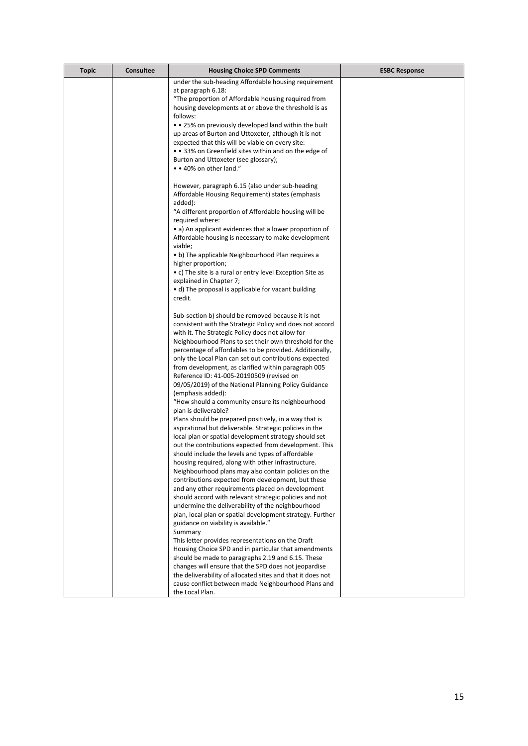| <b>Topic</b> | <b>Consultee</b> | <b>Housing Choice SPD Comments</b>                                                                      | <b>ESBC Response</b> |
|--------------|------------------|---------------------------------------------------------------------------------------------------------|----------------------|
|              |                  | under the sub-heading Affordable housing requirement                                                    |                      |
|              |                  | at paragraph 6.18:                                                                                      |                      |
|              |                  | "The proportion of Affordable housing required from                                                     |                      |
|              |                  | housing developments at or above the threshold is as                                                    |                      |
|              |                  | follows:                                                                                                |                      |
|              |                  | • • 25% on previously developed land within the built                                                   |                      |
|              |                  | up areas of Burton and Uttoxeter, although it is not                                                    |                      |
|              |                  | expected that this will be viable on every site:                                                        |                      |
|              |                  | • • 33% on Greenfield sites within and on the edge of                                                   |                      |
|              |                  | Burton and Uttoxeter (see glossary);<br>• 40% on other land."                                           |                      |
|              |                  |                                                                                                         |                      |
|              |                  | However, paragraph 6.15 (also under sub-heading                                                         |                      |
|              |                  | Affordable Housing Requirement) states (emphasis                                                        |                      |
|              |                  | added):                                                                                                 |                      |
|              |                  | "A different proportion of Affordable housing will be                                                   |                      |
|              |                  | required where:                                                                                         |                      |
|              |                  | • a) An applicant evidences that a lower proportion of                                                  |                      |
|              |                  | Affordable housing is necessary to make development                                                     |                      |
|              |                  | viable;                                                                                                 |                      |
|              |                  | • b) The applicable Neighbourhood Plan requires a                                                       |                      |
|              |                  | higher proportion;                                                                                      |                      |
|              |                  | • c) The site is a rural or entry level Exception Site as                                               |                      |
|              |                  | explained in Chapter 7;                                                                                 |                      |
|              |                  | • d) The proposal is applicable for vacant building                                                     |                      |
|              |                  | credit.                                                                                                 |                      |
|              |                  | Sub-section b) should be removed because it is not                                                      |                      |
|              |                  | consistent with the Strategic Policy and does not accord                                                |                      |
|              |                  | with it. The Strategic Policy does not allow for                                                        |                      |
|              |                  | Neighbourhood Plans to set their own threshold for the                                                  |                      |
|              |                  | percentage of affordables to be provided. Additionally,                                                 |                      |
|              |                  | only the Local Plan can set out contributions expected                                                  |                      |
|              |                  | from development, as clarified within paragraph 005                                                     |                      |
|              |                  | Reference ID: 41-005-20190509 (revised on                                                               |                      |
|              |                  | 09/05/2019) of the National Planning Policy Guidance                                                    |                      |
|              |                  | (emphasis added):                                                                                       |                      |
|              |                  | "How should a community ensure its neighbourhood                                                        |                      |
|              |                  | plan is deliverable?                                                                                    |                      |
|              |                  | Plans should be prepared positively, in a way that is                                                   |                      |
|              |                  | aspirational but deliverable. Strategic policies in the                                                 |                      |
|              |                  | local plan or spatial development strategy should set                                                   |                      |
|              |                  | out the contributions expected from development. This                                                   |                      |
|              |                  | should include the levels and types of affordable<br>housing required, along with other infrastructure. |                      |
|              |                  | Neighbourhood plans may also contain policies on the                                                    |                      |
|              |                  | contributions expected from development, but these                                                      |                      |
|              |                  | and any other requirements placed on development                                                        |                      |
|              |                  | should accord with relevant strategic policies and not                                                  |                      |
|              |                  | undermine the deliverability of the neighbourhood                                                       |                      |
|              |                  | plan, local plan or spatial development strategy. Further                                               |                      |
|              |                  | guidance on viability is available."                                                                    |                      |
|              |                  | Summary                                                                                                 |                      |
|              |                  | This letter provides representations on the Draft                                                       |                      |
|              |                  | Housing Choice SPD and in particular that amendments                                                    |                      |
|              |                  | should be made to paragraphs 2.19 and 6.15. These                                                       |                      |
|              |                  | changes will ensure that the SPD does not jeopardise                                                    |                      |
|              |                  | the deliverability of allocated sites and that it does not                                              |                      |
|              |                  | cause conflict between made Neighbourhood Plans and                                                     |                      |
|              |                  | the Local Plan.                                                                                         |                      |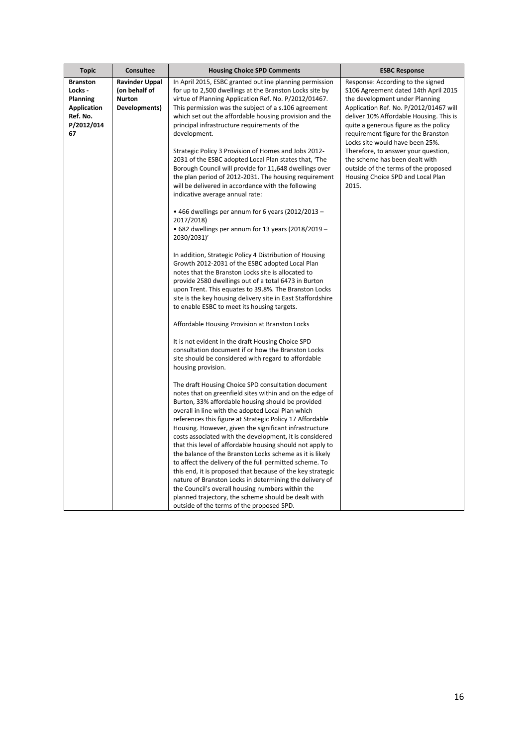| <b>Topic</b>       | <b>Consultee</b>      | <b>Housing Choice SPD Comments</b>                                                                                   | <b>ESBC Response</b>                                                         |
|--------------------|-----------------------|----------------------------------------------------------------------------------------------------------------------|------------------------------------------------------------------------------|
| <b>Branston</b>    | <b>Ravinder Uppal</b> | In April 2015, ESBC granted outline planning permission                                                              | Response: According to the signed                                            |
| Locks -            | (on behalf of         | for up to 2,500 dwellings at the Branston Locks site by                                                              | S106 Agreement dated 14th April 2015                                         |
| Planning           | <b>Nurton</b>         | virtue of Planning Application Ref. No. P/2012/01467.                                                                | the development under Planning                                               |
| <b>Application</b> | Developments)         | This permission was the subject of a s.106 agreement                                                                 | Application Ref. No. P/2012/01467 will                                       |
| Ref. No.           |                       | which set out the affordable housing provision and the                                                               | deliver 10% Affordable Housing. This is                                      |
| P/2012/014<br>67   |                       | principal infrastructure requirements of the<br>development.                                                         | quite a generous figure as the policy<br>requirement figure for the Branston |
|                    |                       |                                                                                                                      | Locks site would have been 25%.                                              |
|                    |                       | Strategic Policy 3 Provision of Homes and Jobs 2012-                                                                 | Therefore, to answer your question,                                          |
|                    |                       | 2031 of the ESBC adopted Local Plan states that, 'The                                                                | the scheme has been dealt with                                               |
|                    |                       | Borough Council will provide for 11,648 dwellings over                                                               | outside of the terms of the proposed                                         |
|                    |                       | the plan period of 2012-2031. The housing requirement                                                                | Housing Choice SPD and Local Plan                                            |
|                    |                       | will be delivered in accordance with the following                                                                   | 2015.                                                                        |
|                    |                       | indicative average annual rate:                                                                                      |                                                                              |
|                    |                       | $\bullet$ 466 dwellings per annum for 6 years (2012/2013 –                                                           |                                                                              |
|                    |                       | 2017/2018)                                                                                                           |                                                                              |
|                    |                       | • 682 dwellings per annum for 13 years (2018/2019 -                                                                  |                                                                              |
|                    |                       | 2030/2031)                                                                                                           |                                                                              |
|                    |                       | In addition, Strategic Policy 4 Distribution of Housing                                                              |                                                                              |
|                    |                       | Growth 2012-2031 of the ESBC adopted Local Plan                                                                      |                                                                              |
|                    |                       | notes that the Branston Locks site is allocated to                                                                   |                                                                              |
|                    |                       | provide 2580 dwellings out of a total 6473 in Burton                                                                 |                                                                              |
|                    |                       | upon Trent. This equates to 39.8%. The Branston Locks<br>site is the key housing delivery site in East Staffordshire |                                                                              |
|                    |                       | to enable ESBC to meet its housing targets.                                                                          |                                                                              |
|                    |                       |                                                                                                                      |                                                                              |
|                    |                       | Affordable Housing Provision at Branston Locks                                                                       |                                                                              |
|                    |                       | It is not evident in the draft Housing Choice SPD                                                                    |                                                                              |
|                    |                       | consultation document if or how the Branston Locks                                                                   |                                                                              |
|                    |                       | site should be considered with regard to affordable                                                                  |                                                                              |
|                    |                       | housing provision.                                                                                                   |                                                                              |
|                    |                       | The draft Housing Choice SPD consultation document                                                                   |                                                                              |
|                    |                       | notes that on greenfield sites within and on the edge of                                                             |                                                                              |
|                    |                       | Burton, 33% affordable housing should be provided                                                                    |                                                                              |
|                    |                       | overall in line with the adopted Local Plan which                                                                    |                                                                              |
|                    |                       | references this figure at Strategic Policy 17 Affordable<br>Housing. However, given the significant infrastructure   |                                                                              |
|                    |                       | costs associated with the development, it is considered                                                              |                                                                              |
|                    |                       | that this level of affordable housing should not apply to                                                            |                                                                              |
|                    |                       | the balance of the Branston Locks scheme as it is likely                                                             |                                                                              |
|                    |                       | to affect the delivery of the full permitted scheme. To                                                              |                                                                              |
|                    |                       | this end, it is proposed that because of the key strategic                                                           |                                                                              |
|                    |                       | nature of Branston Locks in determining the delivery of                                                              |                                                                              |
|                    |                       | the Council's overall housing numbers within the<br>planned trajectory, the scheme should be dealt with              |                                                                              |
|                    |                       | outside of the terms of the proposed SPD.                                                                            |                                                                              |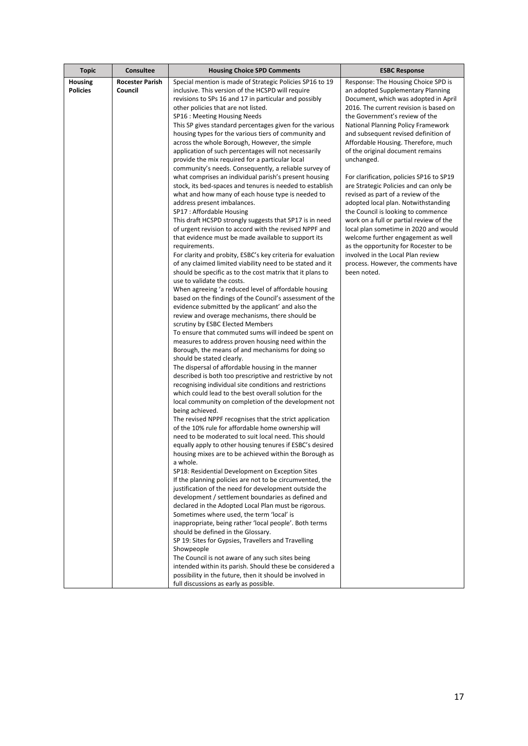| <b>Topic</b>    | Consultee              | <b>Housing Choice SPD Comments</b>                                                                                 | <b>ESBC Response</b>                                                           |
|-----------------|------------------------|--------------------------------------------------------------------------------------------------------------------|--------------------------------------------------------------------------------|
| Housing         | <b>Rocester Parish</b> | Special mention is made of Strategic Policies SP16 to 19                                                           | Response: The Housing Choice SPD is                                            |
| <b>Policies</b> | Council                | inclusive. This version of the HCSPD will require                                                                  | an adopted Supplementary Planning                                              |
|                 |                        | revisions to SPs 16 and 17 in particular and possibly<br>other policies that are not listed.                       | Document, which was adopted in April<br>2016. The current revision is based on |
|                 |                        | SP16 : Meeting Housing Needs                                                                                       | the Government's review of the                                                 |
|                 |                        | This SP gives standard percentages given for the various                                                           | National Planning Policy Framework                                             |
|                 |                        | housing types for the various tiers of community and                                                               | and subsequent revised definition of                                           |
|                 |                        | across the whole Borough, However, the simple                                                                      | Affordable Housing. Therefore, much                                            |
|                 |                        | application of such percentages will not necessarily                                                               | of the original document remains                                               |
|                 |                        | provide the mix required for a particular local                                                                    | unchanged.                                                                     |
|                 |                        | community's needs. Consequently, a reliable survey of                                                              |                                                                                |
|                 |                        | what comprises an individual parish's present housing                                                              | For clarification, policies SP16 to SP19                                       |
|                 |                        | stock, its bed-spaces and tenures is needed to establish                                                           | are Strategic Policies and can only be                                         |
|                 |                        | what and how many of each house type is needed to<br>address present imbalances.                                   | revised as part of a review of the<br>adopted local plan. Notwithstanding      |
|                 |                        | SP17: Affordable Housing                                                                                           | the Council is looking to commence                                             |
|                 |                        | This draft HCSPD strongly suggests that SP17 is in need                                                            | work on a full or partial review of the                                        |
|                 |                        | of urgent revision to accord with the revised NPPF and                                                             | local plan sometime in 2020 and would                                          |
|                 |                        | that evidence must be made available to support its                                                                | welcome further engagement as well                                             |
|                 |                        | requirements.                                                                                                      | as the opportunity for Rocester to be                                          |
|                 |                        | For clarity and probity, ESBC's key criteria for evaluation                                                        | involved in the Local Plan review                                              |
|                 |                        | of any claimed limited viability need to be stated and it                                                          | process. However, the comments have                                            |
|                 |                        | should be specific as to the cost matrix that it plans to                                                          | been noted.                                                                    |
|                 |                        | use to validate the costs.                                                                                         |                                                                                |
|                 |                        | When agreeing 'a reduced level of affordable housing<br>based on the findings of the Council's assessment of the   |                                                                                |
|                 |                        | evidence submitted by the applicant' and also the                                                                  |                                                                                |
|                 |                        | review and overage mechanisms, there should be                                                                     |                                                                                |
|                 |                        | scrutiny by ESBC Elected Members                                                                                   |                                                                                |
|                 |                        | To ensure that commuted sums will indeed be spent on                                                               |                                                                                |
|                 |                        | measures to address proven housing need within the                                                                 |                                                                                |
|                 |                        | Borough, the means of and mechanisms for doing so                                                                  |                                                                                |
|                 |                        | should be stated clearly.                                                                                          |                                                                                |
|                 |                        | The dispersal of affordable housing in the manner<br>described is both too prescriptive and restrictive by not     |                                                                                |
|                 |                        | recognising individual site conditions and restrictions                                                            |                                                                                |
|                 |                        | which could lead to the best overall solution for the                                                              |                                                                                |
|                 |                        | local community on completion of the development not                                                               |                                                                                |
|                 |                        | being achieved.                                                                                                    |                                                                                |
|                 |                        | The revised NPPF recognises that the strict application                                                            |                                                                                |
|                 |                        | of the 10% rule for affordable home ownership will                                                                 |                                                                                |
|                 |                        | need to be moderated to suit local need. This should                                                               |                                                                                |
|                 |                        | equally apply to other housing tenures if ESBC's desired<br>housing mixes are to be achieved within the Borough as |                                                                                |
|                 |                        | a whole.                                                                                                           |                                                                                |
|                 |                        | SP18: Residential Development on Exception Sites                                                                   |                                                                                |
|                 |                        | If the planning policies are not to be circumvented, the                                                           |                                                                                |
|                 |                        | justification of the need for development outside the                                                              |                                                                                |
|                 |                        | development / settlement boundaries as defined and                                                                 |                                                                                |
|                 |                        | declared in the Adopted Local Plan must be rigorous.                                                               |                                                                                |
|                 |                        | Sometimes where used, the term 'local' is                                                                          |                                                                                |
|                 |                        | inappropriate, being rather 'local people'. Both terms<br>should be defined in the Glossary.                       |                                                                                |
|                 |                        | SP 19: Sites for Gypsies, Travellers and Travelling                                                                |                                                                                |
|                 |                        | Showpeople                                                                                                         |                                                                                |
|                 |                        | The Council is not aware of any such sites being                                                                   |                                                                                |
|                 |                        | intended within its parish. Should these be considered a                                                           |                                                                                |
|                 |                        | possibility in the future, then it should be involved in                                                           |                                                                                |
|                 |                        | full discussions as early as possible.                                                                             |                                                                                |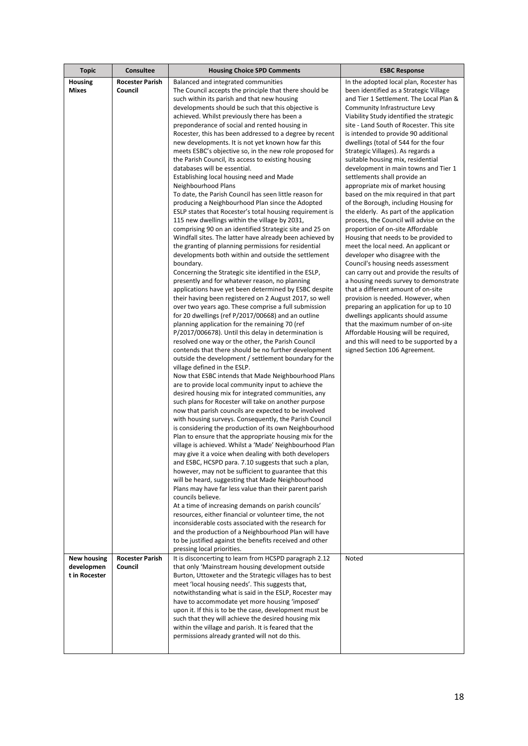| <b>Topic</b>       | <b>Consultee</b>       | <b>Housing Choice SPD Comments</b>                                                                         | <b>ESBC Response</b>                                                  |
|--------------------|------------------------|------------------------------------------------------------------------------------------------------------|-----------------------------------------------------------------------|
| <b>Housing</b>     | <b>Rocester Parish</b> | Balanced and integrated communities                                                                        | In the adopted local plan, Rocester has                               |
| Mixes              | Council                | The Council accepts the principle that there should be                                                     | been identified as a Strategic Village                                |
|                    |                        | such within its parish and that new housing                                                                | and Tier 1 Settlement. The Local Plan &                               |
|                    |                        | developments should be such that this objective is                                                         | Community Infrastructure Levy                                         |
|                    |                        | achieved. Whilst previously there has been a                                                               | Viability Study identified the strategic                              |
|                    |                        | preponderance of social and rented housing in                                                              | site - Land South of Rocester. This site                              |
|                    |                        | Rocester, this has been addressed to a degree by recent                                                    | is intended to provide 90 additional                                  |
|                    |                        | new developments. It is not yet known how far this                                                         | dwellings (total of 544 for the four                                  |
|                    |                        | meets ESBC's objective so, in the new role proposed for                                                    | Strategic Villages). As regards a                                     |
|                    |                        | the Parish Council, its access to existing housing                                                         | suitable housing mix, residential                                     |
|                    |                        | databases will be essential.                                                                               | development in main towns and Tier 1                                  |
|                    |                        | Establishing local housing need and Made                                                                   | settlements shall provide an                                          |
|                    |                        | Neighbourhood Plans                                                                                        | appropriate mix of market housing                                     |
|                    |                        | To date, the Parish Council has seen little reason for                                                     | based on the mix required in that part                                |
|                    |                        | producing a Neighbourhood Plan since the Adopted                                                           | of the Borough, including Housing for                                 |
|                    |                        | ESLP states that Rocester's total housing requirement is                                                   | the elderly. As part of the application                               |
|                    |                        | 115 new dwellings within the village by 2031,                                                              | process, the Council will advise on the                               |
|                    |                        | comprising 90 on an identified Strategic site and 25 on                                                    | proportion of on-site Affordable                                      |
|                    |                        | Windfall sites. The latter have already been achieved by                                                   | Housing that needs to be provided to                                  |
|                    |                        | the granting of planning permissions for residential                                                       | meet the local need. An applicant or                                  |
|                    |                        | developments both within and outside the settlement<br>boundary.                                           | developer who disagree with the<br>Council's housing needs assessment |
|                    |                        | Concerning the Strategic site identified in the ESLP,                                                      | can carry out and provide the results of                              |
|                    |                        | presently and for whatever reason, no planning                                                             | a housing needs survey to demonstrate                                 |
|                    |                        | applications have yet been determined by ESBC despite                                                      | that a different amount of on-site                                    |
|                    |                        | their having been registered on 2 August 2017, so well                                                     | provision is needed. However, when                                    |
|                    |                        | over two years ago. These comprise a full submission                                                       | preparing an application for up to 10                                 |
|                    |                        | for 20 dwellings (ref P/2017/00668) and an outline                                                         | dwellings applicants should assume                                    |
|                    |                        | planning application for the remaining 70 (ref                                                             | that the maximum number of on-site                                    |
|                    |                        | P/2017/006678). Until this delay in determination is                                                       | Affordable Housing will be required,                                  |
|                    |                        | resolved one way or the other, the Parish Council                                                          | and this will need to be supported by a                               |
|                    |                        | contends that there should be no further development                                                       | signed Section 106 Agreement.                                         |
|                    |                        | outside the development / settlement boundary for the                                                      |                                                                       |
|                    |                        | village defined in the ESLP.                                                                               |                                                                       |
|                    |                        | Now that ESBC intends that Made Neighbourhood Plans                                                        |                                                                       |
|                    |                        | are to provide local community input to achieve the                                                        |                                                                       |
|                    |                        | desired housing mix for integrated communities, any                                                        |                                                                       |
|                    |                        | such plans for Rocester will take on another purpose                                                       |                                                                       |
|                    |                        | now that parish councils are expected to be involved                                                       |                                                                       |
|                    |                        | with housing surveys. Consequently, the Parish Council                                                     |                                                                       |
|                    |                        | is considering the production of its own Neighbourhood                                                     |                                                                       |
|                    |                        | Plan to ensure that the appropriate housing mix for the                                                    |                                                                       |
|                    |                        | village is achieved. Whilst a 'Made' Neighbourhood Plan                                                    |                                                                       |
|                    |                        | may give it a voice when dealing with both developers                                                      |                                                                       |
|                    |                        | and ESBC, HCSPD para. 7.10 suggests that such a plan,                                                      |                                                                       |
|                    |                        | however, may not be sufficient to guarantee that this<br>will be heard, suggesting that Made Neighbourhood |                                                                       |
|                    |                        | Plans may have far less value than their parent parish                                                     |                                                                       |
|                    |                        | councils believe.                                                                                          |                                                                       |
|                    |                        | At a time of increasing demands on parish councils'                                                        |                                                                       |
|                    |                        | resources, either financial or volunteer time, the not                                                     |                                                                       |
|                    |                        | inconsiderable costs associated with the research for                                                      |                                                                       |
|                    |                        | and the production of a Neighbourhood Plan will have                                                       |                                                                       |
|                    |                        | to be justified against the benefits received and other                                                    |                                                                       |
|                    |                        | pressing local priorities.                                                                                 |                                                                       |
| <b>New housing</b> | <b>Rocester Parish</b> | It is disconcerting to learn from HCSPD paragraph 2.12                                                     | Noted                                                                 |
| developmen         | Council                | that only 'Mainstream housing development outside                                                          |                                                                       |
| t in Rocester      |                        | Burton, Uttoxeter and the Strategic villages has to best                                                   |                                                                       |
|                    |                        | meet 'local housing needs'. This suggests that,                                                            |                                                                       |
|                    |                        | notwithstanding what is said in the ESLP, Rocester may                                                     |                                                                       |
|                    |                        | have to accommodate yet more housing 'imposed'                                                             |                                                                       |
|                    |                        | upon it. If this is to be the case, development must be                                                    |                                                                       |
|                    |                        | such that they will achieve the desired housing mix                                                        |                                                                       |
|                    |                        | within the village and parish. It is feared that the                                                       |                                                                       |
|                    |                        | permissions already granted will not do this.                                                              |                                                                       |
|                    |                        |                                                                                                            |                                                                       |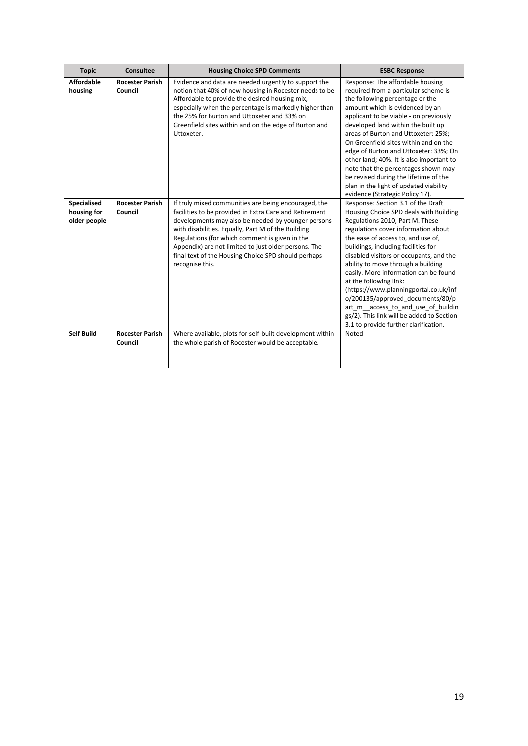| <b>Topic</b>                               | Consultee                         | <b>Housing Choice SPD Comments</b>                                                                                                                                                                                                                                                                                                                                                                             | <b>ESBC Response</b>                                                                                                                                                                                                                                                                                                                                                                                                                                                                                                                                                                             |
|--------------------------------------------|-----------------------------------|----------------------------------------------------------------------------------------------------------------------------------------------------------------------------------------------------------------------------------------------------------------------------------------------------------------------------------------------------------------------------------------------------------------|--------------------------------------------------------------------------------------------------------------------------------------------------------------------------------------------------------------------------------------------------------------------------------------------------------------------------------------------------------------------------------------------------------------------------------------------------------------------------------------------------------------------------------------------------------------------------------------------------|
| <b>Affordable</b><br>housing               | <b>Rocester Parish</b><br>Council | Evidence and data are needed urgently to support the<br>notion that 40% of new housing in Rocester needs to be<br>Affordable to provide the desired housing mix,<br>especially when the percentage is markedly higher than<br>the 25% for Burton and Uttoxeter and 33% on<br>Greenfield sites within and on the edge of Burton and<br>Uttoxeter.                                                               | Response: The affordable housing<br>required from a particular scheme is<br>the following percentage or the<br>amount which is evidenced by an<br>applicant to be viable - on previously<br>developed land within the built up<br>areas of Burton and Uttoxeter: 25%;<br>On Greenfield sites within and on the<br>edge of Burton and Uttoxeter: 33%; On<br>other land; 40%. It is also important to<br>note that the percentages shown may<br>be revised during the lifetime of the<br>plan in the light of updated viability<br>evidence (Strategic Policy 17).                                 |
| Specialised<br>housing for<br>older people | <b>Rocester Parish</b><br>Council | If truly mixed communities are being encouraged, the<br>facilities to be provided in Extra Care and Retirement<br>developments may also be needed by younger persons<br>with disabilities. Equally, Part M of the Building<br>Regulations (for which comment is given in the<br>Appendix) are not limited to just older persons. The<br>final text of the Housing Choice SPD should perhaps<br>recognise this. | Response: Section 3.1 of the Draft<br>Housing Choice SPD deals with Building<br>Regulations 2010, Part M. These<br>regulations cover information about<br>the ease of access to, and use of,<br>buildings, including facilities for<br>disabled visitors or occupants, and the<br>ability to move through a building<br>easily. More information can be found<br>at the following link:<br>(https://www.planningportal.co.uk/inf<br>o/200135/approved documents/80/p<br>art_m_access_to_and_use_of_buildin<br>gs/2). This link will be added to Section<br>3.1 to provide further clarification. |
| <b>Self Build</b>                          | <b>Rocester Parish</b><br>Council | Where available, plots for self-built development within<br>the whole parish of Rocester would be acceptable.                                                                                                                                                                                                                                                                                                  | Noted                                                                                                                                                                                                                                                                                                                                                                                                                                                                                                                                                                                            |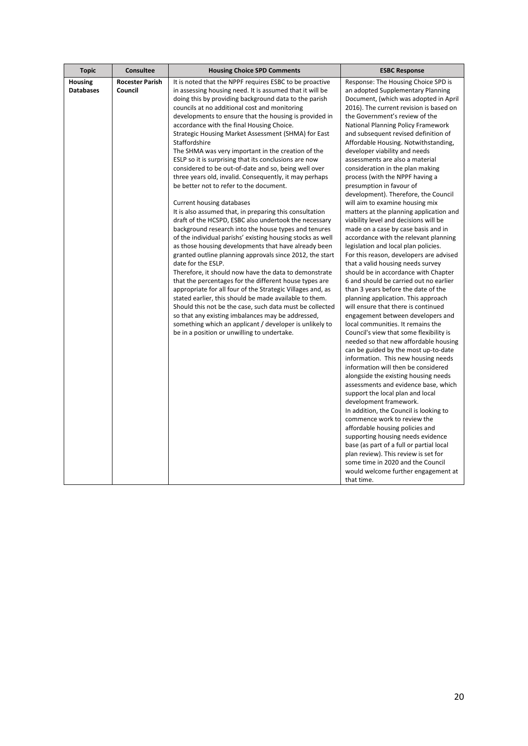| <b>Housing</b><br><b>Rocester Parish</b><br>It is noted that the NPPF requires ESBC to be proactive<br>Response: The Housing Choice SPD is<br><b>Databases</b><br>Council<br>an adopted Supplementary Planning<br>in assessing housing need. It is assumed that it will be                                                                                                                                                                                                                                                                                                                                                                                                                                                                                                                                                                                                                                                                                                                                                                                                                                                                                                                                                                                                                                                                                                                                                                                                                                                                                                                                                                                                                                                                                                                                                                                                                                                                                                                                                                                                                                                                                                                                                                                                                                                                                                                                                                                                                                                                                                                                                                                                                                                                                                                                                                                                                                                                                                                                                                                                                                                                                                                                          |
|---------------------------------------------------------------------------------------------------------------------------------------------------------------------------------------------------------------------------------------------------------------------------------------------------------------------------------------------------------------------------------------------------------------------------------------------------------------------------------------------------------------------------------------------------------------------------------------------------------------------------------------------------------------------------------------------------------------------------------------------------------------------------------------------------------------------------------------------------------------------------------------------------------------------------------------------------------------------------------------------------------------------------------------------------------------------------------------------------------------------------------------------------------------------------------------------------------------------------------------------------------------------------------------------------------------------------------------------------------------------------------------------------------------------------------------------------------------------------------------------------------------------------------------------------------------------------------------------------------------------------------------------------------------------------------------------------------------------------------------------------------------------------------------------------------------------------------------------------------------------------------------------------------------------------------------------------------------------------------------------------------------------------------------------------------------------------------------------------------------------------------------------------------------------------------------------------------------------------------------------------------------------------------------------------------------------------------------------------------------------------------------------------------------------------------------------------------------------------------------------------------------------------------------------------------------------------------------------------------------------------------------------------------------------------------------------------------------------------------------------------------------------------------------------------------------------------------------------------------------------------------------------------------------------------------------------------------------------------------------------------------------------------------------------------------------------------------------------------------------------------------------------------------------------------------------------------------------------|
| doing this by providing background data to the parish<br>Document, (which was adopted in April<br>councils at no additional cost and monitoring<br>2016). The current revision is based on<br>developments to ensure that the housing is provided in<br>the Government's review of the<br>accordance with the final Housing Choice.<br>National Planning Policy Framework<br>Strategic Housing Market Assessment (SHMA) for East<br>and subsequent revised definition of<br>Staffordshire<br>Affordable Housing. Notwithstanding,<br>The SHMA was very important in the creation of the<br>developer viability and needs<br>ESLP so it is surprising that its conclusions are now<br>assessments are also a material<br>considered to be out-of-date and so, being well over<br>consideration in the plan making<br>three years old, invalid. Consequently, it may perhaps<br>process (with the NPPF having a<br>be better not to refer to the document.<br>presumption in favour of<br>development). Therefore, the Council<br><b>Current housing databases</b><br>will aim to examine housing mix<br>It is also assumed that, in preparing this consultation<br>matters at the planning application and<br>draft of the HCSPD, ESBC also undertook the necessary<br>viability level and decisions will be<br>background research into the house types and tenures<br>made on a case by case basis and in<br>of the individual parishs' existing housing stocks as well<br>accordance with the relevant planning<br>as those housing developments that have already been<br>legislation and local plan policies.<br>granted outline planning approvals since 2012, the start<br>For this reason, developers are advised<br>date for the ESLP.<br>that a valid housing needs survey<br>Therefore, it should now have the data to demonstrate<br>should be in accordance with Chapter<br>that the percentages for the different house types are<br>6 and should be carried out no earlier<br>appropriate for all four of the Strategic Villages and, as<br>than 3 years before the date of the<br>stated earlier, this should be made available to them.<br>planning application. This approach<br>Should this not be the case, such data must be collected<br>will ensure that there is continued<br>so that any existing imbalances may be addressed,<br>engagement between developers and<br>something which an applicant / developer is unlikely to<br>local communities. It remains the<br>be in a position or unwilling to undertake.<br>Council's view that some flexibility is<br>needed so that new affordable housing<br>can be guided by the most up-to-date<br>information. This new housing needs<br>information will then be considered<br>alongside the existing housing needs<br>assessments and evidence base, which<br>support the local plan and local<br>development framework.<br>In addition, the Council is looking to<br>commence work to review the<br>affordable housing policies and<br>supporting housing needs evidence<br>base (as part of a full or partial local<br>plan review). This review is set for<br>some time in 2020 and the Council<br>would welcome further engagement at |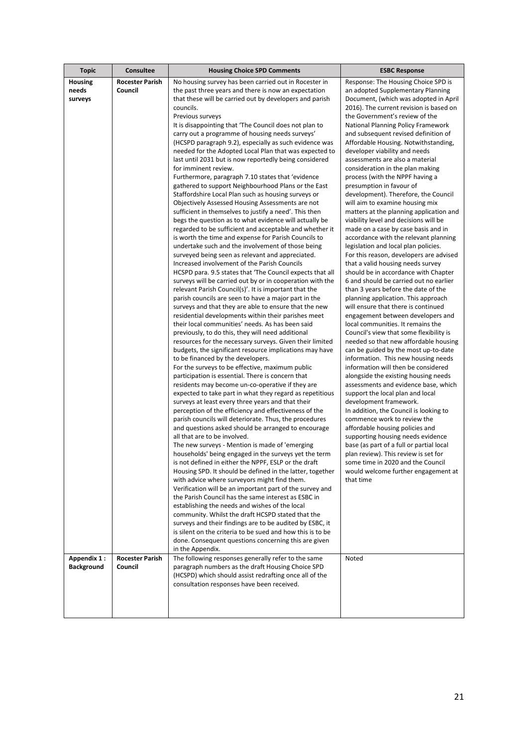| <b>Topic</b>                                      | <b>Consultee</b>                                            | <b>Housing Choice SPD Comments</b>                                                                                                                                                                                                                                                                                                                                                                                                                                                                                                                                                                                                                                                                                                                                                                                                                                                                                                                                                                                                                                                                                                                                                                                                                                                                                                                                                                                                                                                                                                                                                                                                                                                                                                                                                                                                                                                                                                                                                                                                                                                                                                                                                                                                                                                                                                                                                                                                                                                                                                                                                                                                                                                                                                                                                                                                                                                                                                                                                                                                                | <b>ESBC Response</b>                                                                                                                                                                                                                                                                                                                                                                                                                                                                                                                                                                                                                                                                                                                                                                                                                                                                                                                                                                                                                                                                                                                                                                                                                                                                                                                                                                                                                                                                                                                                                                                                                                                                                                                                                                                                                               |
|---------------------------------------------------|-------------------------------------------------------------|---------------------------------------------------------------------------------------------------------------------------------------------------------------------------------------------------------------------------------------------------------------------------------------------------------------------------------------------------------------------------------------------------------------------------------------------------------------------------------------------------------------------------------------------------------------------------------------------------------------------------------------------------------------------------------------------------------------------------------------------------------------------------------------------------------------------------------------------------------------------------------------------------------------------------------------------------------------------------------------------------------------------------------------------------------------------------------------------------------------------------------------------------------------------------------------------------------------------------------------------------------------------------------------------------------------------------------------------------------------------------------------------------------------------------------------------------------------------------------------------------------------------------------------------------------------------------------------------------------------------------------------------------------------------------------------------------------------------------------------------------------------------------------------------------------------------------------------------------------------------------------------------------------------------------------------------------------------------------------------------------------------------------------------------------------------------------------------------------------------------------------------------------------------------------------------------------------------------------------------------------------------------------------------------------------------------------------------------------------------------------------------------------------------------------------------------------------------------------------------------------------------------------------------------------------------------------------------------------------------------------------------------------------------------------------------------------------------------------------------------------------------------------------------------------------------------------------------------------------------------------------------------------------------------------------------------------------------------------------------------------------------------------------------------------|----------------------------------------------------------------------------------------------------------------------------------------------------------------------------------------------------------------------------------------------------------------------------------------------------------------------------------------------------------------------------------------------------------------------------------------------------------------------------------------------------------------------------------------------------------------------------------------------------------------------------------------------------------------------------------------------------------------------------------------------------------------------------------------------------------------------------------------------------------------------------------------------------------------------------------------------------------------------------------------------------------------------------------------------------------------------------------------------------------------------------------------------------------------------------------------------------------------------------------------------------------------------------------------------------------------------------------------------------------------------------------------------------------------------------------------------------------------------------------------------------------------------------------------------------------------------------------------------------------------------------------------------------------------------------------------------------------------------------------------------------------------------------------------------------------------------------------------------------|
| <b>Housing</b><br>needs<br>surveys<br>Appendix 1: | <b>Rocester Parish</b><br>Council<br><b>Rocester Parish</b> | No housing survey has been carried out in Rocester in<br>the past three years and there is now an expectation<br>that these will be carried out by developers and parish<br>councils.<br>Previous surveys<br>It is disappointing that 'The Council does not plan to<br>carry out a programme of housing needs surveys'<br>(HCSPD paragraph 9.2), especially as such evidence was<br>needed for the Adopted Local Plan that was expected to<br>last until 2031 but is now reportedly being considered<br>for imminent review.<br>Furthermore, paragraph 7.10 states that 'evidence<br>gathered to support Neighbourhood Plans or the East<br>Staffordshire Local Plan such as housing surveys or<br>Objectively Assessed Housing Assessments are not<br>sufficient in themselves to justify a need'. This then<br>begs the question as to what evidence will actually be<br>regarded to be sufficient and acceptable and whether it<br>is worth the time and expense for Parish Councils to<br>undertake such and the involvement of those being<br>surveyed being seen as relevant and appreciated.<br>Increased involvement of the Parish Councils<br>HCSPD para. 9.5 states that 'The Council expects that all<br>surveys will be carried out by or in cooperation with the<br>relevant Parish Council(s)'. It is important that the<br>parish councils are seen to have a major part in the<br>surveys and that they are able to ensure that the new<br>residential developments within their parishes meet<br>their local communities' needs. As has been said<br>previously, to do this, they will need additional<br>resources for the necessary surveys. Given their limited<br>budgets, the significant resource implications may have<br>to be financed by the developers.<br>For the surveys to be effective, maximum public<br>participation is essential. There is concern that<br>residents may become un-co-operative if they are<br>expected to take part in what they regard as repetitious<br>surveys at least every three years and that their<br>perception of the efficiency and effectiveness of the<br>parish councils will deteriorate. Thus, the procedures<br>and questions asked should be arranged to encourage<br>all that are to be involved.<br>The new surveys - Mention is made of 'emerging<br>households' being engaged in the surveys yet the term<br>is not defined in either the NPPF, ESLP or the draft<br>Housing SPD. It should be defined in the latter, together<br>with advice where surveyors might find them.<br>Verification will be an important part of the survey and<br>the Parish Council has the same interest as ESBC in<br>establishing the needs and wishes of the local<br>community. Whilst the draft HCSPD stated that the<br>surveys and their findings are to be audited by ESBC, it<br>is silent on the criteria to be sued and how this is to be<br>done. Consequent questions concerning this are given<br>in the Appendix.<br>The following responses generally refer to the same | Response: The Housing Choice SPD is<br>an adopted Supplementary Planning<br>Document, (which was adopted in April<br>2016). The current revision is based on<br>the Government's review of the<br>National Planning Policy Framework<br>and subsequent revised definition of<br>Affordable Housing. Notwithstanding,<br>developer viability and needs<br>assessments are also a material<br>consideration in the plan making<br>process (with the NPPF having a<br>presumption in favour of<br>development). Therefore, the Council<br>will aim to examine housing mix<br>matters at the planning application and<br>viability level and decisions will be<br>made on a case by case basis and in<br>accordance with the relevant planning<br>legislation and local plan policies.<br>For this reason, developers are advised<br>that a valid housing needs survey<br>should be in accordance with Chapter<br>6 and should be carried out no earlier<br>than 3 years before the date of the<br>planning application. This approach<br>will ensure that there is continued<br>engagement between developers and<br>local communities. It remains the<br>Council's view that some flexibility is<br>needed so that new affordable housing<br>can be guided by the most up-to-date<br>information. This new housing needs<br>information will then be considered<br>alongside the existing housing needs<br>assessments and evidence base, which<br>support the local plan and local<br>development framework.<br>In addition, the Council is looking to<br>commence work to review the<br>affordable housing policies and<br>supporting housing needs evidence<br>base (as part of a full or partial local<br>plan review). This review is set for<br>some time in 2020 and the Council<br>would welcome further engagement at<br>that time<br>Noted |
| <b>Background</b>                                 | Council                                                     | paragraph numbers as the draft Housing Choice SPD<br>(HCSPD) which should assist redrafting once all of the<br>consultation responses have been received.                                                                                                                                                                                                                                                                                                                                                                                                                                                                                                                                                                                                                                                                                                                                                                                                                                                                                                                                                                                                                                                                                                                                                                                                                                                                                                                                                                                                                                                                                                                                                                                                                                                                                                                                                                                                                                                                                                                                                                                                                                                                                                                                                                                                                                                                                                                                                                                                                                                                                                                                                                                                                                                                                                                                                                                                                                                                                         |                                                                                                                                                                                                                                                                                                                                                                                                                                                                                                                                                                                                                                                                                                                                                                                                                                                                                                                                                                                                                                                                                                                                                                                                                                                                                                                                                                                                                                                                                                                                                                                                                                                                                                                                                                                                                                                    |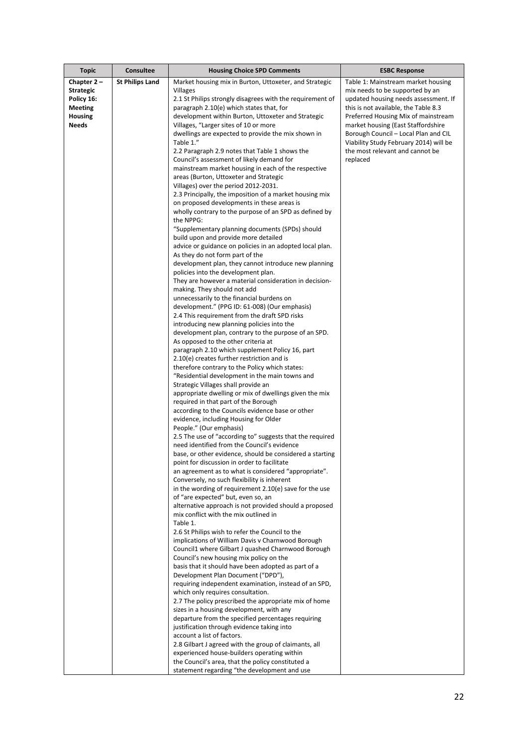| <b>Topic</b>     | Consultee              | <b>Housing Choice SPD Comments</b>                                                                   | <b>ESBC Response</b>                                                           |
|------------------|------------------------|------------------------------------------------------------------------------------------------------|--------------------------------------------------------------------------------|
| Chapter $2 -$    | <b>St Philips Land</b> | Market housing mix in Burton, Uttoxeter, and Strategic                                               | Table 1: Mainstream market housing                                             |
| <b>Strategic</b> |                        | Villages                                                                                             | mix needs to be supported by an                                                |
| Policy 16:       |                        | 2.1 St Philips strongly disagrees with the requirement of                                            | updated housing needs assessment. If                                           |
| <b>Meeting</b>   |                        | paragraph 2.10(e) which states that, for                                                             | this is not available, the Table 8.3                                           |
| <b>Housing</b>   |                        | development within Burton, Uttoxeter and Strategic                                                   | Preferred Housing Mix of mainstream                                            |
| Needs            |                        | Villages, "Larger sites of 10 or more                                                                | market housing (East Staffordshire                                             |
|                  |                        | dwellings are expected to provide the mix shown in<br>Table 1."                                      | Borough Council - Local Plan and CIL<br>Viability Study February 2014) will be |
|                  |                        | 2.2 Paragraph 2.9 notes that Table 1 shows the                                                       | the most relevant and cannot be                                                |
|                  |                        | Council's assessment of likely demand for                                                            | replaced                                                                       |
|                  |                        | mainstream market housing in each of the respective                                                  |                                                                                |
|                  |                        | areas (Burton, Uttoxeter and Strategic                                                               |                                                                                |
|                  |                        | Villages) over the period 2012-2031.                                                                 |                                                                                |
|                  |                        | 2.3 Principally, the imposition of a market housing mix                                              |                                                                                |
|                  |                        | on proposed developments in these areas is<br>wholly contrary to the purpose of an SPD as defined by |                                                                                |
|                  |                        | the NPPG:                                                                                            |                                                                                |
|                  |                        | "Supplementary planning documents (SPDs) should                                                      |                                                                                |
|                  |                        | build upon and provide more detailed                                                                 |                                                                                |
|                  |                        | advice or guidance on policies in an adopted local plan.                                             |                                                                                |
|                  |                        | As they do not form part of the                                                                      |                                                                                |
|                  |                        | development plan, they cannot introduce new planning                                                 |                                                                                |
|                  |                        | policies into the development plan.                                                                  |                                                                                |
|                  |                        | They are however a material consideration in decision-                                               |                                                                                |
|                  |                        | making. They should not add<br>unnecessarily to the financial burdens on                             |                                                                                |
|                  |                        | development." (PPG ID: 61-008) (Our emphasis)                                                        |                                                                                |
|                  |                        | 2.4 This requirement from the draft SPD risks                                                        |                                                                                |
|                  |                        | introducing new planning policies into the                                                           |                                                                                |
|                  |                        | development plan, contrary to the purpose of an SPD.                                                 |                                                                                |
|                  |                        | As opposed to the other criteria at                                                                  |                                                                                |
|                  |                        | paragraph 2.10 which supplement Policy 16, part                                                      |                                                                                |
|                  |                        | 2.10(e) creates further restriction and is                                                           |                                                                                |
|                  |                        | therefore contrary to the Policy which states:<br>"Residential development in the main towns and     |                                                                                |
|                  |                        | Strategic Villages shall provide an                                                                  |                                                                                |
|                  |                        | appropriate dwelling or mix of dwellings given the mix                                               |                                                                                |
|                  |                        | required in that part of the Borough                                                                 |                                                                                |
|                  |                        | according to the Councils evidence base or other                                                     |                                                                                |
|                  |                        | evidence, including Housing for Older                                                                |                                                                                |
|                  |                        | People." (Our emphasis)<br>2.5 The use of "according to" suggests that the required                  |                                                                                |
|                  |                        | need identified from the Council's evidence                                                          |                                                                                |
|                  |                        | base, or other evidence, should be considered a starting                                             |                                                                                |
|                  |                        | point for discussion in order to facilitate                                                          |                                                                                |
|                  |                        | an agreement as to what is considered "appropriate".                                                 |                                                                                |
|                  |                        | Conversely, no such flexibility is inherent                                                          |                                                                                |
|                  |                        | in the wording of requirement 2.10(e) save for the use                                               |                                                                                |
|                  |                        | of "are expected" but, even so, an                                                                   |                                                                                |
|                  |                        | alternative approach is not provided should a proposed<br>mix conflict with the mix outlined in      |                                                                                |
|                  |                        | Table 1.                                                                                             |                                                                                |
|                  |                        | 2.6 St Philips wish to refer the Council to the                                                      |                                                                                |
|                  |                        | implications of William Davis v Charnwood Borough                                                    |                                                                                |
|                  |                        | Council1 where Gilbart J quashed Charnwood Borough                                                   |                                                                                |
|                  |                        | Council's new housing mix policy on the                                                              |                                                                                |
|                  |                        | basis that it should have been adopted as part of a                                                  |                                                                                |
|                  |                        | Development Plan Document ("DPD"),<br>requiring independent examination, instead of an SPD,          |                                                                                |
|                  |                        | which only requires consultation.                                                                    |                                                                                |
|                  |                        | 2.7 The policy prescribed the appropriate mix of home                                                |                                                                                |
|                  |                        | sizes in a housing development, with any                                                             |                                                                                |
|                  |                        | departure from the specified percentages requiring                                                   |                                                                                |
|                  |                        | justification through evidence taking into                                                           |                                                                                |
|                  |                        | account a list of factors.                                                                           |                                                                                |
|                  |                        | 2.8 Gilbart J agreed with the group of claimants, all                                                |                                                                                |
|                  |                        | experienced house-builders operating within<br>the Council's area, that the policy constituted a     |                                                                                |
|                  |                        | statement regarding "the development and use                                                         |                                                                                |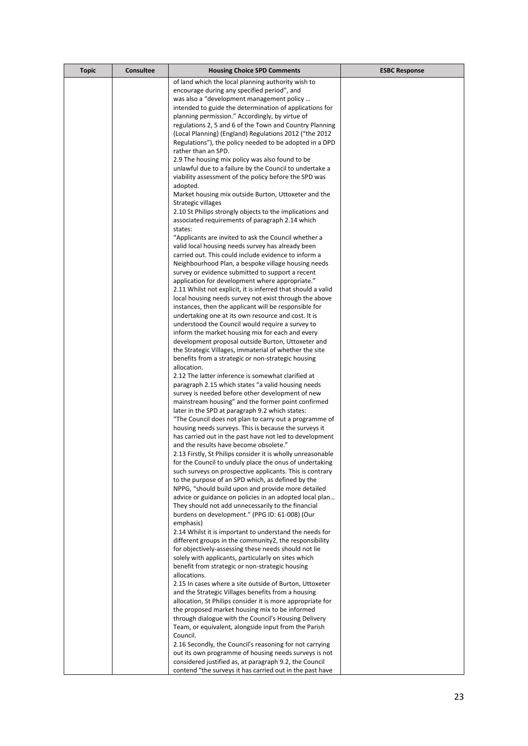| <b>Topic</b> | <b>Consultee</b> | <b>Housing Choice SPD Comments</b>                                                                                     | <b>ESBC Response</b> |
|--------------|------------------|------------------------------------------------------------------------------------------------------------------------|----------------------|
|              |                  | of land which the local planning authority wish to                                                                     |                      |
|              |                  | encourage during any specified period", and                                                                            |                      |
|              |                  | was also a "development management policy                                                                              |                      |
|              |                  | intended to guide the determination of applications for                                                                |                      |
|              |                  | planning permission." Accordingly, by virtue of                                                                        |                      |
|              |                  | regulations 2, 5 and 6 of the Town and Country Planning<br>(Local Planning) (England) Regulations 2012 ("the 2012      |                      |
|              |                  | Regulations"), the policy needed to be adopted in a DPD                                                                |                      |
|              |                  | rather than an SPD.                                                                                                    |                      |
|              |                  | 2.9 The housing mix policy was also found to be                                                                        |                      |
|              |                  | unlawful due to a failure by the Council to undertake a                                                                |                      |
|              |                  | viability assessment of the policy before the SPD was                                                                  |                      |
|              |                  | adopted.                                                                                                               |                      |
|              |                  | Market housing mix outside Burton, Uttoxeter and the                                                                   |                      |
|              |                  | Strategic villages<br>2.10 St Philips strongly objects to the implications and                                         |                      |
|              |                  | associated requirements of paragraph 2.14 which                                                                        |                      |
|              |                  | states:                                                                                                                |                      |
|              |                  | "Applicants are invited to ask the Council whether a                                                                   |                      |
|              |                  | valid local housing needs survey has already been                                                                      |                      |
|              |                  | carried out. This could include evidence to inform a                                                                   |                      |
|              |                  | Neighbourhood Plan, a bespoke village housing needs                                                                    |                      |
|              |                  | survey or evidence submitted to support a recent                                                                       |                      |
|              |                  | application for development where appropriate."                                                                        |                      |
|              |                  | 2.11 Whilst not explicit, it is inferred that should a valid<br>local housing needs survey not exist through the above |                      |
|              |                  | instances, then the applicant will be responsible for                                                                  |                      |
|              |                  | undertaking one at its own resource and cost. It is                                                                    |                      |
|              |                  | understood the Council would require a survey to                                                                       |                      |
|              |                  | inform the market housing mix for each and every                                                                       |                      |
|              |                  | development proposal outside Burton, Uttoxeter and                                                                     |                      |
|              |                  | the Strategic Villages, immaterial of whether the site                                                                 |                      |
|              |                  | benefits from a strategic or non-strategic housing<br>allocation.                                                      |                      |
|              |                  | 2.12 The latter inference is somewhat clarified at                                                                     |                      |
|              |                  | paragraph 2.15 which states "a valid housing needs                                                                     |                      |
|              |                  | survey is needed before other development of new                                                                       |                      |
|              |                  | mainstream housing" and the former point confirmed                                                                     |                      |
|              |                  | later in the SPD at paragraph 9.2 which states:                                                                        |                      |
|              |                  | "The Council does not plan to carry out a programme of                                                                 |                      |
|              |                  | housing needs surveys. This is because the surveys it                                                                  |                      |
|              |                  | has carried out in the past have not led to development<br>and the results have become obsolete."                      |                      |
|              |                  | 2.13 Firstly, St Philips consider it is wholly unreasonable                                                            |                      |
|              |                  | for the Council to unduly place the onus of undertaking                                                                |                      |
|              |                  | such surveys on prospective applicants. This is contrary                                                               |                      |
|              |                  | to the purpose of an SPD which, as defined by the                                                                      |                      |
|              |                  | NPPG, "should build upon and provide more detailed                                                                     |                      |
|              |                  | advice or guidance on policies in an adopted local plan                                                                |                      |
|              |                  | They should not add unnecessarily to the financial                                                                     |                      |
|              |                  | burdens on development." (PPG ID: 61-008) (Our<br>emphasis)                                                            |                      |
|              |                  | 2.14 Whilst it is important to understand the needs for                                                                |                      |
|              |                  | different groups in the community2, the responsibility                                                                 |                      |
|              |                  | for objectively-assessing these needs should not lie                                                                   |                      |
|              |                  | solely with applicants, particularly on sites which                                                                    |                      |
|              |                  | benefit from strategic or non-strategic housing                                                                        |                      |
|              |                  | allocations.                                                                                                           |                      |
|              |                  | 2.15 In cases where a site outside of Burton, Uttoxeter                                                                |                      |
|              |                  | and the Strategic Villages benefits from a housing<br>allocation, St Philips consider it is more appropriate for       |                      |
|              |                  | the proposed market housing mix to be informed                                                                         |                      |
|              |                  | through dialogue with the Council's Housing Delivery                                                                   |                      |
|              |                  | Team, or equivalent, alongside input from the Parish                                                                   |                      |
|              |                  | Council.                                                                                                               |                      |
|              |                  | 2.16 Secondly, the Council's reasoning for not carrying                                                                |                      |
|              |                  | out its own programme of housing needs surveys is not                                                                  |                      |
|              |                  | considered justified as, at paragraph 9.2, the Council                                                                 |                      |
|              |                  | contend "the surveys it has carried out in the past have                                                               |                      |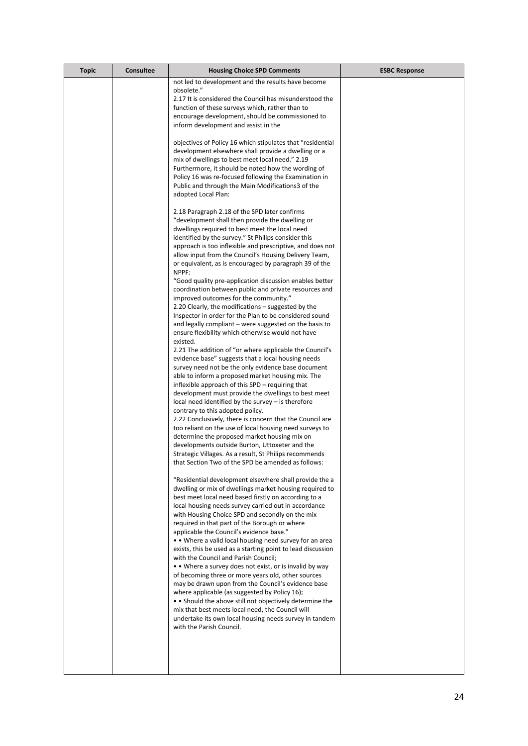| <b>Topic</b> | <b>Consultee</b> | <b>Housing Choice SPD Comments</b>                                                                                                                                                                                                                                                                                                                                                                                                                                                                                                                                                                                                                                                                                                                                                                                                                                                                                                                                                                                                                                                                                                                                                                                                                                                                                                                                                                                                                                                                                                                                                                                                                                                                                                                                                                                                                                                                                                                                                                                                                                                                                                                                                                                                                                                                                                                                                                                                                                                                                                                                                                                                                                                                                                                                                                                                                                                                                                                                                                                                                                                                                                                                                                                         | <b>ESBC Response</b> |
|--------------|------------------|----------------------------------------------------------------------------------------------------------------------------------------------------------------------------------------------------------------------------------------------------------------------------------------------------------------------------------------------------------------------------------------------------------------------------------------------------------------------------------------------------------------------------------------------------------------------------------------------------------------------------------------------------------------------------------------------------------------------------------------------------------------------------------------------------------------------------------------------------------------------------------------------------------------------------------------------------------------------------------------------------------------------------------------------------------------------------------------------------------------------------------------------------------------------------------------------------------------------------------------------------------------------------------------------------------------------------------------------------------------------------------------------------------------------------------------------------------------------------------------------------------------------------------------------------------------------------------------------------------------------------------------------------------------------------------------------------------------------------------------------------------------------------------------------------------------------------------------------------------------------------------------------------------------------------------------------------------------------------------------------------------------------------------------------------------------------------------------------------------------------------------------------------------------------------------------------------------------------------------------------------------------------------------------------------------------------------------------------------------------------------------------------------------------------------------------------------------------------------------------------------------------------------------------------------------------------------------------------------------------------------------------------------------------------------------------------------------------------------------------------------------------------------------------------------------------------------------------------------------------------------------------------------------------------------------------------------------------------------------------------------------------------------------------------------------------------------------------------------------------------------------------------------------------------------------------------------------------------------|----------------------|
|              |                  | not led to development and the results have become<br>obsolete."<br>2.17 It is considered the Council has misunderstood the<br>function of these surveys which, rather than to<br>encourage development, should be commissioned to<br>inform development and assist in the<br>objectives of Policy 16 which stipulates that "residential<br>development elsewhere shall provide a dwelling or a<br>mix of dwellings to best meet local need." 2.19<br>Furthermore, it should be noted how the wording of<br>Policy 16 was re-focused following the Examination in<br>Public and through the Main Modifications3 of the<br>adopted Local Plan:<br>2.18 Paragraph 2.18 of the SPD later confirms<br>"development shall then provide the dwelling or<br>dwellings required to best meet the local need<br>identified by the survey." St Philips consider this<br>approach is too inflexible and prescriptive, and does not<br>allow input from the Council's Housing Delivery Team,<br>or equivalent, as is encouraged by paragraph 39 of the<br>NPPF:<br>"Good quality pre-application discussion enables better<br>coordination between public and private resources and<br>improved outcomes for the community."<br>2.20 Clearly, the modifications – suggested by the<br>Inspector in order for the Plan to be considered sound<br>and legally compliant – were suggested on the basis to<br>ensure flexibility which otherwise would not have<br>existed.<br>2.21 The addition of "or where applicable the Council's<br>evidence base" suggests that a local housing needs<br>survey need not be the only evidence base document<br>able to inform a proposed market housing mix. The<br>inflexible approach of this SPD – requiring that<br>development must provide the dwellings to best meet<br>$local need identified by the survey – is therefore$<br>contrary to this adopted policy.<br>2.22 Conclusively, there is concern that the Council are<br>too reliant on the use of local housing need surveys to<br>determine the proposed market housing mix on<br>developments outside Burton, Uttoxeter and the<br>Strategic Villages. As a result, St Philips recommends<br>that Section Two of the SPD be amended as follows:<br>"Residential development elsewhere shall provide the a<br>dwelling or mix of dwellings market housing required to<br>best meet local need based firstly on according to a<br>local housing needs survey carried out in accordance<br>with Housing Choice SPD and secondly on the mix<br>required in that part of the Borough or where<br>applicable the Council's evidence base."<br>• • Where a valid local housing need survey for an area<br>exists, this be used as a starting point to lead discussion<br>with the Council and Parish Council;<br>• • Where a survey does not exist, or is invalid by way<br>of becoming three or more years old, other sources<br>may be drawn upon from the Council's evidence base<br>where applicable (as suggested by Policy 16);<br>• Should the above still not objectively determine the<br>mix that best meets local need, the Council will<br>undertake its own local housing needs survey in tandem<br>with the Parish Council. |                      |
|              |                  |                                                                                                                                                                                                                                                                                                                                                                                                                                                                                                                                                                                                                                                                                                                                                                                                                                                                                                                                                                                                                                                                                                                                                                                                                                                                                                                                                                                                                                                                                                                                                                                                                                                                                                                                                                                                                                                                                                                                                                                                                                                                                                                                                                                                                                                                                                                                                                                                                                                                                                                                                                                                                                                                                                                                                                                                                                                                                                                                                                                                                                                                                                                                                                                                                            |                      |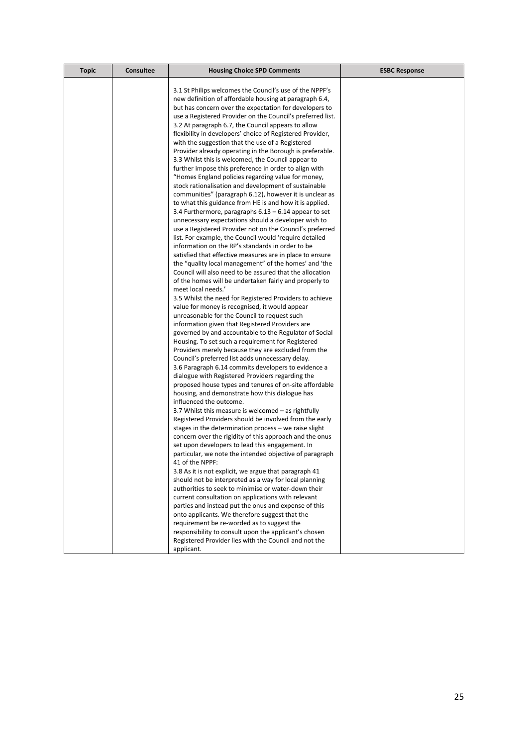| <b>Topic</b> | <b>Consultee</b> | <b>Housing Choice SPD Comments</b>                                                                                 | <b>ESBC Response</b> |
|--------------|------------------|--------------------------------------------------------------------------------------------------------------------|----------------------|
|              |                  | 3.1 St Philips welcomes the Council's use of the NPPF's                                                            |                      |
|              |                  | new definition of affordable housing at paragraph 6.4,                                                             |                      |
|              |                  | but has concern over the expectation for developers to                                                             |                      |
|              |                  | use a Registered Provider on the Council's preferred list.                                                         |                      |
|              |                  | 3.2 At paragraph 6.7, the Council appears to allow                                                                 |                      |
|              |                  | flexibility in developers' choice of Registered Provider,                                                          |                      |
|              |                  |                                                                                                                    |                      |
|              |                  | with the suggestion that the use of a Registered                                                                   |                      |
|              |                  | Provider already operating in the Borough is preferable.                                                           |                      |
|              |                  | 3.3 Whilst this is welcomed, the Council appear to<br>further impose this preference in order to align with        |                      |
|              |                  | "Homes England policies regarding value for money,                                                                 |                      |
|              |                  |                                                                                                                    |                      |
|              |                  | stock rationalisation and development of sustainable<br>communities" (paragraph 6.12), however it is unclear as    |                      |
|              |                  |                                                                                                                    |                      |
|              |                  | to what this guidance from HE is and how it is applied.                                                            |                      |
|              |                  | 3.4 Furthermore, paragraphs $6.13 - 6.14$ appear to set                                                            |                      |
|              |                  | unnecessary expectations should a developer wish to                                                                |                      |
|              |                  | use a Registered Provider not on the Council's preferred<br>list. For example, the Council would 'require detailed |                      |
|              |                  | information on the RP's standards in order to be                                                                   |                      |
|              |                  | satisfied that effective measures are in place to ensure                                                           |                      |
|              |                  | the "quality local management" of the homes' and 'the                                                              |                      |
|              |                  | Council will also need to be assured that the allocation                                                           |                      |
|              |                  | of the homes will be undertaken fairly and properly to                                                             |                      |
|              |                  | meet local needs.'                                                                                                 |                      |
|              |                  | 3.5 Whilst the need for Registered Providers to achieve                                                            |                      |
|              |                  | value for money is recognised, it would appear                                                                     |                      |
|              |                  | unreasonable for the Council to request such                                                                       |                      |
|              |                  | information given that Registered Providers are                                                                    |                      |
|              |                  | governed by and accountable to the Regulator of Social                                                             |                      |
|              |                  | Housing. To set such a requirement for Registered                                                                  |                      |
|              |                  | Providers merely because they are excluded from the                                                                |                      |
|              |                  | Council's preferred list adds unnecessary delay.                                                                   |                      |
|              |                  | 3.6 Paragraph 6.14 commits developers to evidence a                                                                |                      |
|              |                  | dialogue with Registered Providers regarding the                                                                   |                      |
|              |                  | proposed house types and tenures of on-site affordable                                                             |                      |
|              |                  | housing, and demonstrate how this dialogue has                                                                     |                      |
|              |                  | influenced the outcome.                                                                                            |                      |
|              |                  | 3.7 Whilst this measure is welcomed – as rightfully                                                                |                      |
|              |                  | Registered Providers should be involved from the early                                                             |                      |
|              |                  | stages in the determination process - we raise slight                                                              |                      |
|              |                  | concern over the rigidity of this approach and the onus                                                            |                      |
|              |                  | set upon developers to lead this engagement. In                                                                    |                      |
|              |                  | particular, we note the intended objective of paragraph                                                            |                      |
|              |                  | 41 of the NPPF:<br>3.8 As it is not explicit, we argue that paragraph 41                                           |                      |
|              |                  | should not be interpreted as a way for local planning                                                              |                      |
|              |                  | authorities to seek to minimise or water-down their                                                                |                      |
|              |                  | current consultation on applications with relevant                                                                 |                      |
|              |                  | parties and instead put the onus and expense of this                                                               |                      |
|              |                  | onto applicants. We therefore suggest that the                                                                     |                      |
|              |                  | requirement be re-worded as to suggest the                                                                         |                      |
|              |                  | responsibility to consult upon the applicant's chosen                                                              |                      |
|              |                  | Registered Provider lies with the Council and not the                                                              |                      |
|              |                  | applicant.                                                                                                         |                      |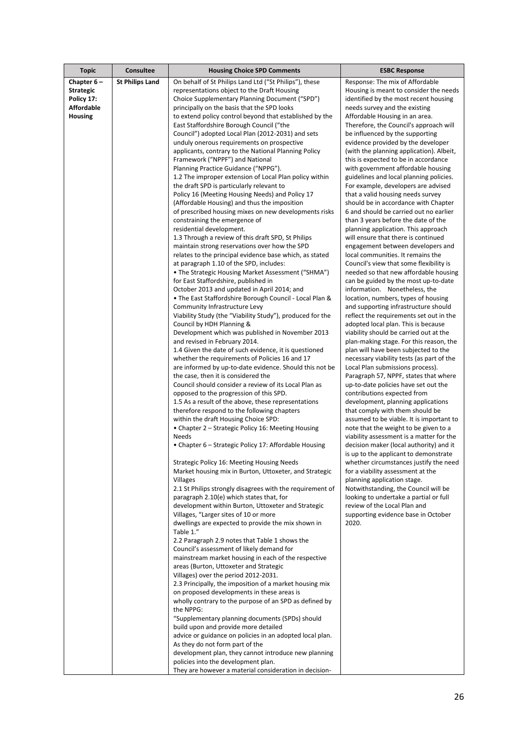| <b>Topic</b>                        | <b>Consultee</b>       | <b>Housing Choice SPD Comments</b>                                                                      | <b>ESBC Response</b>                                                              |
|-------------------------------------|------------------------|---------------------------------------------------------------------------------------------------------|-----------------------------------------------------------------------------------|
| Chapter 6-                          | <b>St Philips Land</b> | On behalf of St Philips Land Ltd ("St Philips"), these                                                  | Response: The mix of Affordable                                                   |
| <b>Strategic</b>                    |                        | representations object to the Draft Housing                                                             | Housing is meant to consider the needs                                            |
| Policy 17:                          |                        | Choice Supplementary Planning Document ("SPD")                                                          | identified by the most recent housing                                             |
| <b>Affordable</b><br><b>Housing</b> |                        | principally on the basis that the SPD looks                                                             | needs survey and the existing<br>Affordable Housing in an area.                   |
|                                     |                        | to extend policy control beyond that established by the<br>East Staffordshire Borough Council ("the     | Therefore, the Council's approach will                                            |
|                                     |                        | Council") adopted Local Plan (2012-2031) and sets                                                       | be influenced by the supporting                                                   |
|                                     |                        | unduly onerous requirements on prospective                                                              | evidence provided by the developer                                                |
|                                     |                        | applicants, contrary to the National Planning Policy                                                    | (with the planning application). Albeit,                                          |
|                                     |                        | Framework ("NPPF") and National                                                                         | this is expected to be in accordance                                              |
|                                     |                        | Planning Practice Guidance ("NPPG").                                                                    | with government affordable housing                                                |
|                                     |                        | 1.2 The improper extension of Local Plan policy within<br>the draft SPD is particularly relevant to     | guidelines and local planning policies.<br>For example, developers are advised    |
|                                     |                        | Policy 16 (Meeting Housing Needs) and Policy 17                                                         | that a valid housing needs survey                                                 |
|                                     |                        | (Affordable Housing) and thus the imposition                                                            | should be in accordance with Chapter                                              |
|                                     |                        | of prescribed housing mixes on new developments risks                                                   | 6 and should be carried out no earlier                                            |
|                                     |                        | constraining the emergence of                                                                           | than 3 years before the date of the                                               |
|                                     |                        | residential development.                                                                                | planning application. This approach                                               |
|                                     |                        | 1.3 Through a review of this draft SPD, St Philips<br>maintain strong reservations over how the SPD     | will ensure that there is continued<br>engagement between developers and          |
|                                     |                        | relates to the principal evidence base which, as stated                                                 | local communities. It remains the                                                 |
|                                     |                        | at paragraph 1.10 of the SPD, includes:                                                                 | Council's view that some flexibility is                                           |
|                                     |                        | • The Strategic Housing Market Assessment ("SHMA")                                                      | needed so that new affordable housing                                             |
|                                     |                        | for East Staffordshire, published in                                                                    | can be guided by the most up-to-date                                              |
|                                     |                        | October 2013 and updated in April 2014; and                                                             | information. Nonetheless, the                                                     |
|                                     |                        | . The East Staffordshire Borough Council - Local Plan &<br>Community Infrastructure Levy                | location, numbers, types of housing<br>and supporting infrastructure should       |
|                                     |                        | Viability Study (the "Viability Study"), produced for the                                               | reflect the requirements set out in the                                           |
|                                     |                        | Council by HDH Planning &                                                                               | adopted local plan. This is because                                               |
|                                     |                        | Development which was published in November 2013                                                        | viability should be carried out at the                                            |
|                                     |                        | and revised in February 2014.                                                                           | plan-making stage. For this reason, the                                           |
|                                     |                        | 1.4 Given the date of such evidence, it is questioned<br>whether the requirements of Policies 16 and 17 | plan will have been subjected to the<br>necessary viability tests (as part of the |
|                                     |                        | are informed by up-to-date evidence. Should this not be                                                 | Local Plan submissions process).                                                  |
|                                     |                        | the case, then it is considered the                                                                     | Paragraph 57, NPPF, states that where                                             |
|                                     |                        | Council should consider a review of its Local Plan as                                                   | up-to-date policies have set out the                                              |
|                                     |                        | opposed to the progression of this SPD.                                                                 | contributions expected from                                                       |
|                                     |                        | 1.5 As a result of the above, these representations<br>therefore respond to the following chapters      | development, planning applications<br>that comply with them should be             |
|                                     |                        | within the draft Housing Choice SPD:                                                                    | assumed to be viable. It is important to                                          |
|                                     |                        | • Chapter 2 – Strategic Policy 16: Meeting Housing                                                      | note that the weight to be given to a                                             |
|                                     |                        | Needs                                                                                                   | viability assessment is a matter for the                                          |
|                                     |                        | • Chapter 6 – Strategic Policy 17: Affordable Housing                                                   | decision maker (local authority) and it                                           |
|                                     |                        | Strategic Policy 16: Meeting Housing Needs                                                              | is up to the applicant to demonstrate<br>whether circumstances justify the need   |
|                                     |                        | Market housing mix in Burton, Uttoxeter, and Strategic                                                  | for a viability assessment at the                                                 |
|                                     |                        | Villages                                                                                                | planning application stage.                                                       |
|                                     |                        | 2.1 St Philips strongly disagrees with the requirement of                                               | Notwithstanding, the Council will be                                              |
|                                     |                        | paragraph 2.10(e) which states that, for                                                                | looking to undertake a partial or full                                            |
|                                     |                        | development within Burton, Uttoxeter and Strategic<br>Villages, "Larger sites of 10 or more             | review of the Local Plan and<br>supporting evidence base in October               |
|                                     |                        | dwellings are expected to provide the mix shown in                                                      | 2020.                                                                             |
|                                     |                        | Table 1."                                                                                               |                                                                                   |
|                                     |                        | 2.2 Paragraph 2.9 notes that Table 1 shows the                                                          |                                                                                   |
|                                     |                        | Council's assessment of likely demand for                                                               |                                                                                   |
|                                     |                        | mainstream market housing in each of the respective                                                     |                                                                                   |
|                                     |                        | areas (Burton, Uttoxeter and Strategic<br>Villages) over the period 2012-2031.                          |                                                                                   |
|                                     |                        | 2.3 Principally, the imposition of a market housing mix                                                 |                                                                                   |
|                                     |                        | on proposed developments in these areas is                                                              |                                                                                   |
|                                     |                        | wholly contrary to the purpose of an SPD as defined by                                                  |                                                                                   |
|                                     |                        | the NPPG:                                                                                               |                                                                                   |
|                                     |                        | "Supplementary planning documents (SPDs) should                                                         |                                                                                   |
|                                     |                        | build upon and provide more detailed<br>advice or guidance on policies in an adopted local plan.        |                                                                                   |
|                                     |                        | As they do not form part of the                                                                         |                                                                                   |
|                                     |                        | development plan, they cannot introduce new planning                                                    |                                                                                   |
|                                     |                        | policies into the development plan.                                                                     |                                                                                   |
|                                     |                        | They are however a material consideration in decision-                                                  |                                                                                   |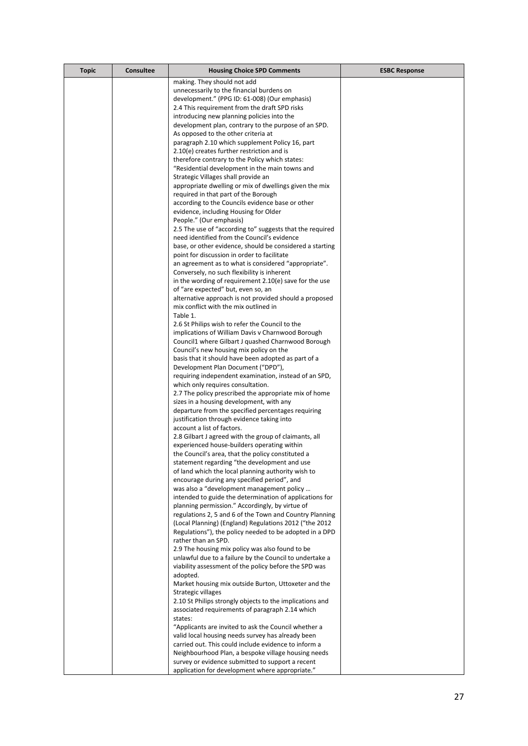| <b>Topic</b> | <b>Consultee</b> | <b>Housing Choice SPD Comments</b>                                                                  | <b>ESBC Response</b> |
|--------------|------------------|-----------------------------------------------------------------------------------------------------|----------------------|
|              |                  | making. They should not add                                                                         |                      |
|              |                  | unnecessarily to the financial burdens on                                                           |                      |
|              |                  | development." (PPG ID: 61-008) (Our emphasis)                                                       |                      |
|              |                  | 2.4 This requirement from the draft SPD risks                                                       |                      |
|              |                  | introducing new planning policies into the                                                          |                      |
|              |                  | development plan, contrary to the purpose of an SPD.<br>As opposed to the other criteria at         |                      |
|              |                  | paragraph 2.10 which supplement Policy 16, part                                                     |                      |
|              |                  | 2.10(e) creates further restriction and is                                                          |                      |
|              |                  | therefore contrary to the Policy which states:                                                      |                      |
|              |                  | "Residential development in the main towns and                                                      |                      |
|              |                  | Strategic Villages shall provide an                                                                 |                      |
|              |                  | appropriate dwelling or mix of dwellings given the mix                                              |                      |
|              |                  | required in that part of the Borough                                                                |                      |
|              |                  | according to the Councils evidence base or other                                                    |                      |
|              |                  | evidence, including Housing for Older                                                               |                      |
|              |                  | People." (Our emphasis)<br>2.5 The use of "according to" suggests that the required                 |                      |
|              |                  | need identified from the Council's evidence                                                         |                      |
|              |                  | base, or other evidence, should be considered a starting                                            |                      |
|              |                  | point for discussion in order to facilitate                                                         |                      |
|              |                  | an agreement as to what is considered "appropriate".                                                |                      |
|              |                  | Conversely, no such flexibility is inherent                                                         |                      |
|              |                  | in the wording of requirement 2.10(e) save for the use                                              |                      |
|              |                  | of "are expected" but, even so, an                                                                  |                      |
|              |                  | alternative approach is not provided should a proposed                                              |                      |
|              |                  | mix conflict with the mix outlined in<br>Table 1.                                                   |                      |
|              |                  | 2.6 St Philips wish to refer the Council to the                                                     |                      |
|              |                  | implications of William Davis v Charnwood Borough                                                   |                      |
|              |                  | Council1 where Gilbart J quashed Charnwood Borough                                                  |                      |
|              |                  | Council's new housing mix policy on the                                                             |                      |
|              |                  | basis that it should have been adopted as part of a                                                 |                      |
|              |                  | Development Plan Document ("DPD"),                                                                  |                      |
|              |                  | requiring independent examination, instead of an SPD,                                               |                      |
|              |                  | which only requires consultation.                                                                   |                      |
|              |                  | 2.7 The policy prescribed the appropriate mix of home<br>sizes in a housing development, with any   |                      |
|              |                  | departure from the specified percentages requiring                                                  |                      |
|              |                  | justification through evidence taking into                                                          |                      |
|              |                  | account a list of factors.                                                                          |                      |
|              |                  | 2.8 Gilbart J agreed with the group of claimants, all                                               |                      |
|              |                  | experienced house-builders operating within                                                         |                      |
|              |                  | the Council's area, that the policy constituted a                                                   |                      |
|              |                  | statement regarding "the development and use                                                        |                      |
|              |                  | of land which the local planning authority wish to                                                  |                      |
|              |                  | encourage during any specified period", and<br>was also a "development management policy            |                      |
|              |                  | intended to guide the determination of applications for                                             |                      |
|              |                  | planning permission." Accordingly, by virtue of                                                     |                      |
|              |                  | regulations 2, 5 and 6 of the Town and Country Planning                                             |                      |
|              |                  | (Local Planning) (England) Regulations 2012 ("the 2012                                              |                      |
|              |                  | Regulations"), the policy needed to be adopted in a DPD                                             |                      |
|              |                  | rather than an SPD.                                                                                 |                      |
|              |                  | 2.9 The housing mix policy was also found to be                                                     |                      |
|              |                  | unlawful due to a failure by the Council to undertake a                                             |                      |
|              |                  | viability assessment of the policy before the SPD was<br>adopted.                                   |                      |
|              |                  | Market housing mix outside Burton, Uttoxeter and the                                                |                      |
|              |                  | Strategic villages                                                                                  |                      |
|              |                  | 2.10 St Philips strongly objects to the implications and                                            |                      |
|              |                  | associated requirements of paragraph 2.14 which                                                     |                      |
|              |                  | states:                                                                                             |                      |
|              |                  | "Applicants are invited to ask the Council whether a                                                |                      |
|              |                  | valid local housing needs survey has already been                                                   |                      |
|              |                  | carried out. This could include evidence to inform a                                                |                      |
|              |                  | Neighbourhood Plan, a bespoke village housing needs                                                 |                      |
|              |                  | survey or evidence submitted to support a recent<br>application for development where appropriate." |                      |
|              |                  |                                                                                                     |                      |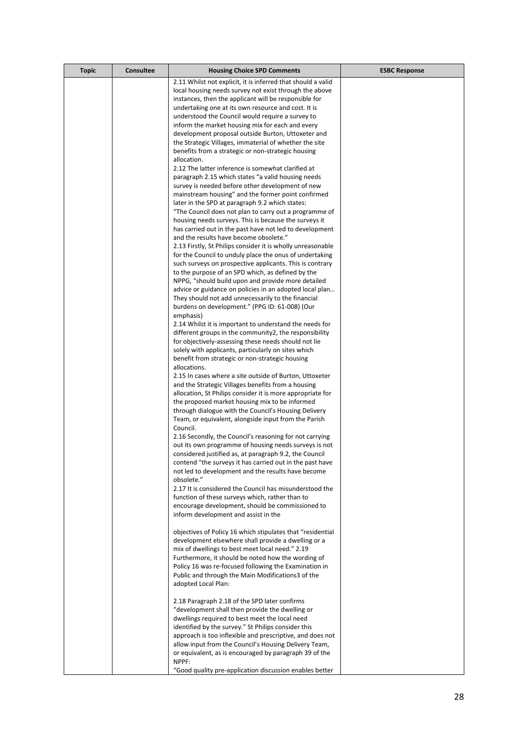| <b>Topic</b> | <b>Consultee</b> | <b>Housing Choice SPD Comments</b>                                                                               | <b>ESBC Response</b> |
|--------------|------------------|------------------------------------------------------------------------------------------------------------------|----------------------|
|              |                  | 2.11 Whilst not explicit, it is inferred that should a valid                                                     |                      |
|              |                  | local housing needs survey not exist through the above                                                           |                      |
|              |                  | instances, then the applicant will be responsible for                                                            |                      |
|              |                  | undertaking one at its own resource and cost. It is                                                              |                      |
|              |                  | understood the Council would require a survey to                                                                 |                      |
|              |                  | inform the market housing mix for each and every                                                                 |                      |
|              |                  | development proposal outside Burton, Uttoxeter and                                                               |                      |
|              |                  | the Strategic Villages, immaterial of whether the site                                                           |                      |
|              |                  | benefits from a strategic or non-strategic housing<br>allocation.                                                |                      |
|              |                  | 2.12 The latter inference is somewhat clarified at                                                               |                      |
|              |                  | paragraph 2.15 which states "a valid housing needs                                                               |                      |
|              |                  | survey is needed before other development of new                                                                 |                      |
|              |                  | mainstream housing" and the former point confirmed                                                               |                      |
|              |                  | later in the SPD at paragraph 9.2 which states:                                                                  |                      |
|              |                  | "The Council does not plan to carry out a programme of                                                           |                      |
|              |                  | housing needs surveys. This is because the surveys it                                                            |                      |
|              |                  | has carried out in the past have not led to development                                                          |                      |
|              |                  | and the results have become obsolete."                                                                           |                      |
|              |                  | 2.13 Firstly, St Philips consider it is wholly unreasonable                                                      |                      |
|              |                  | for the Council to unduly place the onus of undertaking                                                          |                      |
|              |                  | such surveys on prospective applicants. This is contrary<br>to the purpose of an SPD which, as defined by the    |                      |
|              |                  | NPPG, "should build upon and provide more detailed                                                               |                      |
|              |                  | advice or guidance on policies in an adopted local plan                                                          |                      |
|              |                  | They should not add unnecessarily to the financial                                                               |                      |
|              |                  | burdens on development." (PPG ID: 61-008) (Our                                                                   |                      |
|              |                  | emphasis)                                                                                                        |                      |
|              |                  | 2.14 Whilst it is important to understand the needs for                                                          |                      |
|              |                  | different groups in the community2, the responsibility                                                           |                      |
|              |                  | for objectively-assessing these needs should not lie                                                             |                      |
|              |                  | solely with applicants, particularly on sites which                                                              |                      |
|              |                  | benefit from strategic or non-strategic housing                                                                  |                      |
|              |                  | allocations.                                                                                                     |                      |
|              |                  | 2.15 In cases where a site outside of Burton, Uttoxeter                                                          |                      |
|              |                  | and the Strategic Villages benefits from a housing<br>allocation, St Philips consider it is more appropriate for |                      |
|              |                  | the proposed market housing mix to be informed                                                                   |                      |
|              |                  | through dialogue with the Council's Housing Delivery                                                             |                      |
|              |                  | Team, or equivalent, alongside input from the Parish                                                             |                      |
|              |                  | Council.                                                                                                         |                      |
|              |                  | 2.16 Secondly, the Council's reasoning for not carrying                                                          |                      |
|              |                  | out its own programme of housing needs surveys is not                                                            |                      |
|              |                  | considered justified as, at paragraph 9.2, the Council                                                           |                      |
|              |                  | contend "the surveys it has carried out in the past have                                                         |                      |
|              |                  | not led to development and the results have become                                                               |                      |
|              |                  | obsolete."                                                                                                       |                      |
|              |                  | 2.17 It is considered the Council has misunderstood the                                                          |                      |
|              |                  | function of these surveys which, rather than to<br>encourage development, should be commissioned to              |                      |
|              |                  | inform development and assist in the                                                                             |                      |
|              |                  |                                                                                                                  |                      |
|              |                  | objectives of Policy 16 which stipulates that "residential                                                       |                      |
|              |                  | development elsewhere shall provide a dwelling or a                                                              |                      |
|              |                  | mix of dwellings to best meet local need." 2.19                                                                  |                      |
|              |                  | Furthermore, it should be noted how the wording of                                                               |                      |
|              |                  | Policy 16 was re-focused following the Examination in                                                            |                      |
|              |                  | Public and through the Main Modifications3 of the                                                                |                      |
|              |                  | adopted Local Plan:                                                                                              |                      |
|              |                  |                                                                                                                  |                      |
|              |                  | 2.18 Paragraph 2.18 of the SPD later confirms<br>"development shall then provide the dwelling or                 |                      |
|              |                  | dwellings required to best meet the local need                                                                   |                      |
|              |                  | identified by the survey." St Philips consider this                                                              |                      |
|              |                  | approach is too inflexible and prescriptive, and does not                                                        |                      |
|              |                  | allow input from the Council's Housing Delivery Team,                                                            |                      |
|              |                  | or equivalent, as is encouraged by paragraph 39 of the                                                           |                      |
|              |                  | NPPF:                                                                                                            |                      |
|              |                  | "Good quality pre-application discussion enables better                                                          |                      |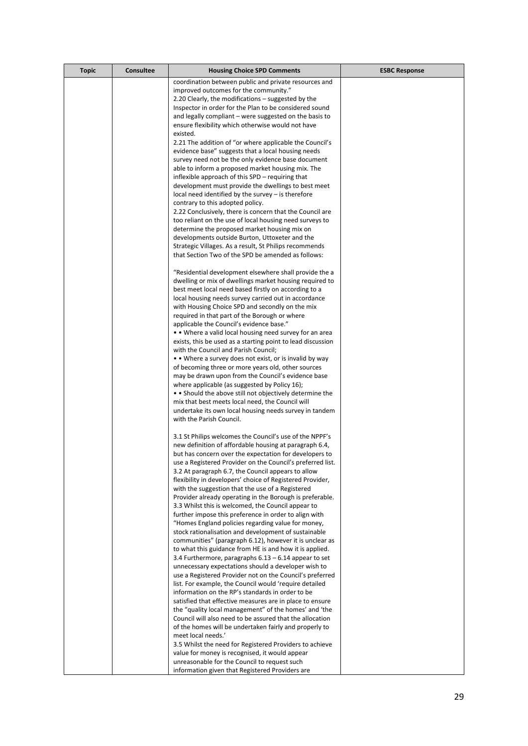| <b>Topic</b> | <b>Consultee</b> | <b>Housing Choice SPD Comments</b>                                                                                     | <b>ESBC Response</b> |
|--------------|------------------|------------------------------------------------------------------------------------------------------------------------|----------------------|
|              |                  | coordination between public and private resources and                                                                  |                      |
|              |                  | improved outcomes for the community."                                                                                  |                      |
|              |                  | 2.20 Clearly, the modifications – suggested by the                                                                     |                      |
|              |                  | Inspector in order for the Plan to be considered sound                                                                 |                      |
|              |                  | and legally compliant – were suggested on the basis to                                                                 |                      |
|              |                  | ensure flexibility which otherwise would not have                                                                      |                      |
|              |                  | existed.<br>2.21 The addition of "or where applicable the Council's                                                    |                      |
|              |                  | evidence base" suggests that a local housing needs                                                                     |                      |
|              |                  | survey need not be the only evidence base document                                                                     |                      |
|              |                  | able to inform a proposed market housing mix. The                                                                      |                      |
|              |                  | inflexible approach of this SPD – requiring that                                                                       |                      |
|              |                  | development must provide the dwellings to best meet                                                                    |                      |
|              |                  | $local need identified by the survey – is therefore$                                                                   |                      |
|              |                  | contrary to this adopted policy.                                                                                       |                      |
|              |                  | 2.22 Conclusively, there is concern that the Council are                                                               |                      |
|              |                  | too reliant on the use of local housing need surveys to                                                                |                      |
|              |                  | determine the proposed market housing mix on<br>developments outside Burton, Uttoxeter and the                         |                      |
|              |                  | Strategic Villages. As a result, St Philips recommends                                                                 |                      |
|              |                  | that Section Two of the SPD be amended as follows:                                                                     |                      |
|              |                  |                                                                                                                        |                      |
|              |                  | "Residential development elsewhere shall provide the a                                                                 |                      |
|              |                  | dwelling or mix of dwellings market housing required to                                                                |                      |
|              |                  | best meet local need based firstly on according to a                                                                   |                      |
|              |                  | local housing needs survey carried out in accordance                                                                   |                      |
|              |                  | with Housing Choice SPD and secondly on the mix                                                                        |                      |
|              |                  | required in that part of the Borough or where                                                                          |                      |
|              |                  | applicable the Council's evidence base."                                                                               |                      |
|              |                  | • • Where a valid local housing need survey for an area<br>exists, this be used as a starting point to lead discussion |                      |
|              |                  | with the Council and Parish Council;                                                                                   |                      |
|              |                  | • • Where a survey does not exist, or is invalid by way                                                                |                      |
|              |                  | of becoming three or more years old, other sources                                                                     |                      |
|              |                  | may be drawn upon from the Council's evidence base                                                                     |                      |
|              |                  | where applicable (as suggested by Policy 16);                                                                          |                      |
|              |                  | • Should the above still not objectively determine the                                                                 |                      |
|              |                  | mix that best meets local need, the Council will                                                                       |                      |
|              |                  | undertake its own local housing needs survey in tandem<br>with the Parish Council.                                     |                      |
|              |                  |                                                                                                                        |                      |
|              |                  | 3.1 St Philips welcomes the Council's use of the NPPF's                                                                |                      |
|              |                  | new definition of affordable housing at paragraph 6.4,                                                                 |                      |
|              |                  | but has concern over the expectation for developers to                                                                 |                      |
|              |                  | use a Registered Provider on the Council's preferred list.                                                             |                      |
|              |                  | 3.2 At paragraph 6.7, the Council appears to allow                                                                     |                      |
|              |                  | flexibility in developers' choice of Registered Provider,                                                              |                      |
|              |                  | with the suggestion that the use of a Registered                                                                       |                      |
|              |                  | Provider already operating in the Borough is preferable.<br>3.3 Whilst this is welcomed, the Council appear to         |                      |
|              |                  | further impose this preference in order to align with                                                                  |                      |
|              |                  | "Homes England policies regarding value for money,                                                                     |                      |
|              |                  | stock rationalisation and development of sustainable                                                                   |                      |
|              |                  | communities" (paragraph 6.12), however it is unclear as                                                                |                      |
|              |                  | to what this guidance from HE is and how it is applied.                                                                |                      |
|              |                  | 3.4 Furthermore, paragraphs $6.13 - 6.14$ appear to set                                                                |                      |
|              |                  | unnecessary expectations should a developer wish to                                                                    |                      |
|              |                  | use a Registered Provider not on the Council's preferred                                                               |                      |
|              |                  | list. For example, the Council would 'require detailed<br>information on the RP's standards in order to be             |                      |
|              |                  | satisfied that effective measures are in place to ensure                                                               |                      |
|              |                  | the "quality local management" of the homes' and 'the                                                                  |                      |
|              |                  | Council will also need to be assured that the allocation                                                               |                      |
|              |                  | of the homes will be undertaken fairly and properly to                                                                 |                      |
|              |                  | meet local needs.'                                                                                                     |                      |
|              |                  | 3.5 Whilst the need for Registered Providers to achieve                                                                |                      |
|              |                  | value for money is recognised, it would appear                                                                         |                      |
|              |                  | unreasonable for the Council to request such                                                                           |                      |
|              |                  | information given that Registered Providers are                                                                        |                      |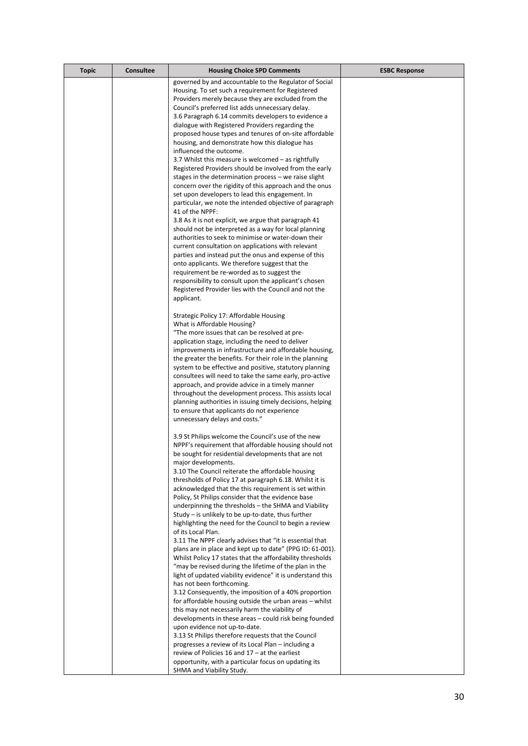| <b>Topic</b> | <b>Consultee</b> | <b>Housing Choice SPD Comments</b>                                                                              | <b>ESBC Response</b> |
|--------------|------------------|-----------------------------------------------------------------------------------------------------------------|----------------------|
|              |                  | governed by and accountable to the Regulator of Social                                                          |                      |
|              |                  | Housing. To set such a requirement for Registered                                                               |                      |
|              |                  | Providers merely because they are excluded from the                                                             |                      |
|              |                  | Council's preferred list adds unnecessary delay.                                                                |                      |
|              |                  | 3.6 Paragraph 6.14 commits developers to evidence a                                                             |                      |
|              |                  | dialogue with Registered Providers regarding the                                                                |                      |
|              |                  | proposed house types and tenures of on-site affordable                                                          |                      |
|              |                  | housing, and demonstrate how this dialogue has                                                                  |                      |
|              |                  | influenced the outcome.                                                                                         |                      |
|              |                  | 3.7 Whilst this measure is welcomed – as rightfully                                                             |                      |
|              |                  | Registered Providers should be involved from the early<br>stages in the determination process - we raise slight |                      |
|              |                  | concern over the rigidity of this approach and the onus                                                         |                      |
|              |                  | set upon developers to lead this engagement. In                                                                 |                      |
|              |                  | particular, we note the intended objective of paragraph                                                         |                      |
|              |                  | 41 of the NPPF:                                                                                                 |                      |
|              |                  | 3.8 As it is not explicit, we argue that paragraph 41                                                           |                      |
|              |                  | should not be interpreted as a way for local planning                                                           |                      |
|              |                  | authorities to seek to minimise or water-down their                                                             |                      |
|              |                  | current consultation on applications with relevant                                                              |                      |
|              |                  | parties and instead put the onus and expense of this                                                            |                      |
|              |                  | onto applicants. We therefore suggest that the                                                                  |                      |
|              |                  | requirement be re-worded as to suggest the                                                                      |                      |
|              |                  | responsibility to consult upon the applicant's chosen                                                           |                      |
|              |                  | Registered Provider lies with the Council and not the                                                           |                      |
|              |                  | applicant.                                                                                                      |                      |
|              |                  | Strategic Policy 17: Affordable Housing                                                                         |                      |
|              |                  | What is Affordable Housing?                                                                                     |                      |
|              |                  | "The more issues that can be resolved at pre-                                                                   |                      |
|              |                  | application stage, including the need to deliver                                                                |                      |
|              |                  | improvements in infrastructure and affordable housing,                                                          |                      |
|              |                  | the greater the benefits. For their role in the planning                                                        |                      |
|              |                  | system to be effective and positive, statutory planning                                                         |                      |
|              |                  | consultees will need to take the same early, pro-active                                                         |                      |
|              |                  | approach, and provide advice in a timely manner                                                                 |                      |
|              |                  | throughout the development process. This assists local                                                          |                      |
|              |                  | planning authorities in issuing timely decisions, helping                                                       |                      |
|              |                  | to ensure that applicants do not experience                                                                     |                      |
|              |                  | unnecessary delays and costs."                                                                                  |                      |
|              |                  | 3.9 St Philips welcome the Council's use of the new                                                             |                      |
|              |                  | NPPF's requirement that affordable housing should not                                                           |                      |
|              |                  | be sought for residential developments that are not                                                             |                      |
|              |                  | major developments.                                                                                             |                      |
|              |                  | 3.10 The Council reiterate the affordable housing                                                               |                      |
|              |                  | thresholds of Policy 17 at paragraph 6.18. Whilst it is                                                         |                      |
|              |                  | acknowledged that the this requirement is set within                                                            |                      |
|              |                  | Policy, St Philips consider that the evidence base                                                              |                      |
|              |                  | underpinning the thresholds – the SHMA and Viability                                                            |                      |
|              |                  | Study – is unlikely to be up-to-date, thus further                                                              |                      |
|              |                  | highlighting the need for the Council to begin a review                                                         |                      |
|              |                  | of its Local Plan.<br>3.11 The NPPF clearly advises that "it is essential that                                  |                      |
|              |                  | plans are in place and kept up to date" (PPG ID: 61-001).                                                       |                      |
|              |                  | Whilst Policy 17 states that the affordability thresholds                                                       |                      |
|              |                  | "may be revised during the lifetime of the plan in the                                                          |                      |
|              |                  | light of updated viability evidence" it is understand this                                                      |                      |
|              |                  | has not been forthcoming.                                                                                       |                      |
|              |                  | 3.12 Consequently, the imposition of a 40% proportion                                                           |                      |
|              |                  | for affordable housing outside the urban areas - whilst                                                         |                      |
|              |                  | this may not necessarily harm the viability of                                                                  |                      |
|              |                  | developments in these areas – could risk being founded                                                          |                      |
|              |                  | upon evidence not up-to-date.                                                                                   |                      |
|              |                  | 3.13 St Philips therefore requests that the Council                                                             |                      |
|              |                  | progresses a review of its Local Plan - including a                                                             |                      |
|              |                  | review of Policies 16 and $17 - at$ the earliest                                                                |                      |
|              |                  | opportunity, with a particular focus on updating its                                                            |                      |
|              |                  | SHMA and Viability Study.                                                                                       |                      |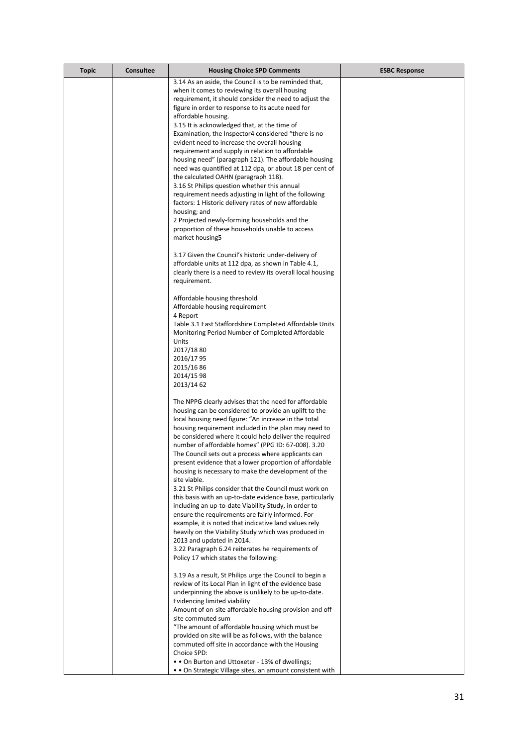| <b>Topic</b> | <b>Consultee</b> | <b>Housing Choice SPD Comments</b>                                                                             | <b>ESBC Response</b> |
|--------------|------------------|----------------------------------------------------------------------------------------------------------------|----------------------|
|              |                  | 3.14 As an aside, the Council is to be reminded that,                                                          |                      |
|              |                  | when it comes to reviewing its overall housing                                                                 |                      |
|              |                  | requirement, it should consider the need to adjust the                                                         |                      |
|              |                  | figure in order to response to its acute need for<br>affordable housing.                                       |                      |
|              |                  | 3.15 It is acknowledged that, at the time of                                                                   |                      |
|              |                  | Examination, the Inspector4 considered "there is no                                                            |                      |
|              |                  | evident need to increase the overall housing                                                                   |                      |
|              |                  | requirement and supply in relation to affordable                                                               |                      |
|              |                  | housing need" (paragraph 121). The affordable housing                                                          |                      |
|              |                  | need was quantified at 112 dpa, or about 18 per cent of                                                        |                      |
|              |                  | the calculated OAHN (paragraph 118).<br>3.16 St Philips question whether this annual                           |                      |
|              |                  | requirement needs adjusting in light of the following                                                          |                      |
|              |                  | factors: 1 Historic delivery rates of new affordable                                                           |                      |
|              |                  | housing; and                                                                                                   |                      |
|              |                  | 2 Projected newly-forming households and the                                                                   |                      |
|              |                  | proportion of these households unable to access                                                                |                      |
|              |                  | market housing5                                                                                                |                      |
|              |                  | 3.17 Given the Council's historic under-delivery of                                                            |                      |
|              |                  | affordable units at 112 dpa, as shown in Table 4.1,                                                            |                      |
|              |                  | clearly there is a need to review its overall local housing                                                    |                      |
|              |                  | requirement.                                                                                                   |                      |
|              |                  |                                                                                                                |                      |
|              |                  | Affordable housing threshold<br>Affordable housing requirement                                                 |                      |
|              |                  | 4 Report                                                                                                       |                      |
|              |                  | Table 3.1 East Staffordshire Completed Affordable Units                                                        |                      |
|              |                  | Monitoring Period Number of Completed Affordable                                                               |                      |
|              |                  | Units                                                                                                          |                      |
|              |                  | 2017/1880                                                                                                      |                      |
|              |                  | 2016/1795<br>2015/1686                                                                                         |                      |
|              |                  | 2014/15 98                                                                                                     |                      |
|              |                  | 2013/14 62                                                                                                     |                      |
|              |                  |                                                                                                                |                      |
|              |                  | The NPPG clearly advises that the need for affordable<br>housing can be considered to provide an uplift to the |                      |
|              |                  | local housing need figure: "An increase in the total                                                           |                      |
|              |                  | housing requirement included in the plan may need to                                                           |                      |
|              |                  | be considered where it could help deliver the required                                                         |                      |
|              |                  | number of affordable homes" (PPG ID: 67-008). 3.20                                                             |                      |
|              |                  | The Council sets out a process where applicants can                                                            |                      |
|              |                  | present evidence that a lower proportion of affordable<br>housing is necessary to make the development of the  |                      |
|              |                  | site viable.                                                                                                   |                      |
|              |                  | 3.21 St Philips consider that the Council must work on                                                         |                      |
|              |                  | this basis with an up-to-date evidence base, particularly                                                      |                      |
|              |                  | including an up-to-date Viability Study, in order to                                                           |                      |
|              |                  | ensure the requirements are fairly informed. For                                                               |                      |
|              |                  | example, it is noted that indicative land values rely<br>heavily on the Viability Study which was produced in  |                      |
|              |                  | 2013 and updated in 2014.                                                                                      |                      |
|              |                  | 3.22 Paragraph 6.24 reiterates he requirements of                                                              |                      |
|              |                  | Policy 17 which states the following:                                                                          |                      |
|              |                  | 3.19 As a result, St Philips urge the Council to begin a                                                       |                      |
|              |                  | review of its Local Plan in light of the evidence base                                                         |                      |
|              |                  | underpinning the above is unlikely to be up-to-date.                                                           |                      |
|              |                  | Evidencing limited viability                                                                                   |                      |
|              |                  | Amount of on-site affordable housing provision and off-                                                        |                      |
|              |                  | site commuted sum<br>"The amount of affordable housing which must be                                           |                      |
|              |                  | provided on site will be as follows, with the balance                                                          |                      |
|              |                  | commuted off site in accordance with the Housing                                                               |                      |
|              |                  | Choice SPD:                                                                                                    |                      |
|              |                  | • On Burton and Uttoxeter - 13% of dwellings;                                                                  |                      |
|              |                  | • On Strategic Village sites, an amount consistent with                                                        |                      |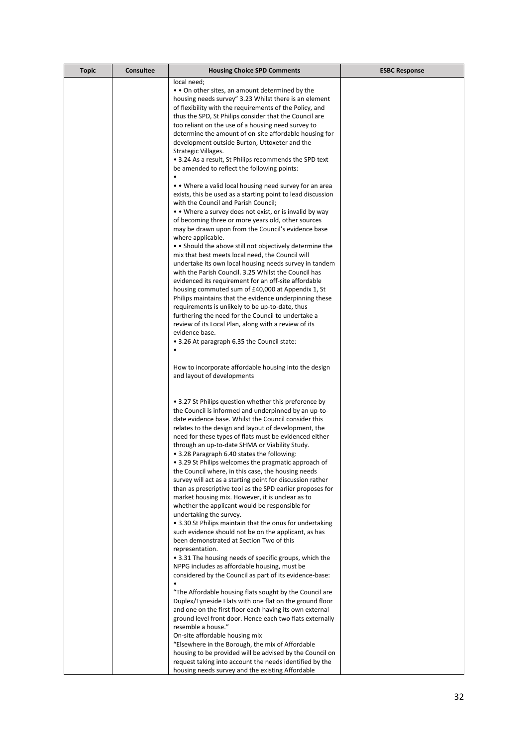| <b>Topic</b> | <b>Consultee</b> | <b>Housing Choice SPD Comments</b>                                                                                     | <b>ESBC Response</b> |
|--------------|------------------|------------------------------------------------------------------------------------------------------------------------|----------------------|
|              |                  | local need:                                                                                                            |                      |
|              |                  | • On other sites, an amount determined by the                                                                          |                      |
|              |                  | housing needs survey" 3.23 Whilst there is an element                                                                  |                      |
|              |                  | of flexibility with the requirements of the Policy, and                                                                |                      |
|              |                  | thus the SPD, St Philips consider that the Council are                                                                 |                      |
|              |                  | too reliant on the use of a housing need survey to                                                                     |                      |
|              |                  | determine the amount of on-site affordable housing for                                                                 |                      |
|              |                  | development outside Burton, Uttoxeter and the<br>Strategic Villages.                                                   |                      |
|              |                  | • 3.24 As a result, St Philips recommends the SPD text                                                                 |                      |
|              |                  | be amended to reflect the following points:                                                                            |                      |
|              |                  |                                                                                                                        |                      |
|              |                  | • • Where a valid local housing need survey for an area                                                                |                      |
|              |                  | exists, this be used as a starting point to lead discussion                                                            |                      |
|              |                  | with the Council and Parish Council;                                                                                   |                      |
|              |                  | • • Where a survey does not exist, or is invalid by way                                                                |                      |
|              |                  | of becoming three or more years old, other sources                                                                     |                      |
|              |                  | may be drawn upon from the Council's evidence base                                                                     |                      |
|              |                  | where applicable.                                                                                                      |                      |
|              |                  | • Should the above still not objectively determine the<br>mix that best meets local need, the Council will             |                      |
|              |                  | undertake its own local housing needs survey in tandem                                                                 |                      |
|              |                  | with the Parish Council. 3.25 Whilst the Council has                                                                   |                      |
|              |                  | evidenced its requirement for an off-site affordable                                                                   |                      |
|              |                  | housing commuted sum of £40,000 at Appendix 1, St                                                                      |                      |
|              |                  | Philips maintains that the evidence underpinning these                                                                 |                      |
|              |                  | requirements is unlikely to be up-to-date, thus                                                                        |                      |
|              |                  | furthering the need for the Council to undertake a                                                                     |                      |
|              |                  | review of its Local Plan, along with a review of its<br>evidence base.                                                 |                      |
|              |                  | • 3.26 At paragraph 6.35 the Council state:                                                                            |                      |
|              |                  |                                                                                                                        |                      |
|              |                  |                                                                                                                        |                      |
|              |                  | How to incorporate affordable housing into the design                                                                  |                      |
|              |                  | and layout of developments                                                                                             |                      |
|              |                  |                                                                                                                        |                      |
|              |                  | • 3.27 St Philips question whether this preference by                                                                  |                      |
|              |                  | the Council is informed and underpinned by an up-to-                                                                   |                      |
|              |                  | date evidence base. Whilst the Council consider this                                                                   |                      |
|              |                  | relates to the design and layout of development, the                                                                   |                      |
|              |                  | need for these types of flats must be evidenced either                                                                 |                      |
|              |                  | through an up-to-date SHMA or Viability Study.                                                                         |                      |
|              |                  | • 3.28 Paragraph 6.40 states the following:                                                                            |                      |
|              |                  | • 3.29 St Philips welcomes the pragmatic approach of                                                                   |                      |
|              |                  | the Council where, in this case, the housing needs                                                                     |                      |
|              |                  | survey will act as a starting point for discussion rather<br>than as prescriptive tool as the SPD earlier proposes for |                      |
|              |                  | market housing mix. However, it is unclear as to                                                                       |                      |
|              |                  | whether the applicant would be responsible for                                                                         |                      |
|              |                  | undertaking the survey.                                                                                                |                      |
|              |                  | • 3.30 St Philips maintain that the onus for undertaking                                                               |                      |
|              |                  | such evidence should not be on the applicant, as has                                                                   |                      |
|              |                  | been demonstrated at Section Two of this                                                                               |                      |
|              |                  | representation.                                                                                                        |                      |
|              |                  | • 3.31 The housing needs of specific groups, which the<br>NPPG includes as affordable housing, must be                 |                      |
|              |                  | considered by the Council as part of its evidence-base:                                                                |                      |
|              |                  | $\bullet$                                                                                                              |                      |
|              |                  | "The Affordable housing flats sought by the Council are                                                                |                      |
|              |                  | Duplex/Tyneside Flats with one flat on the ground floor                                                                |                      |
|              |                  | and one on the first floor each having its own external                                                                |                      |
|              |                  | ground level front door. Hence each two flats externally                                                               |                      |
|              |                  | resemble a house."                                                                                                     |                      |
|              |                  | On-site affordable housing mix                                                                                         |                      |
|              |                  | "Elsewhere in the Borough, the mix of Affordable<br>housing to be provided will be advised by the Council on           |                      |
|              |                  | request taking into account the needs identified by the                                                                |                      |
|              |                  | housing needs survey and the existing Affordable                                                                       |                      |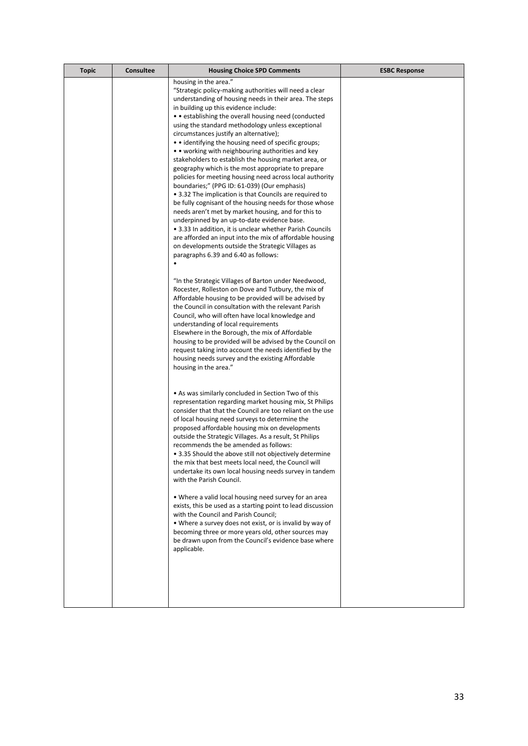| <b>Topic</b> | <b>Consultee</b> | <b>Housing Choice SPD Comments</b>                                                                                | <b>ESBC Response</b> |
|--------------|------------------|-------------------------------------------------------------------------------------------------------------------|----------------------|
|              |                  | housing in the area."                                                                                             |                      |
|              |                  | "Strategic policy-making authorities will need a clear<br>understanding of housing needs in their area. The steps |                      |
|              |                  | in building up this evidence include:                                                                             |                      |
|              |                  | • establishing the overall housing need (conducted                                                                |                      |
|              |                  | using the standard methodology unless exceptional<br>circumstances justify an alternative);                       |                      |
|              |                  | • • identifying the housing need of specific groups;                                                              |                      |
|              |                  | • • working with neighbouring authorities and key                                                                 |                      |
|              |                  | stakeholders to establish the housing market area, or                                                             |                      |
|              |                  | geography which is the most appropriate to prepare                                                                |                      |
|              |                  | policies for meeting housing need across local authority<br>boundaries;" (PPG ID: 61-039) (Our emphasis)          |                      |
|              |                  | • 3.32 The implication is that Councils are required to                                                           |                      |
|              |                  | be fully cognisant of the housing needs for those whose                                                           |                      |
|              |                  | needs aren't met by market housing, and for this to                                                               |                      |
|              |                  | underpinned by an up-to-date evidence base.<br>• 3.33 In addition, it is unclear whether Parish Councils          |                      |
|              |                  | are afforded an input into the mix of affordable housing                                                          |                      |
|              |                  | on developments outside the Strategic Villages as                                                                 |                      |
|              |                  | paragraphs 6.39 and 6.40 as follows:                                                                              |                      |
|              |                  |                                                                                                                   |                      |
|              |                  | "In the Strategic Villages of Barton under Needwood,                                                              |                      |
|              |                  | Rocester, Rolleston on Dove and Tutbury, the mix of                                                               |                      |
|              |                  | Affordable housing to be provided will be advised by                                                              |                      |
|              |                  | the Council in consultation with the relevant Parish<br>Council, who will often have local knowledge and          |                      |
|              |                  | understanding of local requirements                                                                               |                      |
|              |                  | Elsewhere in the Borough, the mix of Affordable                                                                   |                      |
|              |                  | housing to be provided will be advised by the Council on                                                          |                      |
|              |                  | request taking into account the needs identified by the<br>housing needs survey and the existing Affordable       |                      |
|              |                  | housing in the area."                                                                                             |                      |
|              |                  |                                                                                                                   |                      |
|              |                  | • As was similarly concluded in Section Two of this                                                               |                      |
|              |                  | representation regarding market housing mix, St Philips                                                           |                      |
|              |                  | consider that that the Council are too reliant on the use                                                         |                      |
|              |                  | of local housing need surveys to determine the                                                                    |                      |
|              |                  | proposed affordable housing mix on developments<br>outside the Strategic Villages. As a result, St Philips        |                      |
|              |                  | recommends the be amended as follows:                                                                             |                      |
|              |                  | • 3.35 Should the above still not objectively determine                                                           |                      |
|              |                  | the mix that best meets local need, the Council will                                                              |                      |
|              |                  | undertake its own local housing needs survey in tandem<br>with the Parish Council.                                |                      |
|              |                  |                                                                                                                   |                      |
|              |                  | • Where a valid local housing need survey for an area                                                             |                      |
|              |                  | exists, this be used as a starting point to lead discussion                                                       |                      |
|              |                  | with the Council and Parish Council;<br>• Where a survey does not exist, or is invalid by way of                  |                      |
|              |                  | becoming three or more years old, other sources may                                                               |                      |
|              |                  | be drawn upon from the Council's evidence base where                                                              |                      |
|              |                  | applicable.                                                                                                       |                      |
|              |                  |                                                                                                                   |                      |
|              |                  |                                                                                                                   |                      |
|              |                  |                                                                                                                   |                      |
|              |                  |                                                                                                                   |                      |
|              |                  |                                                                                                                   |                      |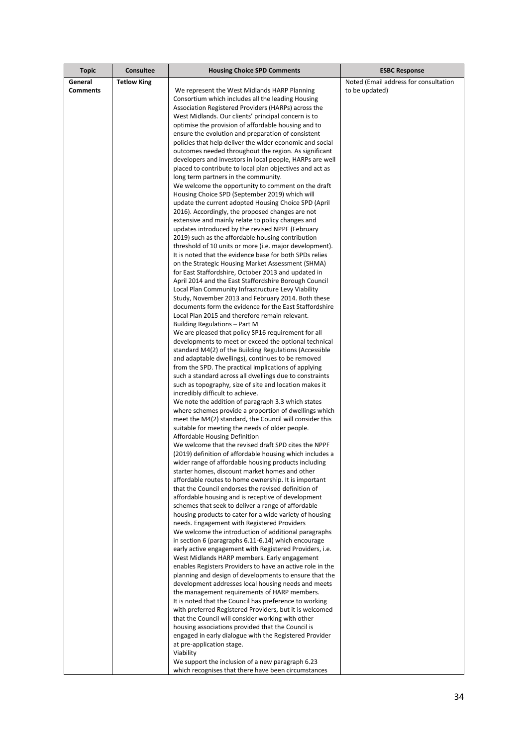| <b>Topic</b>    | <b>Consultee</b>   | <b>Housing Choice SPD Comments</b>                                                                                 | <b>ESBC Response</b>                  |
|-----------------|--------------------|--------------------------------------------------------------------------------------------------------------------|---------------------------------------|
| General         | <b>Tetlow King</b> |                                                                                                                    | Noted (Email address for consultation |
| <b>Comments</b> |                    | We represent the West Midlands HARP Planning                                                                       | to be updated)                        |
|                 |                    | Consortium which includes all the leading Housing                                                                  |                                       |
|                 |                    | Association Registered Providers (HARPs) across the                                                                |                                       |
|                 |                    | West Midlands. Our clients' principal concern is to                                                                |                                       |
|                 |                    | optimise the provision of affordable housing and to                                                                |                                       |
|                 |                    | ensure the evolution and preparation of consistent                                                                 |                                       |
|                 |                    | policies that help deliver the wider economic and social                                                           |                                       |
|                 |                    | outcomes needed throughout the region. As significant<br>developers and investors in local people, HARPs are well  |                                       |
|                 |                    | placed to contribute to local plan objectives and act as                                                           |                                       |
|                 |                    | long term partners in the community.                                                                               |                                       |
|                 |                    | We welcome the opportunity to comment on the draft                                                                 |                                       |
|                 |                    | Housing Choice SPD (September 2019) which will                                                                     |                                       |
|                 |                    | update the current adopted Housing Choice SPD (April                                                               |                                       |
|                 |                    | 2016). Accordingly, the proposed changes are not                                                                   |                                       |
|                 |                    | extensive and mainly relate to policy changes and                                                                  |                                       |
|                 |                    | updates introduced by the revised NPPF (February                                                                   |                                       |
|                 |                    | 2019) such as the affordable housing contribution                                                                  |                                       |
|                 |                    | threshold of 10 units or more (i.e. major development).<br>It is noted that the evidence base for both SPDs relies |                                       |
|                 |                    | on the Strategic Housing Market Assessment (SHMA)                                                                  |                                       |
|                 |                    | for East Staffordshire, October 2013 and updated in                                                                |                                       |
|                 |                    | April 2014 and the East Staffordshire Borough Council                                                              |                                       |
|                 |                    | Local Plan Community Infrastructure Levy Viability                                                                 |                                       |
|                 |                    | Study, November 2013 and February 2014. Both these                                                                 |                                       |
|                 |                    | documents form the evidence for the East Staffordshire                                                             |                                       |
|                 |                    | Local Plan 2015 and therefore remain relevant.                                                                     |                                       |
|                 |                    | Building Regulations - Part M                                                                                      |                                       |
|                 |                    | We are pleased that policy SP16 requirement for all                                                                |                                       |
|                 |                    | developments to meet or exceed the optional technical<br>standard M4(2) of the Building Regulations (Accessible    |                                       |
|                 |                    | and adaptable dwellings), continues to be removed                                                                  |                                       |
|                 |                    | from the SPD. The practical implications of applying                                                               |                                       |
|                 |                    | such a standard across all dwellings due to constraints                                                            |                                       |
|                 |                    | such as topography, size of site and location makes it                                                             |                                       |
|                 |                    | incredibly difficult to achieve.                                                                                   |                                       |
|                 |                    | We note the addition of paragraph 3.3 which states                                                                 |                                       |
|                 |                    | where schemes provide a proportion of dwellings which                                                              |                                       |
|                 |                    | meet the M4(2) standard, the Council will consider this                                                            |                                       |
|                 |                    | suitable for meeting the needs of older people.<br>Affordable Housing Definition                                   |                                       |
|                 |                    | We welcome that the revised draft SPD cites the NPPF                                                               |                                       |
|                 |                    | (2019) definition of affordable housing which includes a                                                           |                                       |
|                 |                    | wider range of affordable housing products including                                                               |                                       |
|                 |                    | starter homes, discount market homes and other                                                                     |                                       |
|                 |                    | affordable routes to home ownership. It is important                                                               |                                       |
|                 |                    | that the Council endorses the revised definition of                                                                |                                       |
|                 |                    | affordable housing and is receptive of development                                                                 |                                       |
|                 |                    | schemes that seek to deliver a range of affordable                                                                 |                                       |
|                 |                    | housing products to cater for a wide variety of housing                                                            |                                       |
|                 |                    | needs. Engagement with Registered Providers<br>We welcome the introduction of additional paragraphs                |                                       |
|                 |                    | in section 6 (paragraphs 6.11-6.14) which encourage                                                                |                                       |
|                 |                    | early active engagement with Registered Providers, i.e.                                                            |                                       |
|                 |                    | West Midlands HARP members. Early engagement                                                                       |                                       |
|                 |                    | enables Registers Providers to have an active role in the                                                          |                                       |
|                 |                    | planning and design of developments to ensure that the                                                             |                                       |
|                 |                    | development addresses local housing needs and meets                                                                |                                       |
|                 |                    | the management requirements of HARP members.                                                                       |                                       |
|                 |                    | It is noted that the Council has preference to working                                                             |                                       |
|                 |                    | with preferred Registered Providers, but it is welcomed<br>that the Council will consider working with other       |                                       |
|                 |                    | housing associations provided that the Council is                                                                  |                                       |
|                 |                    | engaged in early dialogue with the Registered Provider                                                             |                                       |
|                 |                    | at pre-application stage.                                                                                          |                                       |
|                 |                    | Viability                                                                                                          |                                       |
|                 |                    | We support the inclusion of a new paragraph 6.23                                                                   |                                       |
|                 |                    | which recognises that there have been circumstances                                                                |                                       |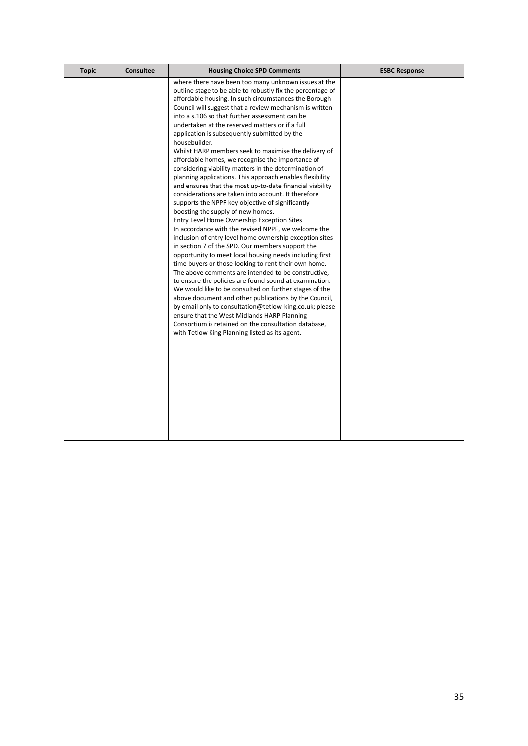| <b>Topic</b> | <b>Consultee</b> | <b>Housing Choice SPD Comments</b>                                                                                                                                                                                                                                                                                                                                                                                                                                                                                                                                                                                                                                                                                                                                                                                                                                                                                                                                                                                                                                                                                                                                                                                                                                                                                                                                                                                                                                                                                                                                                                                                                       | <b>ESBC Response</b> |
|--------------|------------------|----------------------------------------------------------------------------------------------------------------------------------------------------------------------------------------------------------------------------------------------------------------------------------------------------------------------------------------------------------------------------------------------------------------------------------------------------------------------------------------------------------------------------------------------------------------------------------------------------------------------------------------------------------------------------------------------------------------------------------------------------------------------------------------------------------------------------------------------------------------------------------------------------------------------------------------------------------------------------------------------------------------------------------------------------------------------------------------------------------------------------------------------------------------------------------------------------------------------------------------------------------------------------------------------------------------------------------------------------------------------------------------------------------------------------------------------------------------------------------------------------------------------------------------------------------------------------------------------------------------------------------------------------------|----------------------|
|              |                  | where there have been too many unknown issues at the<br>outline stage to be able to robustly fix the percentage of<br>affordable housing. In such circumstances the Borough<br>Council will suggest that a review mechanism is written<br>into a s.106 so that further assessment can be<br>undertaken at the reserved matters or if a full<br>application is subsequently submitted by the<br>housebuilder.<br>Whilst HARP members seek to maximise the delivery of<br>affordable homes, we recognise the importance of<br>considering viability matters in the determination of<br>planning applications. This approach enables flexibility<br>and ensures that the most up-to-date financial viability<br>considerations are taken into account. It therefore<br>supports the NPPF key objective of significantly<br>boosting the supply of new homes.<br>Entry Level Home Ownership Exception Sites<br>In accordance with the revised NPPF, we welcome the<br>inclusion of entry level home ownership exception sites<br>in section 7 of the SPD. Our members support the<br>opportunity to meet local housing needs including first<br>time buyers or those looking to rent their own home.<br>The above comments are intended to be constructive,<br>to ensure the policies are found sound at examination.<br>We would like to be consulted on further stages of the<br>above document and other publications by the Council,<br>by email only to consultation@tetlow-king.co.uk; please<br>ensure that the West Midlands HARP Planning<br>Consortium is retained on the consultation database,<br>with Tetlow King Planning listed as its agent. |                      |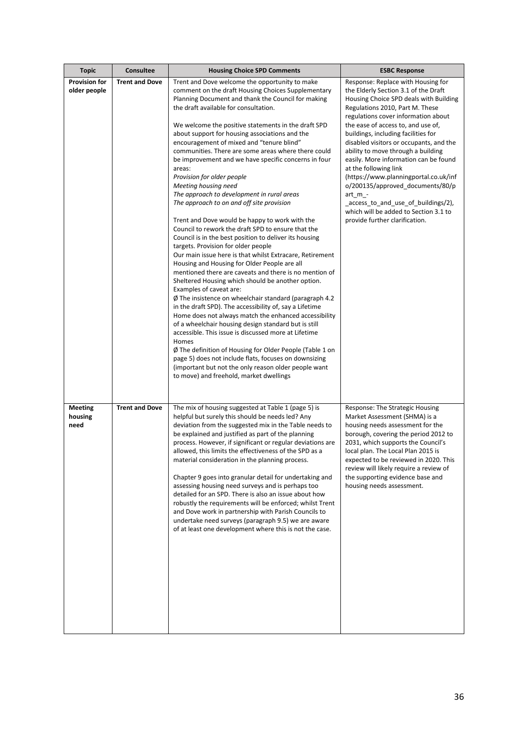| <b>Topic</b>                         | Consultee             | <b>Housing Choice SPD Comments</b>                                                                                                                                                                                                                                                                                                                                                                                                                                                                                                                                                                                                                                                                                                                                                                                                                                                                                                                                                                                                                                                                                                                                                                                                                                                                                                                                                                                                    | <b>ESBC Response</b>                                                                                                                                                                                                                                                                                                                                                                                                                     |
|--------------------------------------|-----------------------|---------------------------------------------------------------------------------------------------------------------------------------------------------------------------------------------------------------------------------------------------------------------------------------------------------------------------------------------------------------------------------------------------------------------------------------------------------------------------------------------------------------------------------------------------------------------------------------------------------------------------------------------------------------------------------------------------------------------------------------------------------------------------------------------------------------------------------------------------------------------------------------------------------------------------------------------------------------------------------------------------------------------------------------------------------------------------------------------------------------------------------------------------------------------------------------------------------------------------------------------------------------------------------------------------------------------------------------------------------------------------------------------------------------------------------------|------------------------------------------------------------------------------------------------------------------------------------------------------------------------------------------------------------------------------------------------------------------------------------------------------------------------------------------------------------------------------------------------------------------------------------------|
| <b>Provision for</b><br>older people | <b>Trent and Dove</b> | Trent and Dove welcome the opportunity to make<br>comment on the draft Housing Choices Supplementary<br>Planning Document and thank the Council for making<br>the draft available for consultation.                                                                                                                                                                                                                                                                                                                                                                                                                                                                                                                                                                                                                                                                                                                                                                                                                                                                                                                                                                                                                                                                                                                                                                                                                                   | Response: Replace with Housing for<br>the Elderly Section 3.1 of the Draft<br>Housing Choice SPD deals with Building<br>Regulations 2010, Part M. These<br>regulations cover information about                                                                                                                                                                                                                                           |
|                                      |                       | We welcome the positive statements in the draft SPD<br>about support for housing associations and the<br>encouragement of mixed and "tenure blind"<br>communities. There are some areas where there could<br>be improvement and we have specific concerns in four<br>areas:<br>Provision for older people<br>Meeting housing need<br>The approach to development in rural areas<br>The approach to on and off site provision<br>Trent and Dove would be happy to work with the<br>Council to rework the draft SPD to ensure that the<br>Council is in the best position to deliver its housing<br>targets. Provision for older people<br>Our main issue here is that whilst Extracare, Retirement<br>Housing and Housing for Older People are all<br>mentioned there are caveats and there is no mention of<br>Sheltered Housing which should be another option.<br>Examples of caveat are:<br>$\emptyset$ The insistence on wheelchair standard (paragraph 4.2)<br>in the draft SPD). The accessibility of, say a Lifetime<br>Home does not always match the enhanced accessibility<br>of a wheelchair housing design standard but is still<br>accessible. This issue is discussed more at Lifetime<br>Homes<br>Ø The definition of Housing for Older People (Table 1 on<br>page 5) does not include flats, focuses on downsizing<br>(important but not the only reason older people want<br>to move) and freehold, market dwellings | the ease of access to, and use of,<br>buildings, including facilities for<br>disabled visitors or occupants, and the<br>ability to move through a building<br>easily. More information can be found<br>at the following link<br>(https://www.planningportal.co.uk/inf<br>o/200135/approved_documents/80/p<br>$art_m$ -<br>_access_to_and_use_of_buildings/2),<br>which will be added to Section 3.1 to<br>provide further clarification. |
| <b>Meeting</b><br>housing<br>need    | <b>Trent and Dove</b> | The mix of housing suggested at Table 1 (page 5) is<br>helpful but surely this should be needs led? Any<br>deviation from the suggested mix in the Table needs to<br>be explained and justified as part of the planning<br>process. However, if significant or regular deviations are<br>allowed, this limits the effectiveness of the SPD as a<br>material consideration in the planning process.<br>Chapter 9 goes into granular detail for undertaking and<br>assessing housing need surveys and is perhaps too<br>detailed for an SPD. There is also an issue about how<br>robustly the requirements will be enforced; whilst Trent<br>and Dove work in partnership with Parish Councils to<br>undertake need surveys (paragraph 9.5) we are aware<br>of at least one development where this is not the case.                                                                                                                                                                                                                                                                                                                                                                                                                                                                                                                                                                                                                     | Response: The Strategic Housing<br>Market Assessment (SHMA) is a<br>housing needs assessment for the<br>borough, covering the period 2012 to<br>2031, which supports the Council's<br>local plan. The Local Plan 2015 is<br>expected to be reviewed in 2020. This<br>review will likely require a review of<br>the supporting evidence base and<br>housing needs assessment.                                                             |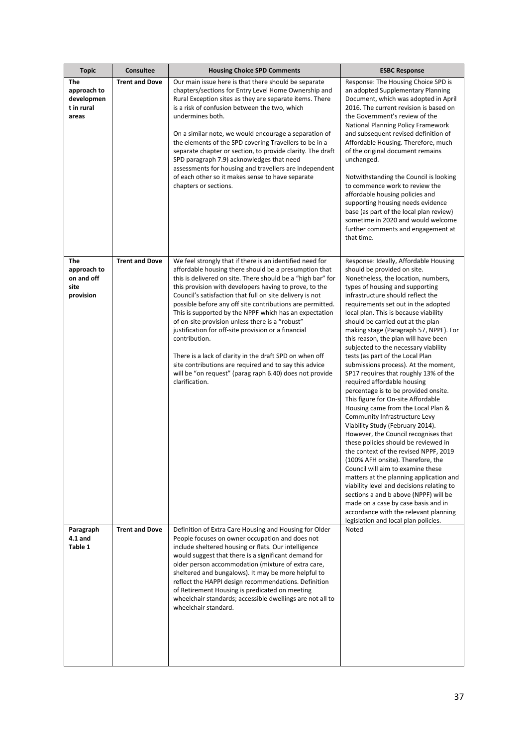| <b>Topic</b>                                            | Consultee             | <b>Housing Choice SPD Comments</b>                                                                                                                                                                                                                                                                                                                                                                                                                                                                                                                                                                                                                                                                                                                         | <b>ESBC Response</b>                                                                                                                                                                                                                                                                                                                                                                                                                                                                                                                                                                                                                                                                                                                                                                                                                                                                                                                                                                                                                                                                                                                                                                                                                         |
|---------------------------------------------------------|-----------------------|------------------------------------------------------------------------------------------------------------------------------------------------------------------------------------------------------------------------------------------------------------------------------------------------------------------------------------------------------------------------------------------------------------------------------------------------------------------------------------------------------------------------------------------------------------------------------------------------------------------------------------------------------------------------------------------------------------------------------------------------------------|----------------------------------------------------------------------------------------------------------------------------------------------------------------------------------------------------------------------------------------------------------------------------------------------------------------------------------------------------------------------------------------------------------------------------------------------------------------------------------------------------------------------------------------------------------------------------------------------------------------------------------------------------------------------------------------------------------------------------------------------------------------------------------------------------------------------------------------------------------------------------------------------------------------------------------------------------------------------------------------------------------------------------------------------------------------------------------------------------------------------------------------------------------------------------------------------------------------------------------------------|
| The<br>approach to<br>developmen<br>t in rural<br>areas | <b>Trent and Dove</b> | Our main issue here is that there should be separate<br>chapters/sections for Entry Level Home Ownership and<br>Rural Exception sites as they are separate items. There<br>is a risk of confusion between the two, which<br>undermines both.<br>On a similar note, we would encourage a separation of<br>the elements of the SPD covering Travellers to be in a<br>separate chapter or section, to provide clarity. The draft<br>SPD paragraph 7.9) acknowledges that need<br>assessments for housing and travellers are independent<br>of each other so it makes sense to have separate<br>chapters or sections.                                                                                                                                          | Response: The Housing Choice SPD is<br>an adopted Supplementary Planning<br>Document, which was adopted in April<br>2016. The current revision is based on<br>the Government's review of the<br>National Planning Policy Framework<br>and subsequent revised definition of<br>Affordable Housing. Therefore, much<br>of the original document remains<br>unchanged.<br>Notwithstanding the Council is looking<br>to commence work to review the<br>affordable housing policies and<br>supporting housing needs evidence<br>base (as part of the local plan review)<br>sometime in 2020 and would welcome<br>further comments and engagement at<br>that time.                                                                                                                                                                                                                                                                                                                                                                                                                                                                                                                                                                                 |
| The<br>approach to<br>on and off<br>site<br>provision   | <b>Trent and Dove</b> | We feel strongly that if there is an identified need for<br>affordable housing there should be a presumption that<br>this is delivered on site. There should be a "high bar" for<br>this provision with developers having to prove, to the<br>Council's satisfaction that full on site delivery is not<br>possible before any off site contributions are permitted.<br>This is supported by the NPPF which has an expectation<br>of on-site provision unless there is a "robust"<br>justification for off-site provision or a financial<br>contribution.<br>There is a lack of clarity in the draft SPD on when off<br>site contributions are required and to say this advice<br>will be "on request" (parag raph 6.40) does not provide<br>clarification. | Response: Ideally, Affordable Housing<br>should be provided on site.<br>Nonetheless, the location, numbers,<br>types of housing and supporting<br>infrastructure should reflect the<br>requirements set out in the adopted<br>local plan. This is because viability<br>should be carried out at the plan-<br>making stage (Paragraph 57, NPPF). For<br>this reason, the plan will have been<br>subjected to the necessary viability<br>tests (as part of the Local Plan<br>submissions process). At the moment,<br>SP17 requires that roughly 13% of the<br>required affordable housing<br>percentage is to be provided onsite.<br>This figure for On-site Affordable<br>Housing came from the Local Plan &<br>Community Infrastructure Levy<br>Viability Study (February 2014).<br>However, the Council recognises that<br>these policies should be reviewed in<br>the context of the revised NPPF, 2019<br>(100% AFH onsite). Therefore, the<br>Council will aim to examine these<br>matters at the planning application and<br>viability level and decisions relating to<br>sections a and b above (NPPF) will be<br>made on a case by case basis and in<br>accordance with the relevant planning<br>legislation and local plan policies. |
| Paragraph<br>$4.1$ and<br>Table 1                       | <b>Trent and Dove</b> | Definition of Extra Care Housing and Housing for Older<br>People focuses on owner occupation and does not<br>include sheltered housing or flats. Our intelligence<br>would suggest that there is a significant demand for<br>older person accommodation (mixture of extra care,<br>sheltered and bungalows). It may be more helpful to<br>reflect the HAPPI design recommendations. Definition<br>of Retirement Housing is predicated on meeting<br>wheelchair standards; accessible dwellings are not all to<br>wheelchair standard.                                                                                                                                                                                                                      | Noted                                                                                                                                                                                                                                                                                                                                                                                                                                                                                                                                                                                                                                                                                                                                                                                                                                                                                                                                                                                                                                                                                                                                                                                                                                        |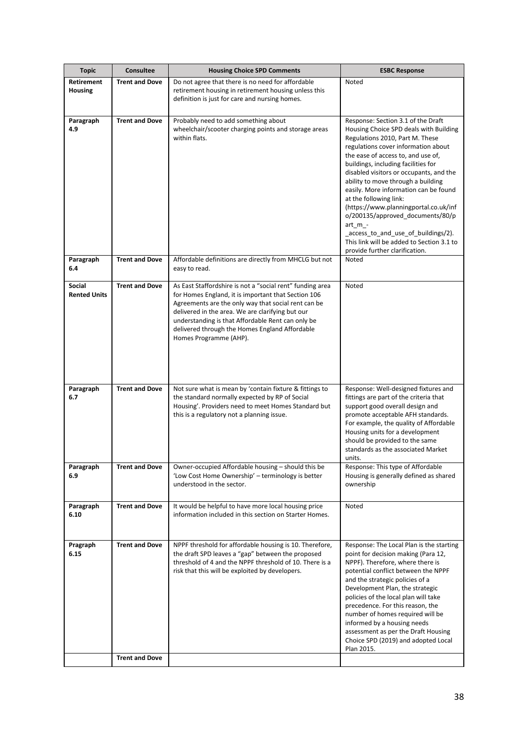| <b>Topic</b>                        | Consultee                                      | <b>Housing Choice SPD Comments</b>                                                                                                                                                                                                                                                                                                                           | <b>ESBC Response</b>                                                                                                                                                                                                                                                                                                                                                                                                                                                                                                                                                                                  |
|-------------------------------------|------------------------------------------------|--------------------------------------------------------------------------------------------------------------------------------------------------------------------------------------------------------------------------------------------------------------------------------------------------------------------------------------------------------------|-------------------------------------------------------------------------------------------------------------------------------------------------------------------------------------------------------------------------------------------------------------------------------------------------------------------------------------------------------------------------------------------------------------------------------------------------------------------------------------------------------------------------------------------------------------------------------------------------------|
| <b>Retirement</b><br><b>Housing</b> | <b>Trent and Dove</b>                          | Do not agree that there is no need for affordable<br>retirement housing in retirement housing unless this<br>definition is just for care and nursing homes.                                                                                                                                                                                                  | Noted                                                                                                                                                                                                                                                                                                                                                                                                                                                                                                                                                                                                 |
| Paragraph<br>4.9                    | <b>Trent and Dove</b>                          | Probably need to add something about<br>wheelchair/scooter charging points and storage areas<br>within flats.                                                                                                                                                                                                                                                | Response: Section 3.1 of the Draft<br>Housing Choice SPD deals with Building<br>Regulations 2010, Part M. These<br>regulations cover information about<br>the ease of access to, and use of,<br>buildings, including facilities for<br>disabled visitors or occupants, and the<br>ability to move through a building<br>easily. More information can be found<br>at the following link:<br>(https://www.planningportal.co.uk/inf<br>o/200135/approved_documents/80/p<br>art_m_-<br>_access_to_and_use_of_buildings/2).<br>This link will be added to Section 3.1 to<br>provide further clarification. |
| Paragraph<br>6.4                    | <b>Trent and Dove</b>                          | Affordable definitions are directly from MHCLG but not<br>easy to read.                                                                                                                                                                                                                                                                                      | Noted                                                                                                                                                                                                                                                                                                                                                                                                                                                                                                                                                                                                 |
| Social<br><b>Rented Units</b>       | <b>Trent and Dove</b>                          | As East Staffordshire is not a "social rent" funding area<br>for Homes England, it is important that Section 106<br>Agreements are the only way that social rent can be<br>delivered in the area. We are clarifying but our<br>understanding is that Affordable Rent can only be<br>delivered through the Homes England Affordable<br>Homes Programme (AHP). | Noted                                                                                                                                                                                                                                                                                                                                                                                                                                                                                                                                                                                                 |
| Paragraph<br>6.7                    | <b>Trent and Dove</b>                          | Not sure what is mean by 'contain fixture & fittings to<br>the standard normally expected by RP of Social<br>Housing'. Providers need to meet Homes Standard but<br>this is a regulatory not a planning issue.                                                                                                                                               | Response: Well-designed fixtures and<br>fittings are part of the criteria that<br>support good overall design and<br>promote acceptable AFH standards.<br>For example, the quality of Affordable<br>Housing units for a development<br>should be provided to the same<br>standards as the associated Market<br>units.                                                                                                                                                                                                                                                                                 |
| Paragraph<br>6.9                    | <b>Trent and Dove</b>                          | Owner-occupied Affordable housing - should this be<br>'Low Cost Home Ownership' - terminology is better<br>understood in the sector.                                                                                                                                                                                                                         | Response: This type of Affordable<br>Housing is generally defined as shared<br>ownership                                                                                                                                                                                                                                                                                                                                                                                                                                                                                                              |
| Paragraph<br>6.10                   | <b>Trent and Dove</b>                          | It would be helpful to have more local housing price<br>information included in this section on Starter Homes.                                                                                                                                                                                                                                               | Noted                                                                                                                                                                                                                                                                                                                                                                                                                                                                                                                                                                                                 |
| Pragraph<br>6.15                    | <b>Trent and Dove</b><br><b>Trent and Dove</b> | NPPF threshold for affordable housing is 10. Therefore,<br>the draft SPD leaves a "gap" between the proposed<br>threshold of 4 and the NPPF threshold of 10. There is a<br>risk that this will be exploited by developers.                                                                                                                                   | Response: The Local Plan is the starting<br>point for decision making (Para 12,<br>NPPF). Therefore, where there is<br>potential conflict between the NPPF<br>and the strategic policies of a<br>Development Plan, the strategic<br>policies of the local plan will take<br>precedence. For this reason, the<br>number of homes required will be<br>informed by a housing needs<br>assessment as per the Draft Housing<br>Choice SPD (2019) and adopted Local<br>Plan 2015.                                                                                                                           |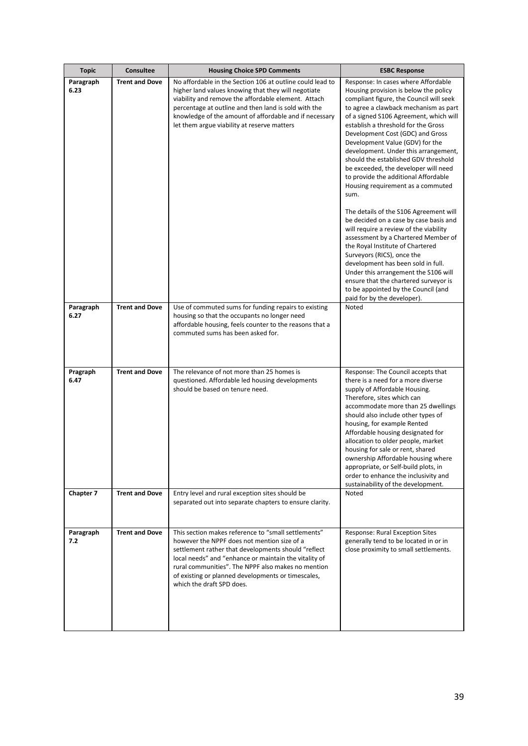| <b>Topic</b>      | <b>Consultee</b>      | <b>Housing Choice SPD Comments</b>                                                                                                                                                                                                                                                                                                                          | <b>ESBC Response</b>                                                                                                                                                                                                                                                                                                                                                                                                                                                                                                                  |
|-------------------|-----------------------|-------------------------------------------------------------------------------------------------------------------------------------------------------------------------------------------------------------------------------------------------------------------------------------------------------------------------------------------------------------|---------------------------------------------------------------------------------------------------------------------------------------------------------------------------------------------------------------------------------------------------------------------------------------------------------------------------------------------------------------------------------------------------------------------------------------------------------------------------------------------------------------------------------------|
| Paragraph<br>6.23 | <b>Trent and Dove</b> | No affordable in the Section 106 at outline could lead to<br>higher land values knowing that they will negotiate<br>viability and remove the affordable element. Attach<br>percentage at outline and then land is sold with the<br>knowledge of the amount of affordable and if necessary<br>let them argue viability at reserve matters                    | Response: In cases where Affordable<br>Housing provision is below the policy<br>compliant figure, the Council will seek<br>to agree a clawback mechanism as part<br>of a signed S106 Agreement, which will<br>establish a threshold for the Gross<br>Development Cost (GDC) and Gross<br>Development Value (GDV) for the<br>development. Under this arrangement,<br>should the established GDV threshold<br>be exceeded, the developer will need<br>to provide the additional Affordable<br>Housing requirement as a commuted<br>sum. |
|                   |                       |                                                                                                                                                                                                                                                                                                                                                             | The details of the S106 Agreement will<br>be decided on a case by case basis and<br>will require a review of the viability<br>assessment by a Chartered Member of<br>the Royal Institute of Chartered<br>Surveyors (RICS), once the<br>development has been sold in full.<br>Under this arrangement the S106 will<br>ensure that the chartered surveyor is<br>to be appointed by the Council (and<br>paid for by the developer).                                                                                                      |
| Paragraph<br>6.27 | <b>Trent and Dove</b> | Use of commuted sums for funding repairs to existing<br>housing so that the occupants no longer need<br>affordable housing, feels counter to the reasons that a<br>commuted sums has been asked for.                                                                                                                                                        | Noted                                                                                                                                                                                                                                                                                                                                                                                                                                                                                                                                 |
| Pragraph<br>6.47  | <b>Trent and Dove</b> | The relevance of not more than 25 homes is<br>questioned. Affordable led housing developments<br>should be based on tenure need.                                                                                                                                                                                                                            | Response: The Council accepts that<br>there is a need for a more diverse<br>supply of Affordable Housing.<br>Therefore, sites which can<br>accommodate more than 25 dwellings<br>should also include other types of<br>housing, for example Rented<br>Affordable housing designated for<br>allocation to older people, market<br>housing for sale or rent, shared<br>ownership Affordable housing where<br>appropriate, or Self-build plots, in<br>order to enhance the inclusivity and<br>sustainability of the development.         |
| Chapter 7         | <b>Trent and Dove</b> | Entry level and rural exception sites should be<br>separated out into separate chapters to ensure clarity.                                                                                                                                                                                                                                                  | Noted                                                                                                                                                                                                                                                                                                                                                                                                                                                                                                                                 |
| Paragraph<br>7.2  | <b>Trent and Dove</b> | This section makes reference to "small settlements"<br>however the NPPF does not mention size of a<br>settlement rather that developments should "reflect<br>local needs" and "enhance or maintain the vitality of<br>rural communities". The NPPF also makes no mention<br>of existing or planned developments or timescales,<br>which the draft SPD does. | Response: Rural Exception Sites<br>generally tend to be located in or in<br>close proximity to small settlements.                                                                                                                                                                                                                                                                                                                                                                                                                     |